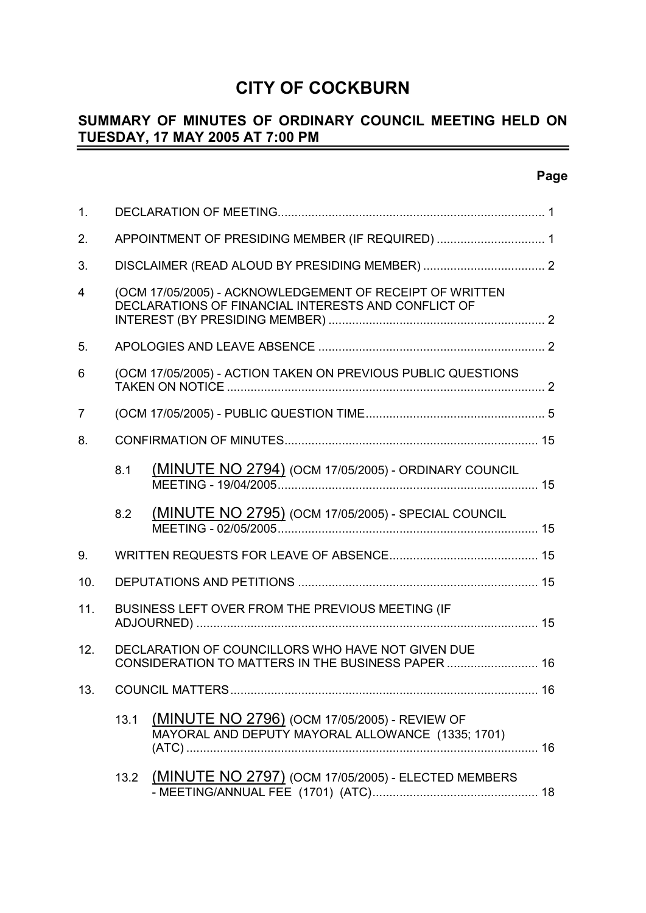# **CITY OF COCKBURN**

#### **SUMMARY OF MINUTES OF ORDINARY COUNCIL MEETING HELD ON TUESDAY, 17 MAY 2005 AT 7:00 PM** -

# **Page**

| 1.             |      |                                                                                                                 |    |
|----------------|------|-----------------------------------------------------------------------------------------------------------------|----|
| 2.             |      | APPOINTMENT OF PRESIDING MEMBER (IF REQUIRED)  1                                                                |    |
| 3.             |      |                                                                                                                 |    |
| $\overline{4}$ |      | (OCM 17/05/2005) - ACKNOWLEDGEMENT OF RECEIPT OF WRITTEN<br>DECLARATIONS OF FINANCIAL INTERESTS AND CONFLICT OF |    |
| 5.             |      |                                                                                                                 |    |
| 6              |      | (OCM 17/05/2005) - ACTION TAKEN ON PREVIOUS PUBLIC QUESTIONS                                                    |    |
| 7              |      |                                                                                                                 |    |
| 8.             |      |                                                                                                                 |    |
|                | 8.1  | (MINUTE NO 2794) (OCM 17/05/2005) - ORDINARY COUNCIL                                                            |    |
|                | 8.2  | (MINUTE NO 2795) (OCM 17/05/2005) - SPECIAL COUNCIL                                                             |    |
| 9.             |      |                                                                                                                 |    |
| 10.            |      |                                                                                                                 |    |
| 11.            |      | BUSINESS LEFT OVER FROM THE PREVIOUS MEETING (IF                                                                |    |
| 12.            |      | DECLARATION OF COUNCILLORS WHO HAVE NOT GIVEN DUE<br>CONSIDERATION TO MATTERS IN THE BUSINESS PAPER  16         |    |
| 13.            |      |                                                                                                                 | 16 |
|                | 13.1 | (MINUTE NO 2796) (OCM 17/05/2005) - REVIEW OF<br>MAYORAL AND DEPUTY MAYORAL ALLOWANCE (1335; 1701)              |    |
|                | 13.2 | (MINUTE NO 2797) (OCM 17/05/2005) - ELECTED MEMBERS                                                             |    |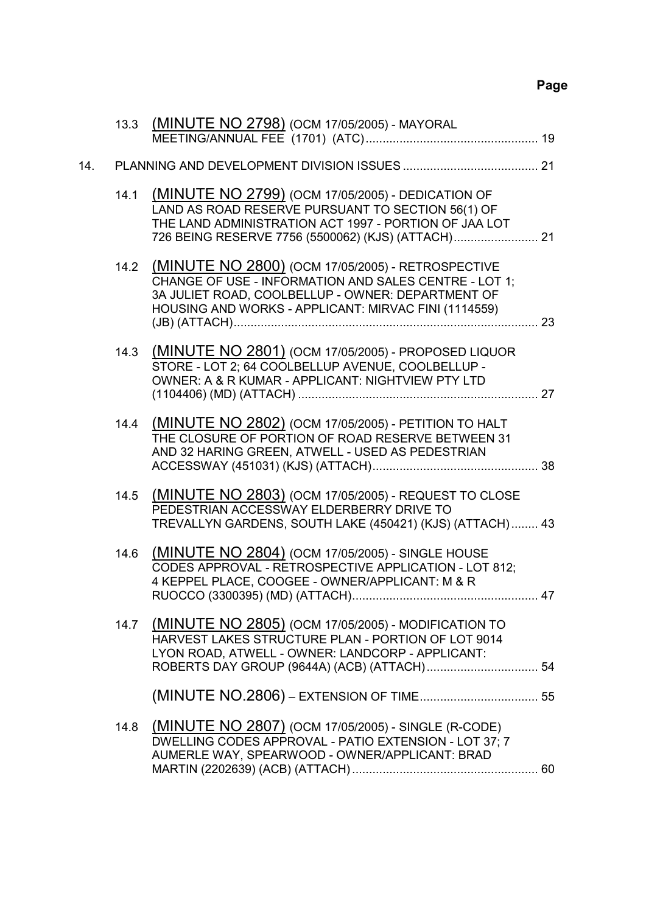# **Page**

| 14.1 | (MINUTE NO 2799) (OCM 17/05/2005) - DEDICATION OF<br>LAND AS ROAD RESERVE PURSUANT TO SECTION 56(1) OF<br>THE LAND ADMINISTRATION ACT 1997 - PORTION OF JAA LOT       |                                                                                                                                                                                                                               |
|------|-----------------------------------------------------------------------------------------------------------------------------------------------------------------------|-------------------------------------------------------------------------------------------------------------------------------------------------------------------------------------------------------------------------------|
|      | CHANGE OF USE - INFORMATION AND SALES CENTRE - LOT 1;<br>3A JULIET ROAD, COOLBELLUP - OWNER: DEPARTMENT OF<br>HOUSING AND WORKS - APPLICANT: MIRVAC FINI (1114559)    |                                                                                                                                                                                                                               |
| 14.3 | STORE - LOT 2; 64 COOLBELLUP AVENUE, COOLBELLUP -<br>OWNER: A & R KUMAR - APPLICANT: NIGHTVIEW PTY LTD                                                                |                                                                                                                                                                                                                               |
| 14.4 | (MINUTE NO 2802) (OCM 17/05/2005) - PETITION TO HALT<br>THE CLOSURE OF PORTION OF ROAD RESERVE BETWEEN 31<br>AND 32 HARING GREEN, ATWELL - USED AS PEDESTRIAN         |                                                                                                                                                                                                                               |
| 14.5 | (MINUTE NO 2803) (OCM 17/05/2005) - REQUEST TO CLOSE<br>PEDESTRIAN ACCESSWAY ELDERBERRY DRIVE TO<br>TREVALLYN GARDENS, SOUTH LAKE (450421) (KJS) (ATTACH) 43          |                                                                                                                                                                                                                               |
| 14.6 | (MINUTE NO 2804) (OCM 17/05/2005) - SINGLE HOUSE<br>CODES APPROVAL - RETROSPECTIVE APPLICATION - LOT 812;<br>4 KEPPEL PLACE, COOGEE - OWNER/APPLICANT: M & R          |                                                                                                                                                                                                                               |
|      | HARVEST LAKES STRUCTURE PLAN - PORTION OF LOT 9014<br>LYON ROAD, ATWELL - OWNER: LANDCORP - APPLICANT:                                                                |                                                                                                                                                                                                                               |
|      |                                                                                                                                                                       |                                                                                                                                                                                                                               |
| 14.8 | <u>(MINUTE NO 2807)</u> (OCM 17/05/2005) - SINGLE (R-CODE)<br>DWELLING CODES APPROVAL - PATIO EXTENSION - LOT 37; 7<br>AUMERLE WAY, SPEARWOOD - OWNER/APPLICANT: BRAD |                                                                                                                                                                                                                               |
|      |                                                                                                                                                                       | 13.3 (MINUTE NO 2798) (OCM 17/05/2005) - MAYORAL<br>14.2 (MINUTE NO 2800) (OCM 17/05/2005) - RETROSPECTIVE<br>(MINUTE NO 2801) (OCM 17/05/2005) - PROPOSED LIQUOR<br>14.7 (MINUTE NO 2805) (OCM 17/05/2005) - MODIFICATION TO |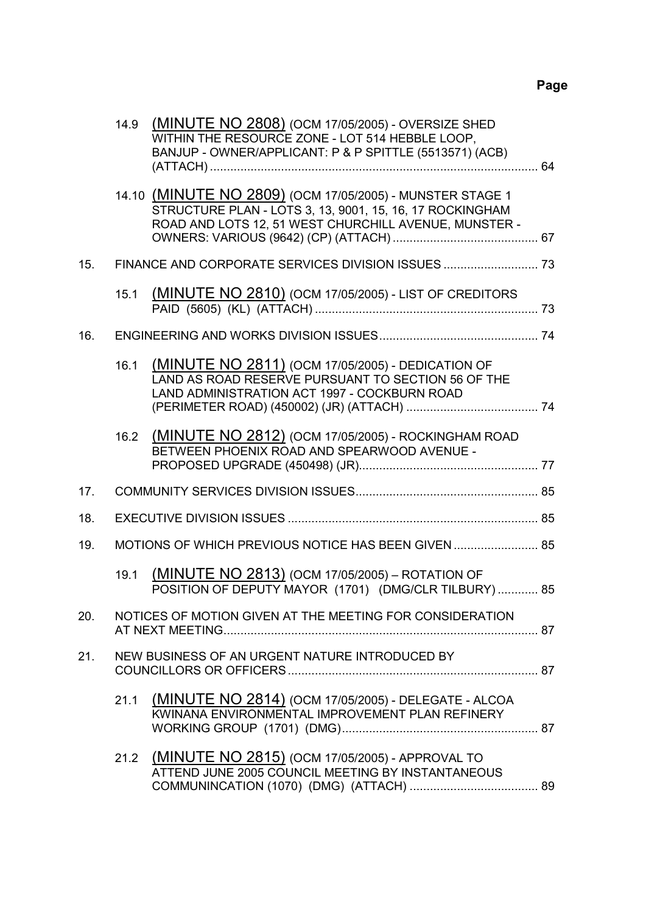|     | 14.9 | (MINUTE NO 2808) (OCM 17/05/2005) - OVERSIZE SHED<br>WITHIN THE RESOURCE ZONE - LOT 514 HEBBLE LOOP.<br>BANJUP - OWNER/APPLICANT: P & P SPITTLE (5513571) (ACB)                |  |
|-----|------|--------------------------------------------------------------------------------------------------------------------------------------------------------------------------------|--|
|     |      | 14.10 (MINUTE NO 2809) (OCM 17/05/2005) - MUNSTER STAGE 1<br>STRUCTURE PLAN - LOTS 3, 13, 9001, 15, 16, 17 ROCKINGHAM<br>ROAD AND LOTS 12, 51 WEST CHURCHILL AVENUE, MUNSTER - |  |
| 15. |      |                                                                                                                                                                                |  |
|     | 15.1 | <b>(MINUTE NO 2810)</b> (OCM 17/05/2005) - LIST OF CREDITORS                                                                                                                   |  |
| 16. |      |                                                                                                                                                                                |  |
|     | 16.1 | (MINUTE NO 2811) (OCM 17/05/2005) - DEDICATION OF<br>LAND AS ROAD RESERVE PURSUANT TO SECTION 56 OF THE<br>LAND ADMINISTRATION ACT 1997 - COCKBURN ROAD                        |  |
|     | 16.2 | (MINUTE NO 2812) (OCM 17/05/2005) - ROCKINGHAM ROAD<br>BETWEEN PHOENIX ROAD AND SPEARWOOD AVENUE -                                                                             |  |
| 17. |      |                                                                                                                                                                                |  |
| 18. |      |                                                                                                                                                                                |  |
| 19. |      | MOTIONS OF WHICH PREVIOUS NOTICE HAS BEEN GIVEN  85                                                                                                                            |  |
|     | 19.1 | (MINUTE NO 2813) (OCM 17/05/2005) – ROTATION OF<br>POSITION OF DEPUTY MAYOR (1701) (DMG/CLR TILBURY)  85                                                                       |  |
| 20. |      | NOTICES OF MOTION GIVEN AT THE MEETING FOR CONSIDERATION                                                                                                                       |  |
| 21. |      | NEW BUSINESS OF AN URGENT NATURE INTRODUCED BY                                                                                                                                 |  |
|     | 21.1 | (MINUTE NO 2814) (OCM 17/05/2005) - DELEGATE - ALCOA<br>KWINANA ENVIRONMENTAL IMPROVEMENT PLAN REFINERY                                                                        |  |
|     | 21.2 | (MINUTE NO 2815) (OCM 17/05/2005) - APPROVAL TO<br>ATTEND JUNE 2005 COUNCIL MEETING BY INSTANTANEOUS                                                                           |  |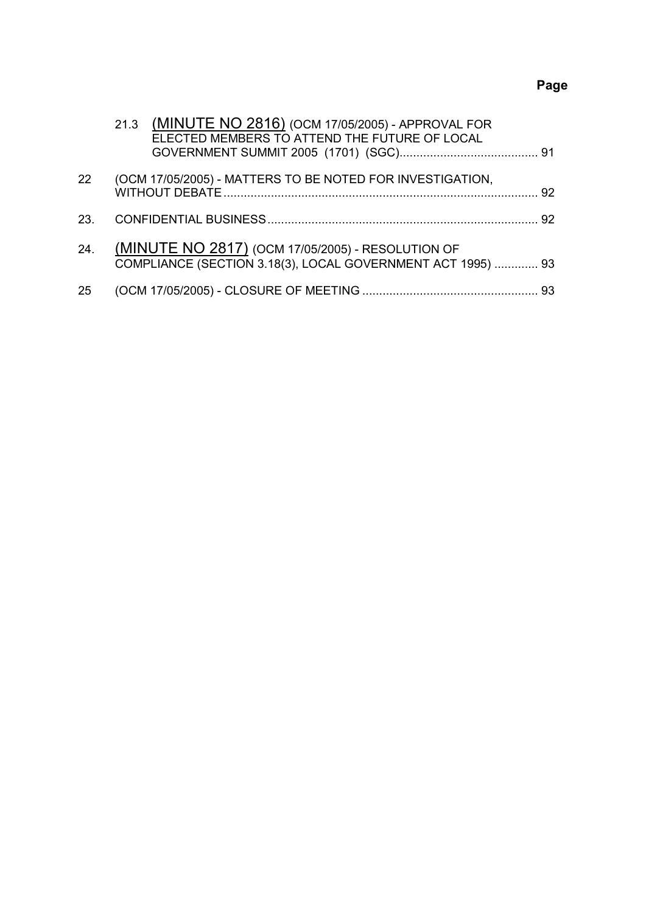# **Page**

|     | 21.3 (MINUTE NO 2816) (OCM 17/05/2005) - APPROVAL FOR<br>ELECTED MEMBERS TO ATTEND THE FUTURE OF LOCAL           |    |
|-----|------------------------------------------------------------------------------------------------------------------|----|
| 22  | (OCM 17/05/2005) - MATTERS TO BE NOTED FOR INVESTIGATION,                                                        | 92 |
| 23. |                                                                                                                  |    |
| 24. | (MINUTE NO 2817) (OCM 17/05/2005) - RESOLUTION OF<br>COMPLIANCE (SECTION 3.18(3), LOCAL GOVERNMENT ACT 1995)  93 |    |
| 25  |                                                                                                                  |    |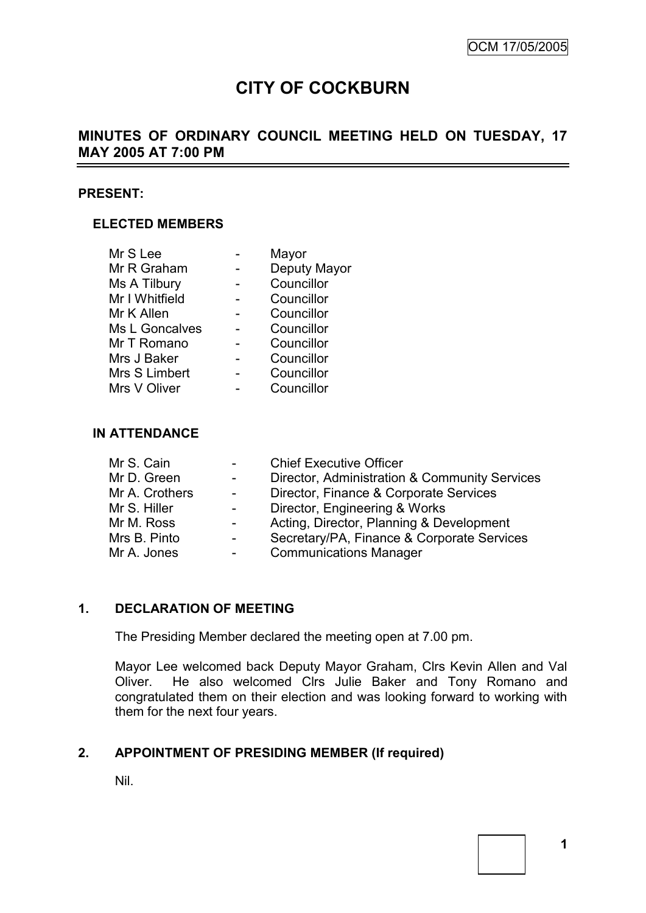# **CITY OF COCKBURN**

# **MINUTES OF ORDINARY COUNCIL MEETING HELD ON TUESDAY, 17 MAY 2005 AT 7:00 PM**

#### **PRESENT:**

### **ELECTED MEMBERS**

| Mayor        |
|--------------|
| Deputy Mayor |
| Councillor   |
| Councillor   |
| Councillor   |
| Councillor   |
| Councillor   |
| Councillor   |
| Councillor   |
| Councillor   |
|              |

#### **IN ATTENDANCE**

| Director, Administration & Community Services |
|-----------------------------------------------|
|                                               |
|                                               |
| Acting, Director, Planning & Development      |
| Secretary/PA, Finance & Corporate Services    |
|                                               |
|                                               |

### **1. DECLARATION OF MEETING**

The Presiding Member declared the meeting open at 7.00 pm.

Mayor Lee welcomed back Deputy Mayor Graham, Clrs Kevin Allen and Val Oliver. He also welcomed Clrs Julie Baker and Tony Romano and congratulated them on their election and was looking forward to working with them for the next four years.

### **2. APPOINTMENT OF PRESIDING MEMBER (If required)**

Nil.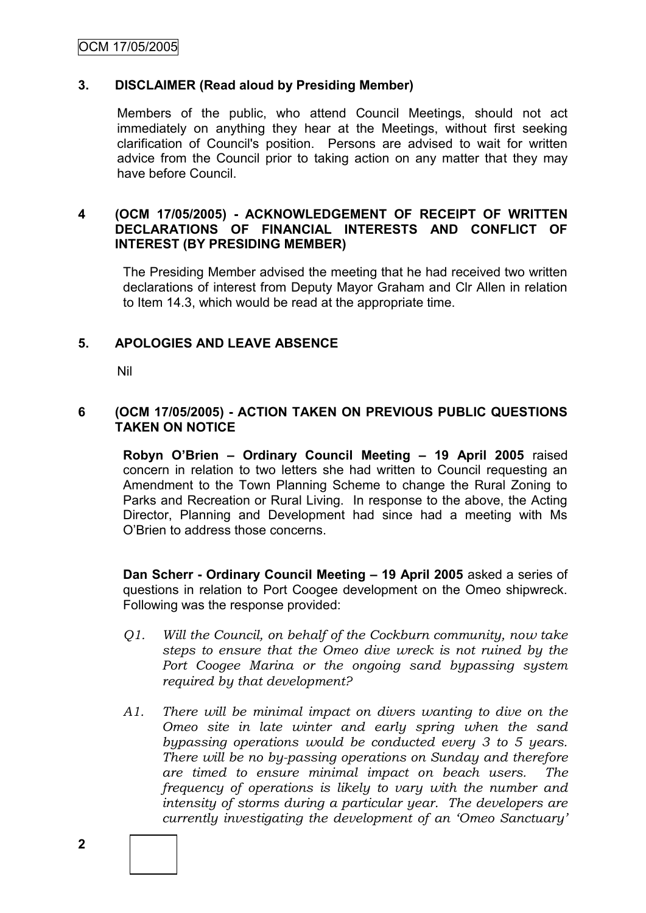### **3. DISCLAIMER (Read aloud by Presiding Member)**

Members of the public, who attend Council Meetings, should not act immediately on anything they hear at the Meetings, without first seeking clarification of Council's position. Persons are advised to wait for written advice from the Council prior to taking action on any matter that they may have before Council.

### **4 (OCM 17/05/2005) - ACKNOWLEDGEMENT OF RECEIPT OF WRITTEN DECLARATIONS OF FINANCIAL INTERESTS AND CONFLICT OF INTEREST (BY PRESIDING MEMBER)**

The Presiding Member advised the meeting that he had received two written declarations of interest from Deputy Mayor Graham and Clr Allen in relation to Item 14.3, which would be read at the appropriate time.

# **5. APOLOGIES AND LEAVE ABSENCE**

Nil

### **6 (OCM 17/05/2005) - ACTION TAKEN ON PREVIOUS PUBLIC QUESTIONS TAKEN ON NOTICE**

**Robyn O'Brien – Ordinary Council Meeting – 19 April 2005** raised concern in relation to two letters she had written to Council requesting an Amendment to the Town Planning Scheme to change the Rural Zoning to Parks and Recreation or Rural Living. In response to the above, the Acting Director, Planning and Development had since had a meeting with Ms O"Brien to address those concerns.

**Dan Scherr - Ordinary Council Meeting – 19 April 2005** asked a series of questions in relation to Port Coogee development on the Omeo shipwreck. Following was the response provided:

- *Q1. Will the Council, on behalf of the Cockburn community, now take steps to ensure that the Omeo dive wreck is not ruined by the Port Coogee Marina or the ongoing sand bypassing system required by that development?*
- *A1. There will be minimal impact on divers wanting to dive on the Omeo site in late winter and early spring when the sand bypassing operations would be conducted every 3 to 5 years. There will be no by-passing operations on Sunday and therefore are timed to ensure minimal impact on beach users. The frequency of operations is likely to vary with the number and intensity of storms during a particular year. The developers are currently investigating the development of an "Omeo Sanctuary"*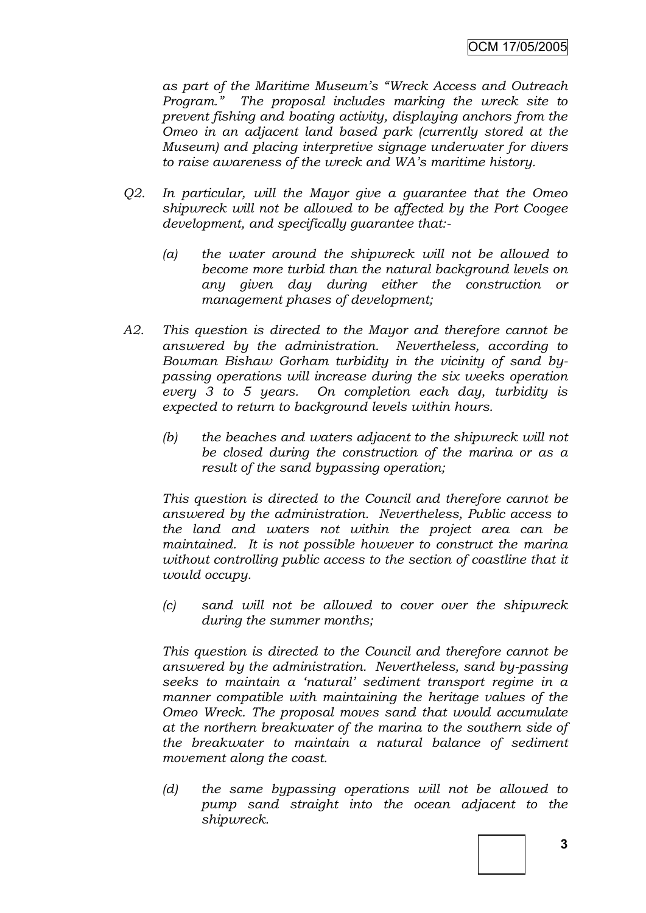*as part of the Maritime Museum"s "Wreck Access and Outreach Program." The proposal includes marking the wreck site to prevent fishing and boating activity, displaying anchors from the Omeo in an adjacent land based park (currently stored at the Museum) and placing interpretive signage underwater for divers to raise awareness of the wreck and WA"s maritime history.*

- *Q2. In particular, will the Mayor give a guarantee that the Omeo shipwreck will not be allowed to be affected by the Port Coogee development, and specifically guarantee that:-*
	- *(a) the water around the shipwreck will not be allowed to become more turbid than the natural background levels on any given day during either the construction or management phases of development;*
- *A2. This question is directed to the Mayor and therefore cannot be answered by the administration. Nevertheless, according to Bowman Bishaw Gorham turbidity in the vicinity of sand bypassing operations will increase during the six weeks operation every 3 to 5 years. On completion each day, turbidity is expected to return to background levels within hours.*
	- *(b) the beaches and waters adjacent to the shipwreck will not be closed during the construction of the marina or as a result of the sand bypassing operation;*

*This question is directed to the Council and therefore cannot be answered by the administration. Nevertheless, Public access to the land and waters not within the project area can be maintained. It is not possible however to construct the marina*  without controlling public access to the section of coastline that it *would occupy.*

*(c) sand will not be allowed to cover over the shipwreck during the summer months;*

*This question is directed to the Council and therefore cannot be answered by the administration. Nevertheless, sand by-passing seeks to maintain a "natural" sediment transport regime in a manner compatible with maintaining the heritage values of the Omeo Wreck. The proposal moves sand that would accumulate at the northern breakwater of the marina to the southern side of the breakwater to maintain a natural balance of sediment movement along the coast.*

*(d) the same bypassing operations will not be allowed to pump sand straight into the ocean adjacent to the shipwreck.*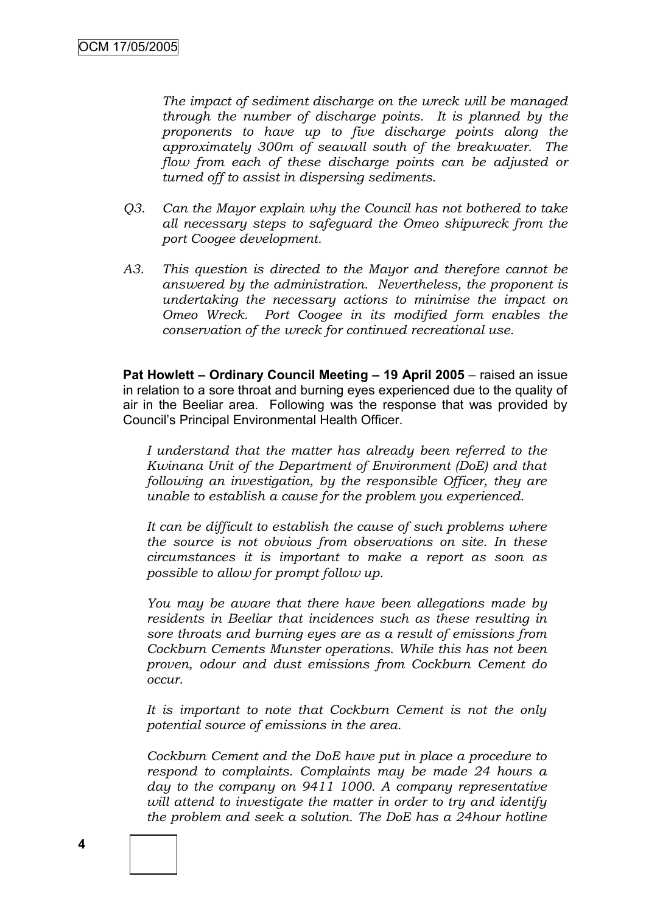*The impact of sediment discharge on the wreck will be managed through the number of discharge points. It is planned by the proponents to have up to five discharge points along the approximately 300m of seawall south of the breakwater. The flow from each of these discharge points can be adjusted or turned off to assist in dispersing sediments.*

- *Q3. Can the Mayor explain why the Council has not bothered to take all necessary steps to safeguard the Omeo shipwreck from the port Coogee development.*
- *A3. This question is directed to the Mayor and therefore cannot be answered by the administration. Nevertheless, the proponent is undertaking the necessary actions to minimise the impact on Omeo Wreck. Port Coogee in its modified form enables the conservation of the wreck for continued recreational use.*

**Pat Howlett – Ordinary Council Meeting – 19 April 2005** – raised an issue in relation to a sore throat and burning eyes experienced due to the quality of air in the Beeliar area. Following was the response that was provided by Council"s Principal Environmental Health Officer.

*I understand that the matter has already been referred to the Kwinana Unit of the Department of Environment (DoE) and that following an investigation, by the responsible Officer, they are unable to establish a cause for the problem you experienced.*

*It can be difficult to establish the cause of such problems where the source is not obvious from observations on site. In these circumstances it is important to make a report as soon as possible to allow for prompt follow up.* 

*You may be aware that there have been allegations made by residents in Beeliar that incidences such as these resulting in sore throats and burning eyes are as a result of emissions from Cockburn Cements Munster operations. While this has not been proven, odour and dust emissions from Cockburn Cement do occur.* 

*It is important to note that Cockburn Cement is not the only potential source of emissions in the area.*

*Cockburn Cement and the DoE have put in place a procedure to respond to complaints. Complaints may be made 24 hours a day to the company on 9411 1000. A company representative will attend to investigate the matter in order to try and identify the problem and seek a solution. The DoE has a 24hour hotline*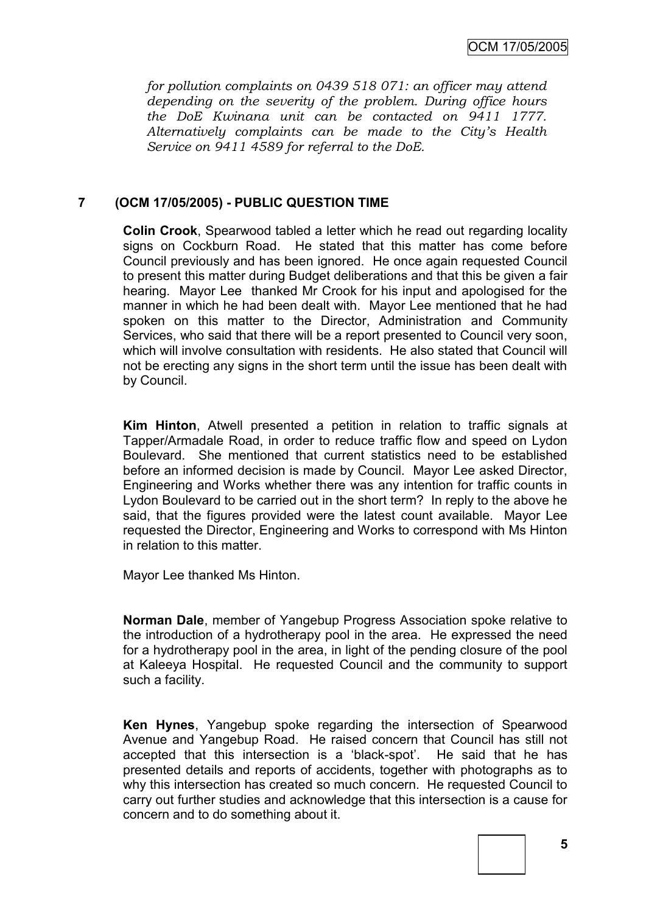*for pollution complaints on 0439 518 071: an officer may attend depending on the severity of the problem. During office hours the DoE Kwinana unit can be contacted on 9411 1777. Alternatively complaints can be made to the City"s Health Service on 9411 4589 for referral to the DoE.*

### **7 (OCM 17/05/2005) - PUBLIC QUESTION TIME**

**Colin Crook**, Spearwood tabled a letter which he read out regarding locality signs on Cockburn Road. He stated that this matter has come before Council previously and has been ignored. He once again requested Council to present this matter during Budget deliberations and that this be given a fair hearing. Mayor Lee thanked Mr Crook for his input and apologised for the manner in which he had been dealt with. Mayor Lee mentioned that he had spoken on this matter to the Director, Administration and Community Services, who said that there will be a report presented to Council very soon, which will involve consultation with residents. He also stated that Council will not be erecting any signs in the short term until the issue has been dealt with by Council.

**Kim Hinton**, Atwell presented a petition in relation to traffic signals at Tapper/Armadale Road, in order to reduce traffic flow and speed on Lydon Boulevard. She mentioned that current statistics need to be established before an informed decision is made by Council. Mayor Lee asked Director, Engineering and Works whether there was any intention for traffic counts in Lydon Boulevard to be carried out in the short term? In reply to the above he said, that the figures provided were the latest count available. Mayor Lee requested the Director, Engineering and Works to correspond with Ms Hinton in relation to this matter.

Mayor Lee thanked Ms Hinton.

**Norman Dale**, member of Yangebup Progress Association spoke relative to the introduction of a hydrotherapy pool in the area. He expressed the need for a hydrotherapy pool in the area, in light of the pending closure of the pool at Kaleeya Hospital. He requested Council and the community to support such a facility.

**Ken Hynes**, Yangebup spoke regarding the intersection of Spearwood Avenue and Yangebup Road. He raised concern that Council has still not accepted that this intersection is a "black-spot". He said that he has presented details and reports of accidents, together with photographs as to why this intersection has created so much concern. He requested Council to carry out further studies and acknowledge that this intersection is a cause for concern and to do something about it.

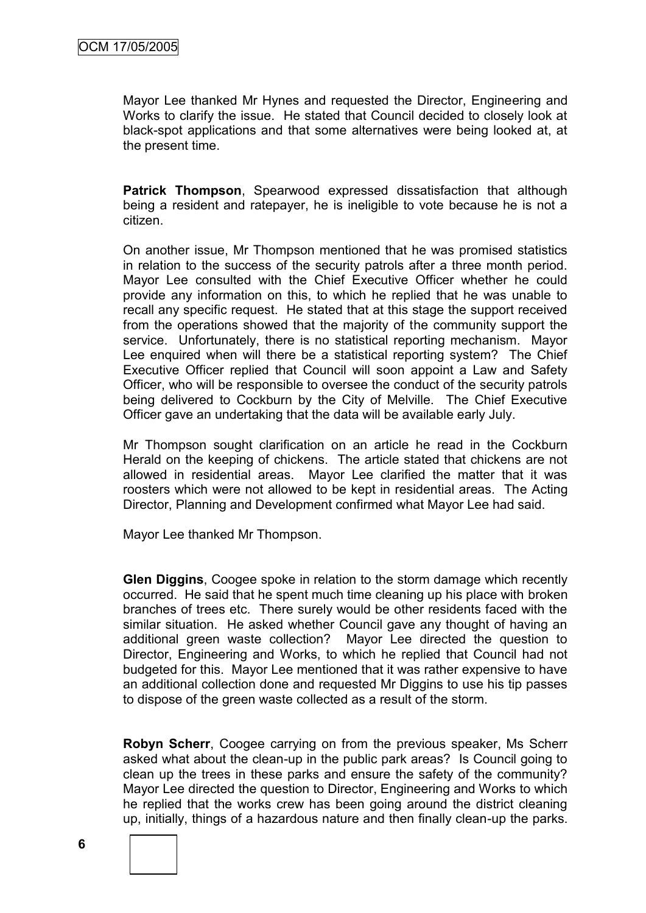Mayor Lee thanked Mr Hynes and requested the Director, Engineering and Works to clarify the issue. He stated that Council decided to closely look at black-spot applications and that some alternatives were being looked at, at the present time.

**Patrick Thompson**, Spearwood expressed dissatisfaction that although being a resident and ratepayer, he is ineligible to vote because he is not a citizen.

On another issue, Mr Thompson mentioned that he was promised statistics in relation to the success of the security patrols after a three month period. Mayor Lee consulted with the Chief Executive Officer whether he could provide any information on this, to which he replied that he was unable to recall any specific request. He stated that at this stage the support received from the operations showed that the majority of the community support the service. Unfortunately, there is no statistical reporting mechanism. Mayor Lee enquired when will there be a statistical reporting system? The Chief Executive Officer replied that Council will soon appoint a Law and Safety Officer, who will be responsible to oversee the conduct of the security patrols being delivered to Cockburn by the City of Melville. The Chief Executive Officer gave an undertaking that the data will be available early July.

Mr Thompson sought clarification on an article he read in the Cockburn Herald on the keeping of chickens. The article stated that chickens are not allowed in residential areas. Mayor Lee clarified the matter that it was roosters which were not allowed to be kept in residential areas. The Acting Director, Planning and Development confirmed what Mayor Lee had said.

Mayor Lee thanked Mr Thompson.

**Glen Diggins**, Coogee spoke in relation to the storm damage which recently occurred. He said that he spent much time cleaning up his place with broken branches of trees etc. There surely would be other residents faced with the similar situation. He asked whether Council gave any thought of having an additional green waste collection? Mayor Lee directed the question to Director, Engineering and Works, to which he replied that Council had not budgeted for this. Mayor Lee mentioned that it was rather expensive to have an additional collection done and requested Mr Diggins to use his tip passes to dispose of the green waste collected as a result of the storm.

**Robyn Scherr**, Coogee carrying on from the previous speaker, Ms Scherr asked what about the clean-up in the public park areas? Is Council going to clean up the trees in these parks and ensure the safety of the community? Mayor Lee directed the question to Director, Engineering and Works to which he replied that the works crew has been going around the district cleaning up, initially, things of a hazardous nature and then finally clean-up the parks.



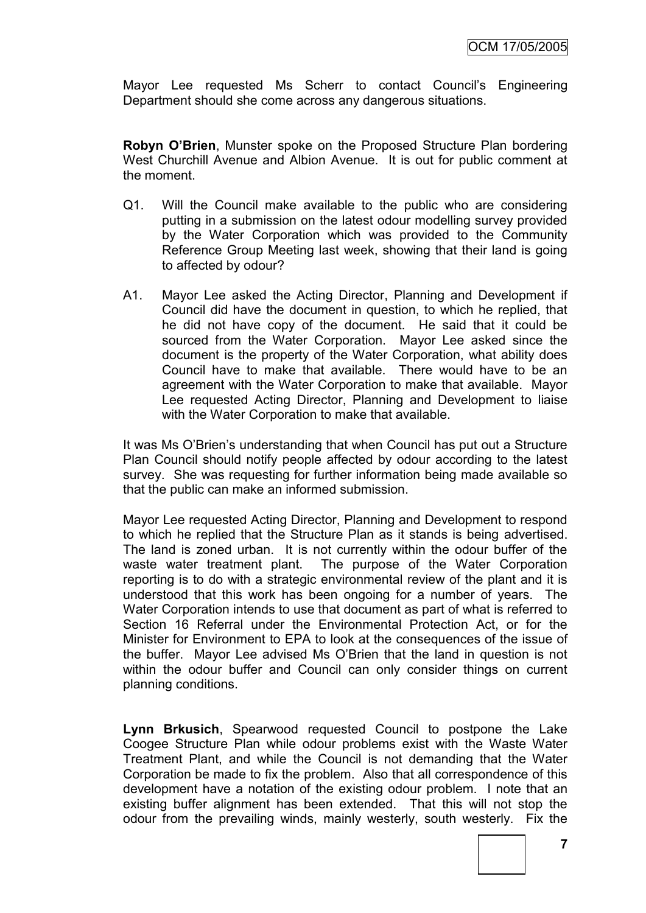Mayor Lee requested Ms Scherr to contact Council's Engineering Department should she come across any dangerous situations.

**Robyn O'Brien**, Munster spoke on the Proposed Structure Plan bordering West Churchill Avenue and Albion Avenue. It is out for public comment at the moment.

- Q1. Will the Council make available to the public who are considering putting in a submission on the latest odour modelling survey provided by the Water Corporation which was provided to the Community Reference Group Meeting last week, showing that their land is going to affected by odour?
- A1. Mayor Lee asked the Acting Director, Planning and Development if Council did have the document in question, to which he replied, that he did not have copy of the document. He said that it could be sourced from the Water Corporation. Mayor Lee asked since the document is the property of the Water Corporation, what ability does Council have to make that available. There would have to be an agreement with the Water Corporation to make that available. Mayor Lee requested Acting Director, Planning and Development to liaise with the Water Corporation to make that available.

It was Ms O"Brien"s understanding that when Council has put out a Structure Plan Council should notify people affected by odour according to the latest survey. She was requesting for further information being made available so that the public can make an informed submission.

Mayor Lee requested Acting Director, Planning and Development to respond to which he replied that the Structure Plan as it stands is being advertised. The land is zoned urban. It is not currently within the odour buffer of the waste water treatment plant. The purpose of the Water Corporation reporting is to do with a strategic environmental review of the plant and it is understood that this work has been ongoing for a number of years. The Water Corporation intends to use that document as part of what is referred to Section 16 Referral under the Environmental Protection Act, or for the Minister for Environment to EPA to look at the consequences of the issue of the buffer. Mayor Lee advised Ms O"Brien that the land in question is not within the odour buffer and Council can only consider things on current planning conditions.

**Lynn Brkusich**, Spearwood requested Council to postpone the Lake Coogee Structure Plan while odour problems exist with the Waste Water Treatment Plant, and while the Council is not demanding that the Water Corporation be made to fix the problem. Also that all correspondence of this development have a notation of the existing odour problem. I note that an existing buffer alignment has been extended. That this will not stop the odour from the prevailing winds, mainly westerly, south westerly. Fix the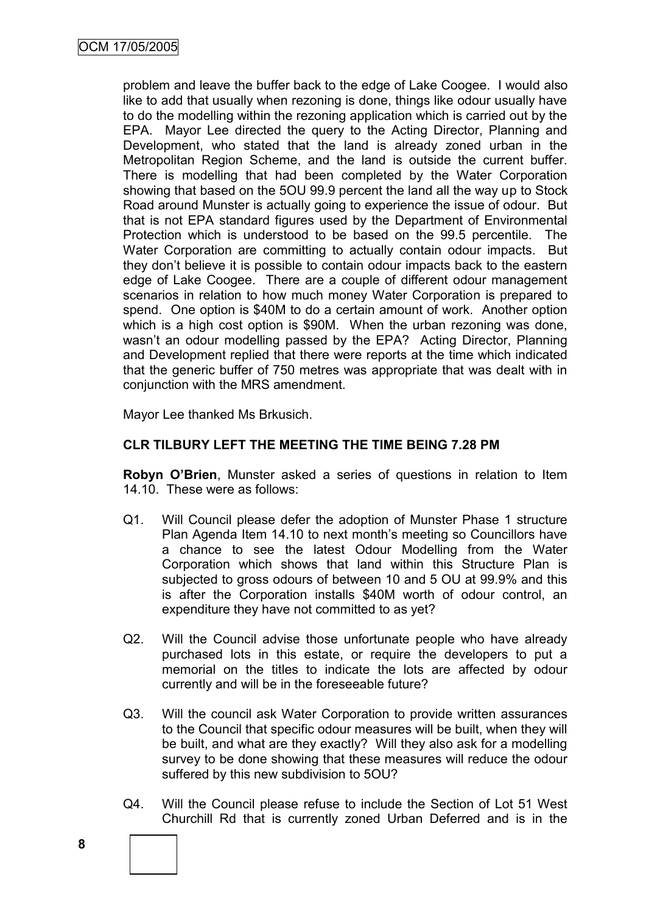problem and leave the buffer back to the edge of Lake Coogee. I would also like to add that usually when rezoning is done, things like odour usually have to do the modelling within the rezoning application which is carried out by the EPA. Mayor Lee directed the query to the Acting Director, Planning and Development, who stated that the land is already zoned urban in the Metropolitan Region Scheme, and the land is outside the current buffer. There is modelling that had been completed by the Water Corporation showing that based on the 5OU 99.9 percent the land all the way up to Stock Road around Munster is actually going to experience the issue of odour. But that is not EPA standard figures used by the Department of Environmental Protection which is understood to be based on the 99.5 percentile. The Water Corporation are committing to actually contain odour impacts. But they don"t believe it is possible to contain odour impacts back to the eastern edge of Lake Coogee. There are a couple of different odour management scenarios in relation to how much money Water Corporation is prepared to spend. One option is \$40M to do a certain amount of work. Another option which is a high cost option is \$90M. When the urban rezoning was done, wasn't an odour modelling passed by the EPA? Acting Director, Planning and Development replied that there were reports at the time which indicated that the generic buffer of 750 metres was appropriate that was dealt with in conjunction with the MRS amendment.

Mayor Lee thanked Ms Brkusich.

### **CLR TILBURY LEFT THE MEETING THE TIME BEING 7.28 PM**

**Robyn O'Brien**, Munster asked a series of questions in relation to Item 14.10. These were as follows:

- Q1. Will Council please defer the adoption of Munster Phase 1 structure Plan Agenda Item 14.10 to next month"s meeting so Councillors have a chance to see the latest Odour Modelling from the Water Corporation which shows that land within this Structure Plan is subjected to gross odours of between 10 and 5 OU at 99.9% and this is after the Corporation installs \$40M worth of odour control, an expenditure they have not committed to as yet?
- Q2. Will the Council advise those unfortunate people who have already purchased lots in this estate, or require the developers to put a memorial on the titles to indicate the lots are affected by odour currently and will be in the foreseeable future?
- Q3. Will the council ask Water Corporation to provide written assurances to the Council that specific odour measures will be built, when they will be built, and what are they exactly? Will they also ask for a modelling survey to be done showing that these measures will reduce the odour suffered by this new subdivision to 5OU?
- Q4. Will the Council please refuse to include the Section of Lot 51 West Churchill Rd that is currently zoned Urban Deferred and is in the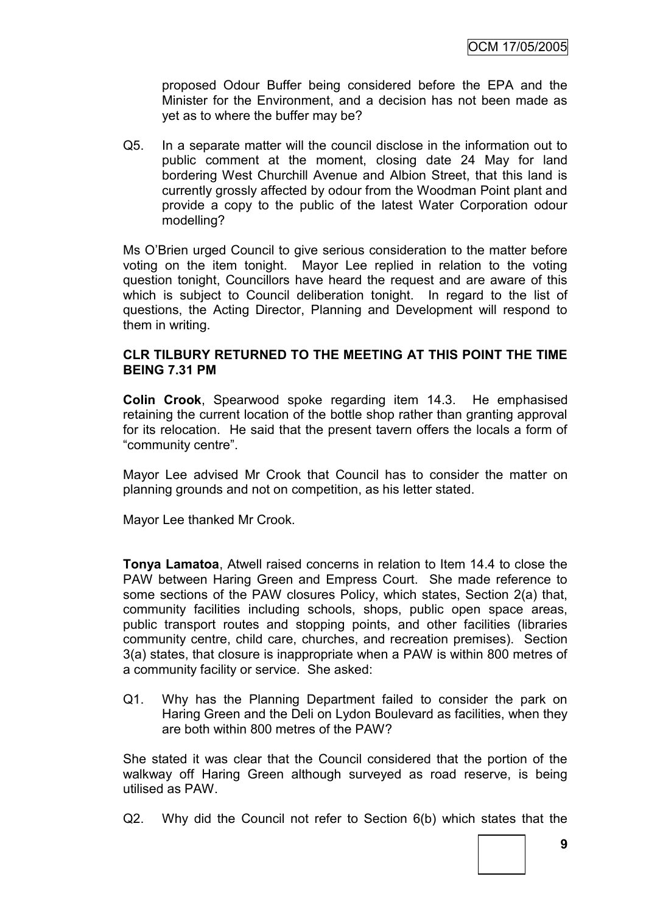proposed Odour Buffer being considered before the EPA and the Minister for the Environment, and a decision has not been made as yet as to where the buffer may be?

Q5. In a separate matter will the council disclose in the information out to public comment at the moment, closing date 24 May for land bordering West Churchill Avenue and Albion Street, that this land is currently grossly affected by odour from the Woodman Point plant and provide a copy to the public of the latest Water Corporation odour modelling?

Ms O"Brien urged Council to give serious consideration to the matter before voting on the item tonight. Mayor Lee replied in relation to the voting question tonight, Councillors have heard the request and are aware of this which is subject to Council deliberation tonight. In regard to the list of questions, the Acting Director, Planning and Development will respond to them in writing.

### **CLR TILBURY RETURNED TO THE MEETING AT THIS POINT THE TIME BEING 7.31 PM**

**Colin Crook**, Spearwood spoke regarding item 14.3. He emphasised retaining the current location of the bottle shop rather than granting approval for its relocation. He said that the present tavern offers the locals a form of "community centre".

Mayor Lee advised Mr Crook that Council has to consider the matter on planning grounds and not on competition, as his letter stated.

Mayor Lee thanked Mr Crook.

**Tonya Lamatoa**, Atwell raised concerns in relation to Item 14.4 to close the PAW between Haring Green and Empress Court. She made reference to some sections of the PAW closures Policy, which states, Section 2(a) that, community facilities including schools, shops, public open space areas, public transport routes and stopping points, and other facilities (libraries community centre, child care, churches, and recreation premises). Section 3(a) states, that closure is inappropriate when a PAW is within 800 metres of a community facility or service. She asked:

Q1. Why has the Planning Department failed to consider the park on Haring Green and the Deli on Lydon Boulevard as facilities, when they are both within 800 metres of the PAW?

She stated it was clear that the Council considered that the portion of the walkway off Haring Green although surveyed as road reserve, is being utilised as PAW.

Q2. Why did the Council not refer to Section 6(b) which states that the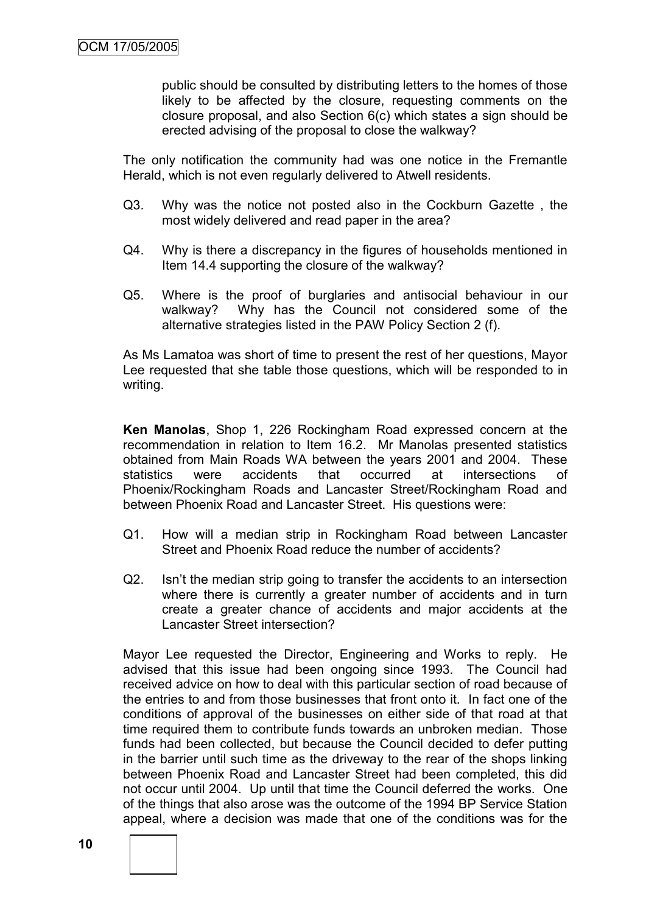public should be consulted by distributing letters to the homes of those likely to be affected by the closure, requesting comments on the closure proposal, and also Section 6(c) which states a sign should be erected advising of the proposal to close the walkway?

The only notification the community had was one notice in the Fremantle Herald, which is not even regularly delivered to Atwell residents.

- Q3. Why was the notice not posted also in the Cockburn Gazette , the most widely delivered and read paper in the area?
- Q4. Why is there a discrepancy in the figures of households mentioned in Item 14.4 supporting the closure of the walkway?
- Q5. Where is the proof of burglaries and antisocial behaviour in our walkway? Why has the Council not considered some of the alternative strategies listed in the PAW Policy Section 2 (f).

As Ms Lamatoa was short of time to present the rest of her questions, Mayor Lee requested that she table those questions, which will be responded to in writing.

**Ken Manolas**, Shop 1, 226 Rockingham Road expressed concern at the recommendation in relation to Item 16.2. Mr Manolas presented statistics obtained from Main Roads WA between the years 2001 and 2004. These statistics were accidents that occurred at intersections of Phoenix/Rockingham Roads and Lancaster Street/Rockingham Road and between Phoenix Road and Lancaster Street. His questions were:

- Q1. How will a median strip in Rockingham Road between Lancaster Street and Phoenix Road reduce the number of accidents?
- Q2. Isn't the median strip going to transfer the accidents to an intersection where there is currently a greater number of accidents and in turn create a greater chance of accidents and major accidents at the Lancaster Street intersection?

Mayor Lee requested the Director, Engineering and Works to reply. He advised that this issue had been ongoing since 1993. The Council had received advice on how to deal with this particular section of road because of the entries to and from those businesses that front onto it. In fact one of the conditions of approval of the businesses on either side of that road at that time required them to contribute funds towards an unbroken median. Those funds had been collected, but because the Council decided to defer putting in the barrier until such time as the driveway to the rear of the shops linking between Phoenix Road and Lancaster Street had been completed, this did not occur until 2004. Up until that time the Council deferred the works. One of the things that also arose was the outcome of the 1994 BP Service Station appeal, where a decision was made that one of the conditions was for the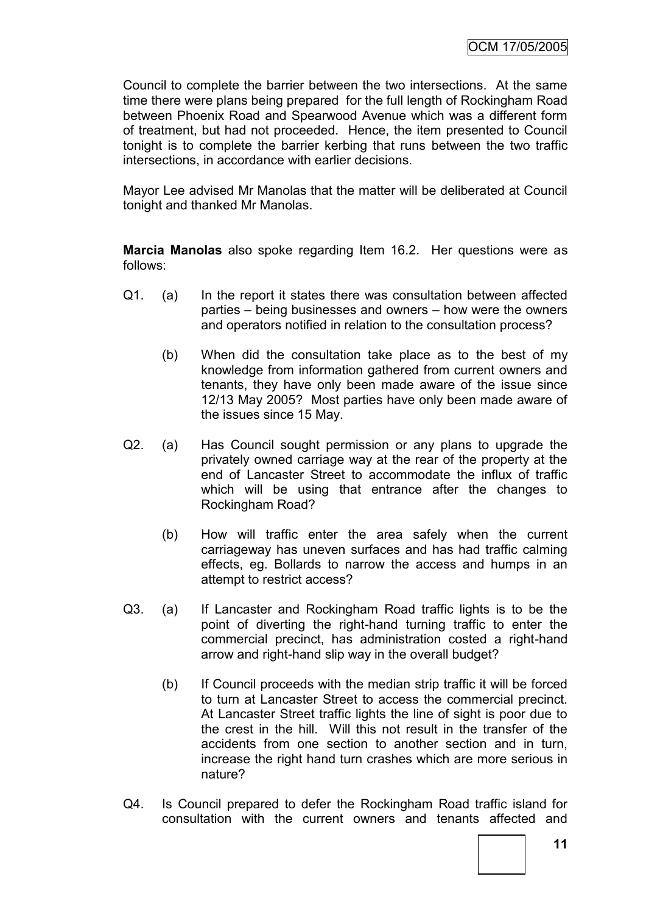Council to complete the barrier between the two intersections. At the same time there were plans being prepared for the full length of Rockingham Road between Phoenix Road and Spearwood Avenue which was a different form of treatment, but had not proceeded. Hence, the item presented to Council tonight is to complete the barrier kerbing that runs between the two traffic intersections, in accordance with earlier decisions.

Mayor Lee advised Mr Manolas that the matter will be deliberated at Council tonight and thanked Mr Manolas.

**Marcia Manolas** also spoke regarding Item 16.2. Her questions were as follows:

- Q1. (a) In the report it states there was consultation between affected parties – being businesses and owners – how were the owners and operators notified in relation to the consultation process?
	- (b) When did the consultation take place as to the best of my knowledge from information gathered from current owners and tenants, they have only been made aware of the issue since 12/13 May 2005? Most parties have only been made aware of the issues since 15 May.
- Q2. (a) Has Council sought permission or any plans to upgrade the privately owned carriage way at the rear of the property at the end of Lancaster Street to accommodate the influx of traffic which will be using that entrance after the changes to Rockingham Road?
	- (b) How will traffic enter the area safely when the current carriageway has uneven surfaces and has had traffic calming effects, eg. Bollards to narrow the access and humps in an attempt to restrict access?
- Q3. (a) If Lancaster and Rockingham Road traffic lights is to be the point of diverting the right-hand turning traffic to enter the commercial precinct, has administration costed a right-hand arrow and right-hand slip way in the overall budget?
	- (b) If Council proceeds with the median strip traffic it will be forced to turn at Lancaster Street to access the commercial precinct. At Lancaster Street traffic lights the line of sight is poor due to the crest in the hill. Will this not result in the transfer of the accidents from one section to another section and in turn, increase the right hand turn crashes which are more serious in nature?
- Q4. Is Council prepared to defer the Rockingham Road traffic island for consultation with the current owners and tenants affected and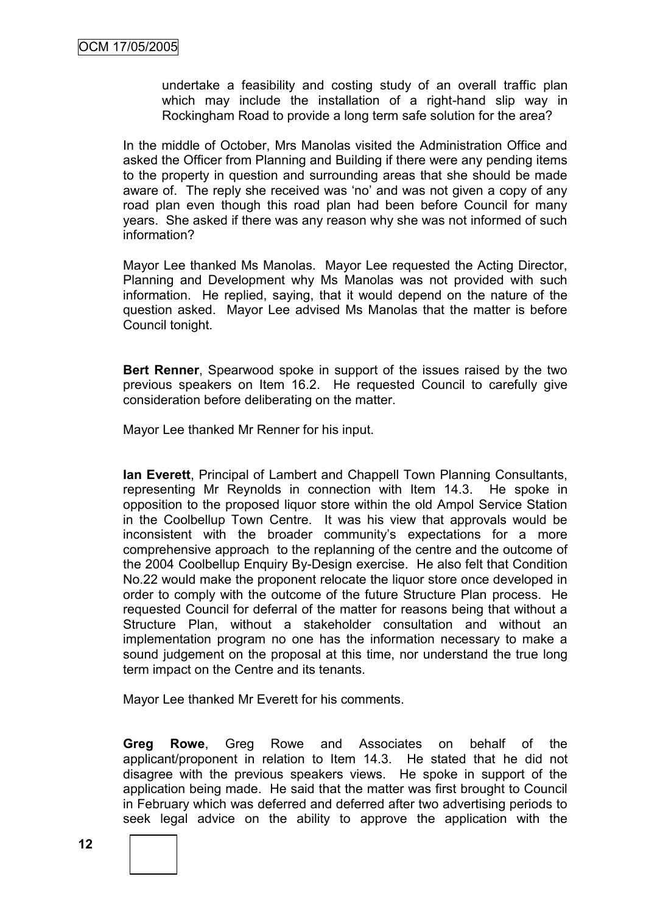undertake a feasibility and costing study of an overall traffic plan which may include the installation of a right-hand slip way in Rockingham Road to provide a long term safe solution for the area?

In the middle of October, Mrs Manolas visited the Administration Office and asked the Officer from Planning and Building if there were any pending items to the property in question and surrounding areas that she should be made aware of. The reply she received was 'no' and was not given a copy of any road plan even though this road plan had been before Council for many years. She asked if there was any reason why she was not informed of such information?

Mayor Lee thanked Ms Manolas. Mayor Lee requested the Acting Director, Planning and Development why Ms Manolas was not provided with such information. He replied, saying, that it would depend on the nature of the question asked. Mayor Lee advised Ms Manolas that the matter is before Council tonight.

**Bert Renner**, Spearwood spoke in support of the issues raised by the two previous speakers on Item 16.2. He requested Council to carefully give consideration before deliberating on the matter.

Mayor Lee thanked Mr Renner for his input.

**Ian Everett**, Principal of Lambert and Chappell Town Planning Consultants, representing Mr Reynolds in connection with Item 14.3. He spoke in opposition to the proposed liquor store within the old Ampol Service Station in the Coolbellup Town Centre. It was his view that approvals would be inconsistent with the broader community's expectations for a more comprehensive approach to the replanning of the centre and the outcome of the 2004 Coolbellup Enquiry By-Design exercise. He also felt that Condition No.22 would make the proponent relocate the liquor store once developed in order to comply with the outcome of the future Structure Plan process. He requested Council for deferral of the matter for reasons being that without a Structure Plan, without a stakeholder consultation and without an implementation program no one has the information necessary to make a sound judgement on the proposal at this time, nor understand the true long term impact on the Centre and its tenants.

Mayor Lee thanked Mr Everett for his comments.

**Greg Rowe**, Greg Rowe and Associates on behalf of the applicant/proponent in relation to Item 14.3. He stated that he did not disagree with the previous speakers views. He spoke in support of the application being made. He said that the matter was first brought to Council in February which was deferred and deferred after two advertising periods to seek legal advice on the ability to approve the application with the

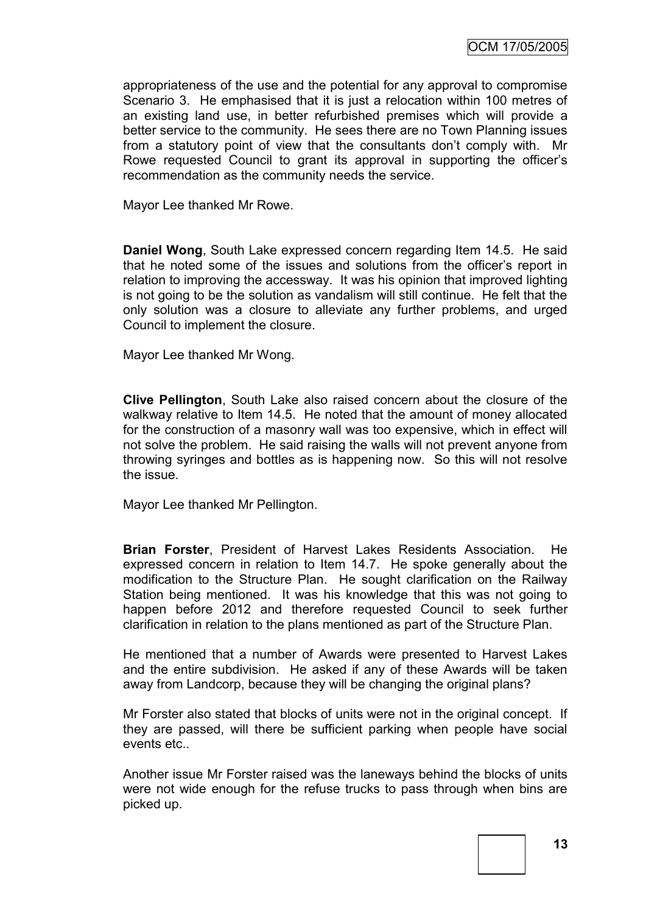appropriateness of the use and the potential for any approval to compromise Scenario 3. He emphasised that it is just a relocation within 100 metres of an existing land use, in better refurbished premises which will provide a better service to the community. He sees there are no Town Planning issues from a statutory point of view that the consultants don"t comply with. Mr Rowe requested Council to grant its approval in supporting the officer"s recommendation as the community needs the service.

Mayor Lee thanked Mr Rowe.

**Daniel Wong**, South Lake expressed concern regarding Item 14.5. He said that he noted some of the issues and solutions from the officer"s report in relation to improving the accessway. It was his opinion that improved lighting is not going to be the solution as vandalism will still continue. He felt that the only solution was a closure to alleviate any further problems, and urged Council to implement the closure.

Mayor Lee thanked Mr Wong.

**Clive Pellington**, South Lake also raised concern about the closure of the walkway relative to Item 14.5. He noted that the amount of money allocated for the construction of a masonry wall was too expensive, which in effect will not solve the problem. He said raising the walls will not prevent anyone from throwing syringes and bottles as is happening now. So this will not resolve the issue.

Mayor Lee thanked Mr Pellington.

**Brian Forster**, President of Harvest Lakes Residents Association. He expressed concern in relation to Item 14.7. He spoke generally about the modification to the Structure Plan. He sought clarification on the Railway Station being mentioned. It was his knowledge that this was not going to happen before 2012 and therefore requested Council to seek further clarification in relation to the plans mentioned as part of the Structure Plan.

He mentioned that a number of Awards were presented to Harvest Lakes and the entire subdivision. He asked if any of these Awards will be taken away from Landcorp, because they will be changing the original plans?

Mr Forster also stated that blocks of units were not in the original concept. If they are passed, will there be sufficient parking when people have social events etc..

Another issue Mr Forster raised was the laneways behind the blocks of units were not wide enough for the refuse trucks to pass through when bins are picked up.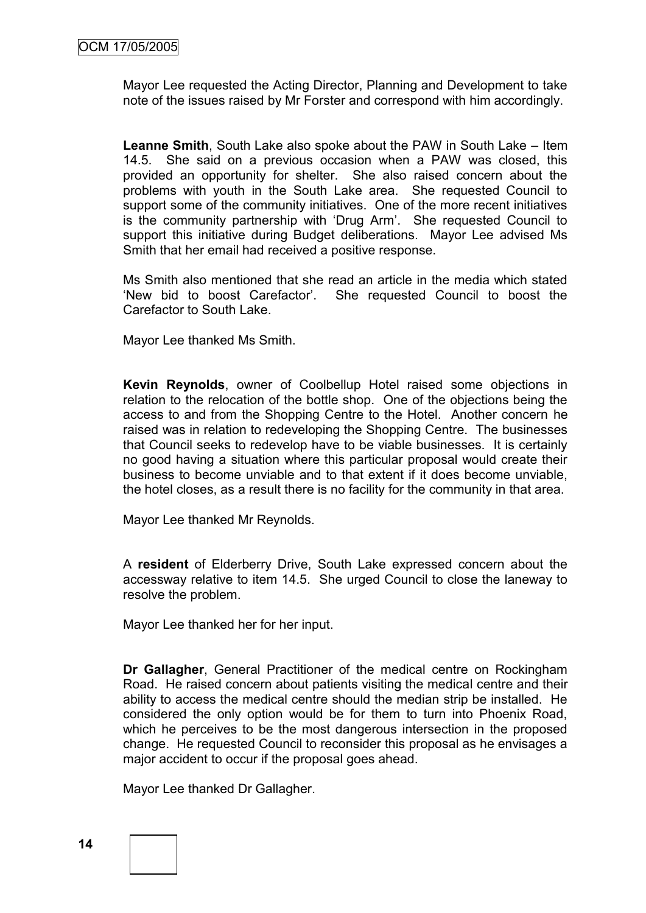Mayor Lee requested the Acting Director, Planning and Development to take note of the issues raised by Mr Forster and correspond with him accordingly.

**Leanne Smith**, South Lake also spoke about the PAW in South Lake – Item 14.5. She said on a previous occasion when a PAW was closed, this provided an opportunity for shelter. She also raised concern about the problems with youth in the South Lake area. She requested Council to support some of the community initiatives. One of the more recent initiatives is the community partnership with "Drug Arm". She requested Council to support this initiative during Budget deliberations. Mayor Lee advised Ms Smith that her email had received a positive response.

Ms Smith also mentioned that she read an article in the media which stated "New bid to boost Carefactor". She requested Council to boost the Carefactor to South Lake.

Mayor Lee thanked Ms Smith.

**Kevin Reynolds**, owner of Coolbellup Hotel raised some objections in relation to the relocation of the bottle shop. One of the objections being the access to and from the Shopping Centre to the Hotel. Another concern he raised was in relation to redeveloping the Shopping Centre. The businesses that Council seeks to redevelop have to be viable businesses. It is certainly no good having a situation where this particular proposal would create their business to become unviable and to that extent if it does become unviable, the hotel closes, as a result there is no facility for the community in that area.

Mayor Lee thanked Mr Reynolds.

A **resident** of Elderberry Drive, South Lake expressed concern about the accessway relative to item 14.5. She urged Council to close the laneway to resolve the problem.

Mayor Lee thanked her for her input.

**Dr Gallagher**, General Practitioner of the medical centre on Rockingham Road. He raised concern about patients visiting the medical centre and their ability to access the medical centre should the median strip be installed. He considered the only option would be for them to turn into Phoenix Road, which he perceives to be the most dangerous intersection in the proposed change. He requested Council to reconsider this proposal as he envisages a major accident to occur if the proposal goes ahead.

Mayor Lee thanked Dr Gallagher.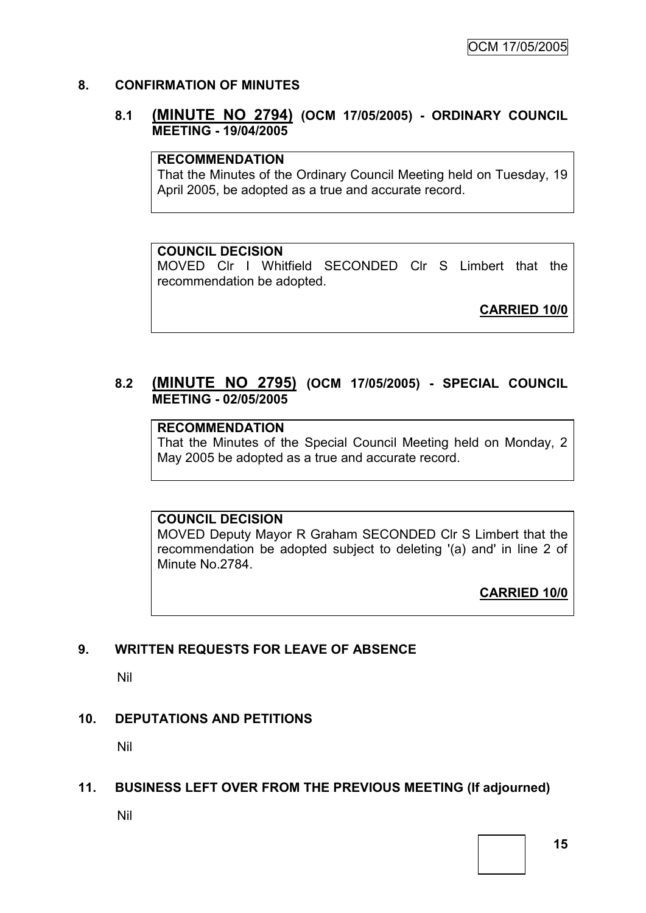### **8. CONFIRMATION OF MINUTES**

### **8.1 (MINUTE NO 2794) (OCM 17/05/2005) - ORDINARY COUNCIL MEETING - 19/04/2005**

### **RECOMMENDATION**

That the Minutes of the Ordinary Council Meeting held on Tuesday, 19 April 2005, be adopted as a true and accurate record.

### **COUNCIL DECISION**

MOVED Clr I Whitfield SECONDED Clr S Limbert that the recommendation be adopted.

**CARRIED 10/0**

### **8.2 (MINUTE NO 2795) (OCM 17/05/2005) - SPECIAL COUNCIL MEETING - 02/05/2005**

### **RECOMMENDATION**

That the Minutes of the Special Council Meeting held on Monday, 2 May 2005 be adopted as a true and accurate record.

### **COUNCIL DECISION**

MOVED Deputy Mayor R Graham SECONDED Clr S Limbert that the recommendation be adopted subject to deleting '(a) and' in line 2 of Minute No.2784.

**CARRIED 10/0**

# **9. WRITTEN REQUESTS FOR LEAVE OF ABSENCE**

Nil

# **10. DEPUTATIONS AND PETITIONS**

Nil

### **11. BUSINESS LEFT OVER FROM THE PREVIOUS MEETING (If adjourned)**

Nil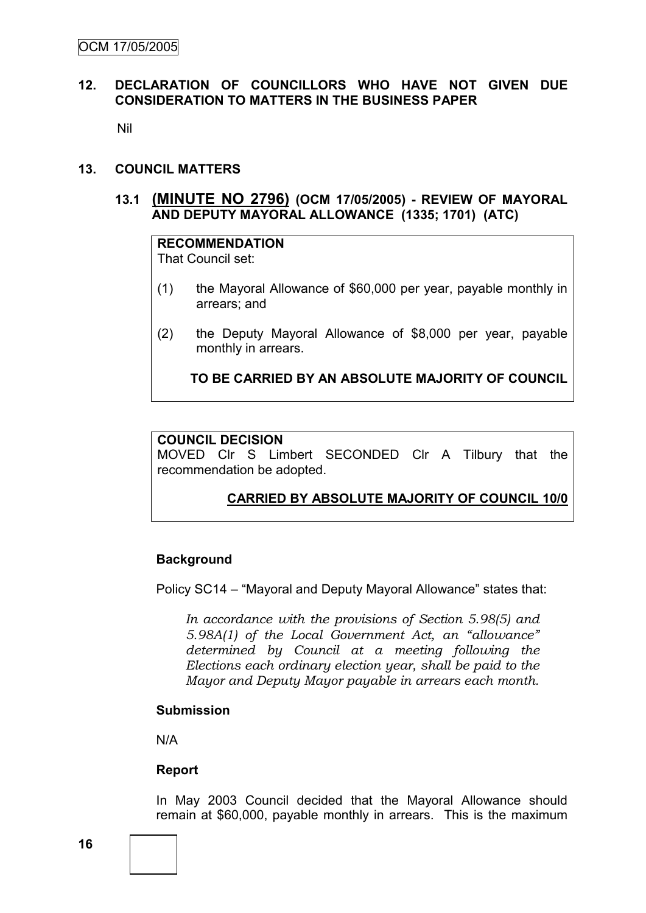### **12. DECLARATION OF COUNCILLORS WHO HAVE NOT GIVEN DUE CONSIDERATION TO MATTERS IN THE BUSINESS PAPER**

Nil

#### **13. COUNCIL MATTERS**

### **13.1 (MINUTE NO 2796) (OCM 17/05/2005) - REVIEW OF MAYORAL AND DEPUTY MAYORAL ALLOWANCE (1335; 1701) (ATC)**

# **RECOMMENDATION**

That Council set:

- (1) the Mayoral Allowance of \$60,000 per year, payable monthly in arrears; and
- (2) the Deputy Mayoral Allowance of \$8,000 per year, payable monthly in arrears.

**TO BE CARRIED BY AN ABSOLUTE MAJORITY OF COUNCIL**

#### **COUNCIL DECISION**

MOVED Clr S Limbert SECONDED Clr A Tilbury that the recommendation be adopted.

# **CARRIED BY ABSOLUTE MAJORITY OF COUNCIL 10/0**

### **Background**

Policy SC14 – "Mayoral and Deputy Mayoral Allowance" states that:

*In accordance with the provisions of Section 5.98(5) and 5.98A(1) of the Local Government Act, an "allowance" determined by Council at a meeting following the Elections each ordinary election year, shall be paid to the Mayor and Deputy Mayor payable in arrears each month.*

#### **Submission**

N/A

### **Report**

In May 2003 Council decided that the Mayoral Allowance should remain at \$60,000, payable monthly in arrears. This is the maximum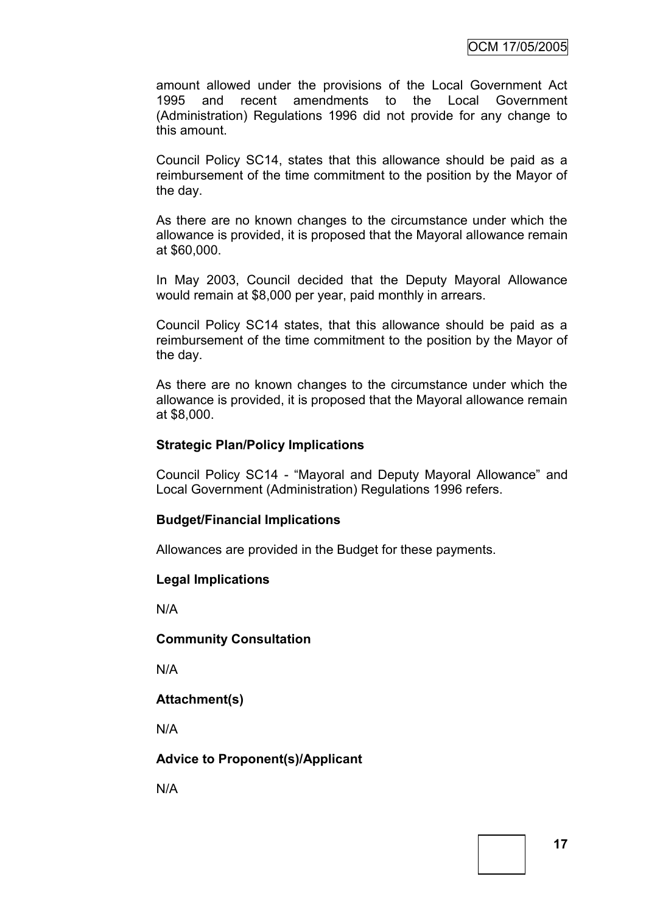amount allowed under the provisions of the Local Government Act 1995 and recent amendments to the Local Government (Administration) Regulations 1996 did not provide for any change to this amount.

Council Policy SC14, states that this allowance should be paid as a reimbursement of the time commitment to the position by the Mayor of the day.

As there are no known changes to the circumstance under which the allowance is provided, it is proposed that the Mayoral allowance remain at \$60,000.

In May 2003, Council decided that the Deputy Mayoral Allowance would remain at \$8,000 per year, paid monthly in arrears.

Council Policy SC14 states, that this allowance should be paid as a reimbursement of the time commitment to the position by the Mayor of the day.

As there are no known changes to the circumstance under which the allowance is provided, it is proposed that the Mayoral allowance remain at \$8,000.

#### **Strategic Plan/Policy Implications**

Council Policy SC14 - "Mayoral and Deputy Mayoral Allowance" and Local Government (Administration) Regulations 1996 refers.

### **Budget/Financial Implications**

Allowances are provided in the Budget for these payments.

#### **Legal Implications**

N/A

#### **Community Consultation**

N/A

### **Attachment(s)**

N/A

### **Advice to Proponent(s)/Applicant**

N/A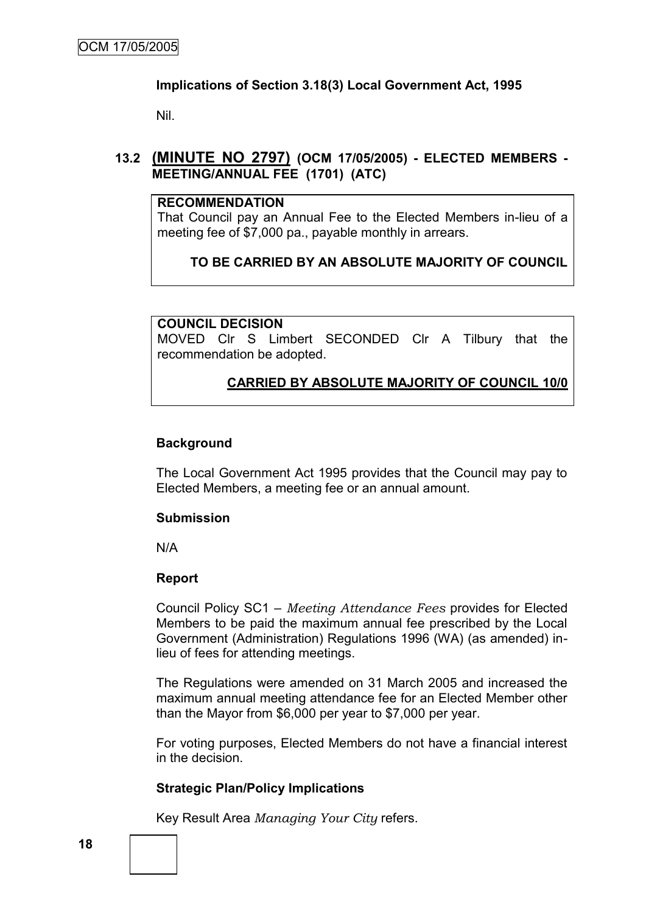### **Implications of Section 3.18(3) Local Government Act, 1995**

Nil.

### **13.2 (MINUTE NO 2797) (OCM 17/05/2005) - ELECTED MEMBERS - MEETING/ANNUAL FEE (1701) (ATC)**

### **RECOMMENDATION**

That Council pay an Annual Fee to the Elected Members in-lieu of a meeting fee of \$7,000 pa., payable monthly in arrears.

### **TO BE CARRIED BY AN ABSOLUTE MAJORITY OF COUNCIL**

#### **COUNCIL DECISION**

MOVED Clr S Limbert SECONDED Clr A Tilbury that the recommendation be adopted.

### **CARRIED BY ABSOLUTE MAJORITY OF COUNCIL 10/0**

#### **Background**

The Local Government Act 1995 provides that the Council may pay to Elected Members, a meeting fee or an annual amount.

#### **Submission**

N/A

#### **Report**

Council Policy SC1 – *Meeting Attendance Fees* provides for Elected Members to be paid the maximum annual fee prescribed by the Local Government (Administration) Regulations 1996 (WA) (as amended) inlieu of fees for attending meetings.

The Regulations were amended on 31 March 2005 and increased the maximum annual meeting attendance fee for an Elected Member other than the Mayor from \$6,000 per year to \$7,000 per year.

For voting purposes, Elected Members do not have a financial interest in the decision.

### **Strategic Plan/Policy Implications**

Key Result Area *Managing Your City* refers.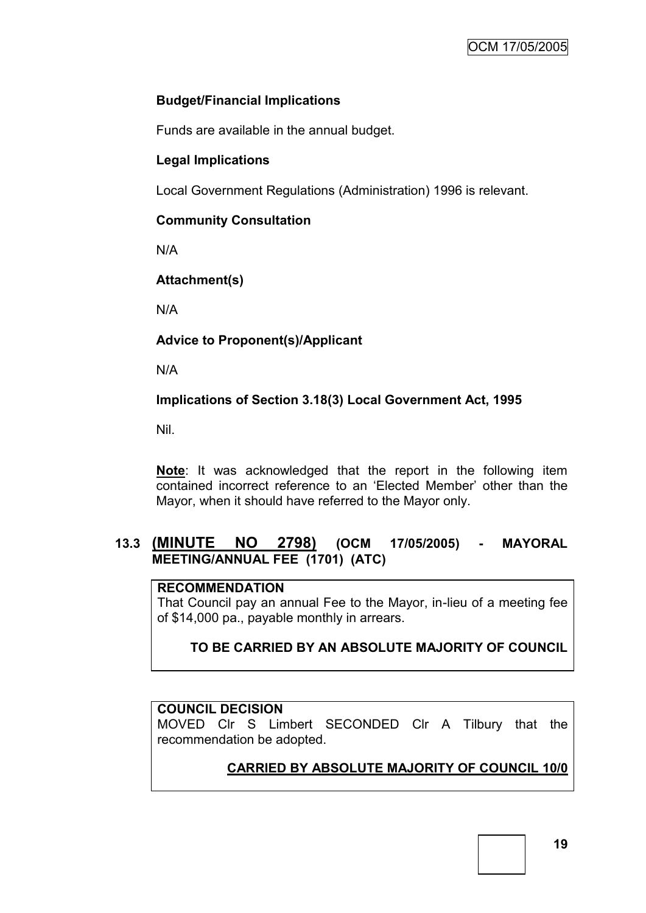# **Budget/Financial Implications**

Funds are available in the annual budget.

# **Legal Implications**

Local Government Regulations (Administration) 1996 is relevant.

### **Community Consultation**

N/A

# **Attachment(s)**

N/A

# **Advice to Proponent(s)/Applicant**

N/A

# **Implications of Section 3.18(3) Local Government Act, 1995**

Nil.

**Note**: It was acknowledged that the report in the following item contained incorrect reference to an "Elected Member" other than the Mayor, when it should have referred to the Mayor only.

# **13.3 (MINUTE NO 2798) (OCM 17/05/2005) - MAYORAL MEETING/ANNUAL FEE (1701) (ATC)**

# **RECOMMENDATION**

That Council pay an annual Fee to the Mayor, in-lieu of a meeting fee of \$14,000 pa., payable monthly in arrears.

# **TO BE CARRIED BY AN ABSOLUTE MAJORITY OF COUNCIL**

# **COUNCIL DECISION**

MOVED Clr S Limbert SECONDED Clr A Tilbury that the recommendation be adopted.

# **CARRIED BY ABSOLUTE MAJORITY OF COUNCIL 10/0**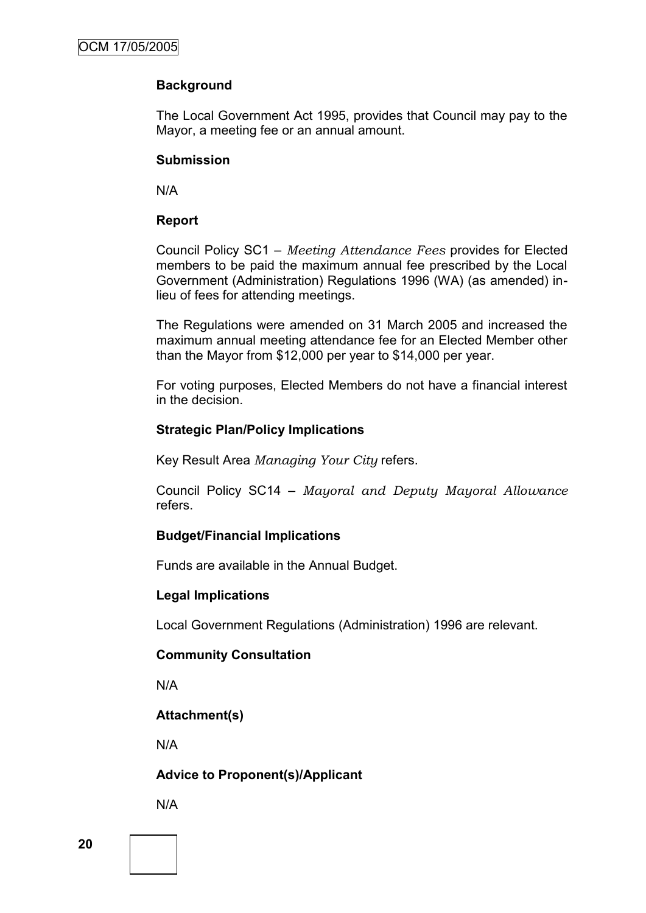### **Background**

The Local Government Act 1995, provides that Council may pay to the Mayor, a meeting fee or an annual amount.

### **Submission**

N/A

### **Report**

Council Policy SC1 – *Meeting Attendance Fees* provides for Elected members to be paid the maximum annual fee prescribed by the Local Government (Administration) Regulations 1996 (WA) (as amended) inlieu of fees for attending meetings.

The Regulations were amended on 31 March 2005 and increased the maximum annual meeting attendance fee for an Elected Member other than the Mayor from \$12,000 per year to \$14,000 per year.

For voting purposes, Elected Members do not have a financial interest in the decision.

### **Strategic Plan/Policy Implications**

Key Result Area *Managing Your City* refers.

Council Policy SC14 – *Mayoral and Deputy Mayoral Allowance* refers.

### **Budget/Financial Implications**

Funds are available in the Annual Budget.

### **Legal Implications**

Local Government Regulations (Administration) 1996 are relevant.

### **Community Consultation**

N/A

### **Attachment(s)**

N/A

# **Advice to Proponent(s)/Applicant**

N/A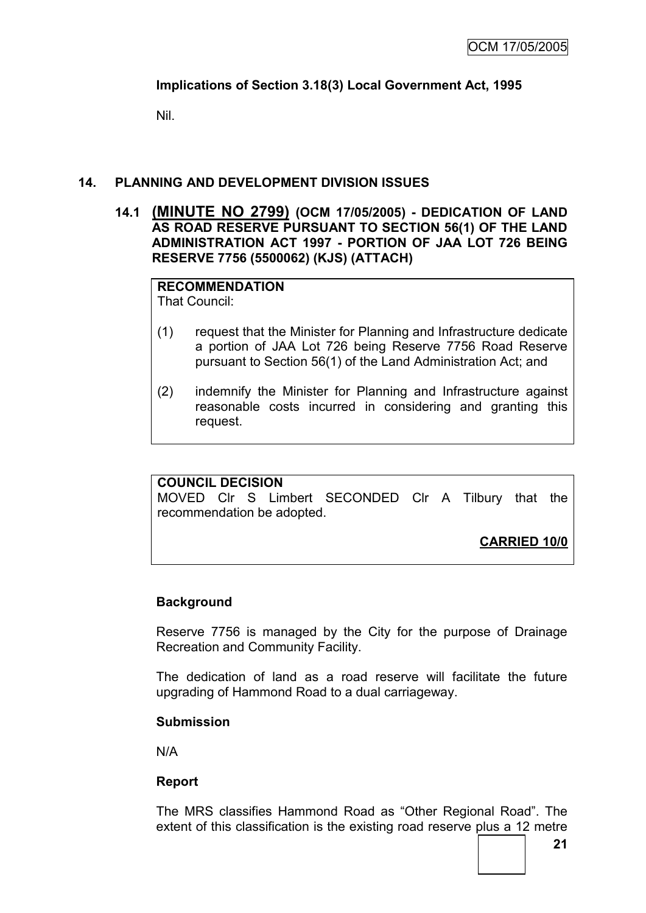# **Implications of Section 3.18(3) Local Government Act, 1995**

Nil.

### **14. PLANNING AND DEVELOPMENT DIVISION ISSUES**

**14.1 (MINUTE NO 2799) (OCM 17/05/2005) - DEDICATION OF LAND AS ROAD RESERVE PURSUANT TO SECTION 56(1) OF THE LAND ADMINISTRATION ACT 1997 - PORTION OF JAA LOT 726 BEING RESERVE 7756 (5500062) (KJS) (ATTACH)**

**RECOMMENDATION** That Council:

- (1) request that the Minister for Planning and Infrastructure dedicate a portion of JAA Lot 726 being Reserve 7756 Road Reserve pursuant to Section 56(1) of the Land Administration Act; and
- (2) indemnify the Minister for Planning and Infrastructure against reasonable costs incurred in considering and granting this request.

### **COUNCIL DECISION**

MOVED Clr S Limbert SECONDED Clr A Tilbury that the recommendation be adopted.

**CARRIED 10/0**

### **Background**

Reserve 7756 is managed by the City for the purpose of Drainage Recreation and Community Facility.

The dedication of land as a road reserve will facilitate the future upgrading of Hammond Road to a dual carriageway.

### **Submission**

N/A

### **Report**

The MRS classifies Hammond Road as "Other Regional Road". The extent of this classification is the existing road reserve plus a 12 metre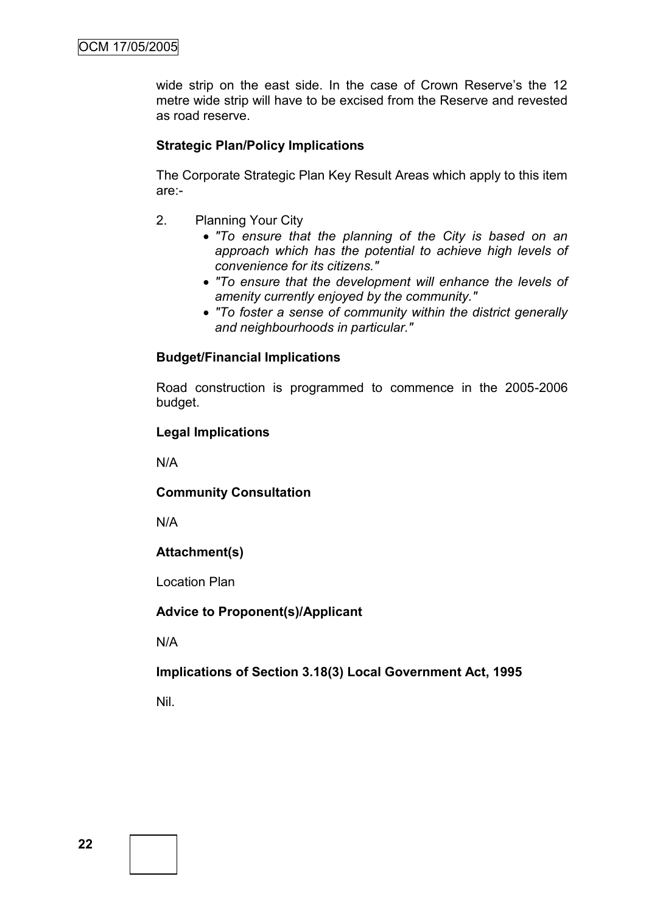wide strip on the east side. In the case of Crown Reserve's the 12 metre wide strip will have to be excised from the Reserve and revested as road reserve.

### **Strategic Plan/Policy Implications**

The Corporate Strategic Plan Key Result Areas which apply to this item are:-

- 2. Planning Your City
	- *"To ensure that the planning of the City is based on an approach which has the potential to achieve high levels of convenience for its citizens."*
	- *"To ensure that the development will enhance the levels of amenity currently enjoyed by the community."*
	- *"To foster a sense of community within the district generally and neighbourhoods in particular."*

### **Budget/Financial Implications**

Road construction is programmed to commence in the 2005-2006 budget.

### **Legal Implications**

N/A

### **Community Consultation**

N/A

# **Attachment(s)**

Location Plan

### **Advice to Proponent(s)/Applicant**

N/A

### **Implications of Section 3.18(3) Local Government Act, 1995**

Nil.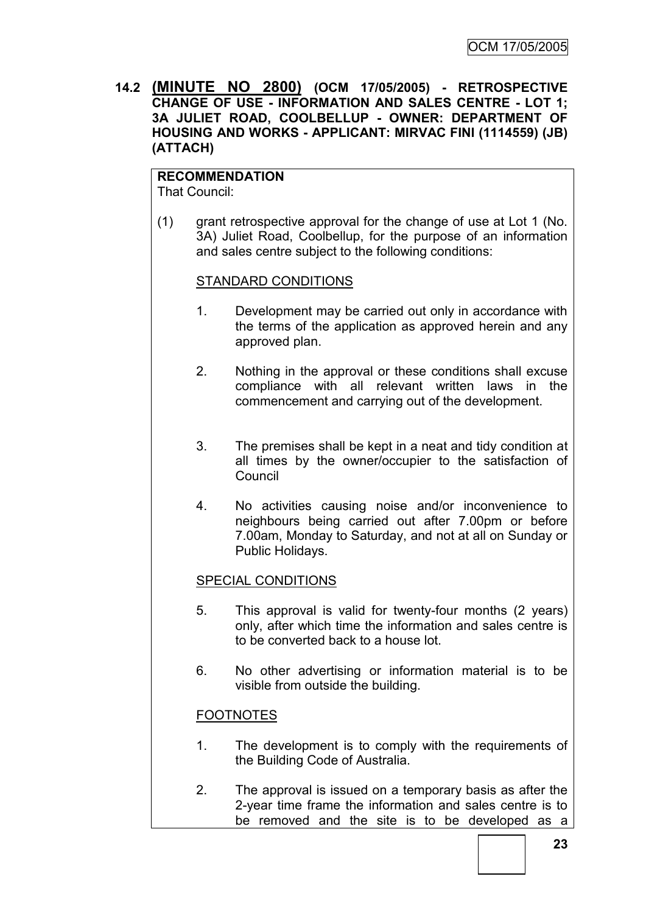**14.2 (MINUTE NO 2800) (OCM 17/05/2005) - RETROSPECTIVE CHANGE OF USE - INFORMATION AND SALES CENTRE - LOT 1; 3A JULIET ROAD, COOLBELLUP - OWNER: DEPARTMENT OF HOUSING AND WORKS - APPLICANT: MIRVAC FINI (1114559) (JB) (ATTACH)**

# **RECOMMENDATION**

That Council:

(1) grant retrospective approval for the change of use at Lot 1 (No. 3A) Juliet Road, Coolbellup, for the purpose of an information and sales centre subject to the following conditions:

### STANDARD CONDITIONS

- 1. Development may be carried out only in accordance with the terms of the application as approved herein and any approved plan.
- 2. Nothing in the approval or these conditions shall excuse compliance with all relevant written laws in the commencement and carrying out of the development.
- 3. The premises shall be kept in a neat and tidy condition at all times by the owner/occupier to the satisfaction of Council
- 4. No activities causing noise and/or inconvenience to neighbours being carried out after 7.00pm or before 7.00am, Monday to Saturday, and not at all on Sunday or Public Holidays.

### SPECIAL CONDITIONS

- 5. This approval is valid for twenty-four months (2 years) only, after which time the information and sales centre is to be converted back to a house lot.
- 6. No other advertising or information material is to be visible from outside the building.

# FOOTNOTES

- 1. The development is to comply with the requirements of the Building Code of Australia.
- 2. The approval is issued on a temporary basis as after the 2-year time frame the information and sales centre is to be removed and the site is to be developed as a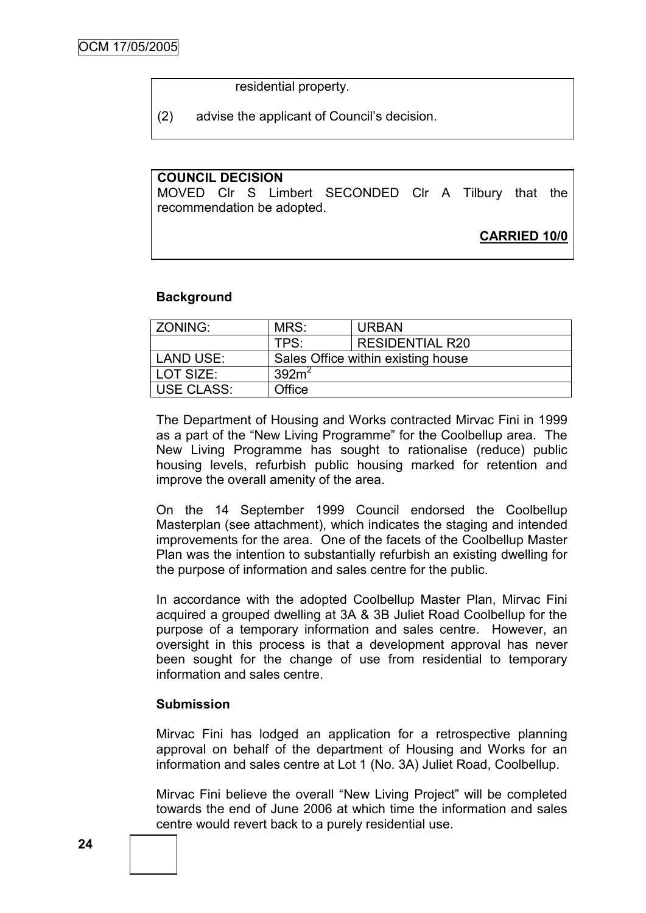residential property.

(2) advise the applicant of Council"s decision.

### **COUNCIL DECISION**

MOVED Clr S Limbert SECONDED Clr A Tilbury that the recommendation be adopted.

**CARRIED 10/0**

#### **Background**

| ZONING:           | MRS:                               | <b>URBAN</b>           |  |
|-------------------|------------------------------------|------------------------|--|
|                   | TPS:                               | <b>RESIDENTIAL R20</b> |  |
| LAND USE:         | Sales Office within existing house |                        |  |
| LOT SIZE:         | 392m <sup>2</sup>                  |                        |  |
| <b>USE CLASS:</b> | Office                             |                        |  |

The Department of Housing and Works contracted Mirvac Fini in 1999 as a part of the "New Living Programme" for the Coolbellup area. The New Living Programme has sought to rationalise (reduce) public housing levels, refurbish public housing marked for retention and improve the overall amenity of the area.

On the 14 September 1999 Council endorsed the Coolbellup Masterplan (see attachment), which indicates the staging and intended improvements for the area. One of the facets of the Coolbellup Master Plan was the intention to substantially refurbish an existing dwelling for the purpose of information and sales centre for the public.

In accordance with the adopted Coolbellup Master Plan, Mirvac Fini acquired a grouped dwelling at 3A & 3B Juliet Road Coolbellup for the purpose of a temporary information and sales centre. However, an oversight in this process is that a development approval has never been sought for the change of use from residential to temporary information and sales centre.

#### **Submission**

Mirvac Fini has lodged an application for a retrospective planning approval on behalf of the department of Housing and Works for an information and sales centre at Lot 1 (No. 3A) Juliet Road, Coolbellup.

Mirvac Fini believe the overall "New Living Project" will be completed towards the end of June 2006 at which time the information and sales centre would revert back to a purely residential use.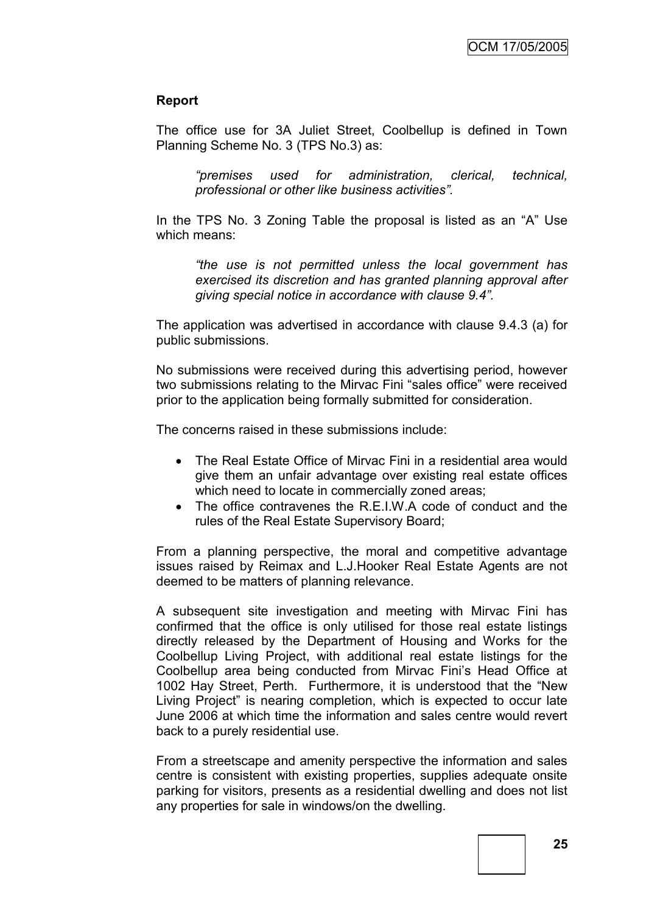#### **Report**

The office use for 3A Juliet Street, Coolbellup is defined in Town Planning Scheme No. 3 (TPS No.3) as:

*"premises used for administration, clerical, technical, professional or other like business activities".*

In the TPS No. 3 Zoning Table the proposal is listed as an "A" Use which means:

*"the use is not permitted unless the local government has exercised its discretion and has granted planning approval after giving special notice in accordance with clause 9.4".* 

The application was advertised in accordance with clause 9.4.3 (a) for public submissions.

No submissions were received during this advertising period, however two submissions relating to the Mirvac Fini "sales office" were received prior to the application being formally submitted for consideration.

The concerns raised in these submissions include:

- The Real Estate Office of Mirvac Fini in a residential area would give them an unfair advantage over existing real estate offices which need to locate in commercially zoned areas;
- The office contravenes the R.E.I.W.A code of conduct and the rules of the Real Estate Supervisory Board;

From a planning perspective, the moral and competitive advantage issues raised by Reimax and L.J.Hooker Real Estate Agents are not deemed to be matters of planning relevance.

A subsequent site investigation and meeting with Mirvac Fini has confirmed that the office is only utilised for those real estate listings directly released by the Department of Housing and Works for the Coolbellup Living Project, with additional real estate listings for the Coolbellup area being conducted from Mirvac Fini"s Head Office at 1002 Hay Street, Perth. Furthermore, it is understood that the "New Living Project" is nearing completion, which is expected to occur late June 2006 at which time the information and sales centre would revert back to a purely residential use.

From a streetscape and amenity perspective the information and sales centre is consistent with existing properties, supplies adequate onsite parking for visitors, presents as a residential dwelling and does not list any properties for sale in windows/on the dwelling.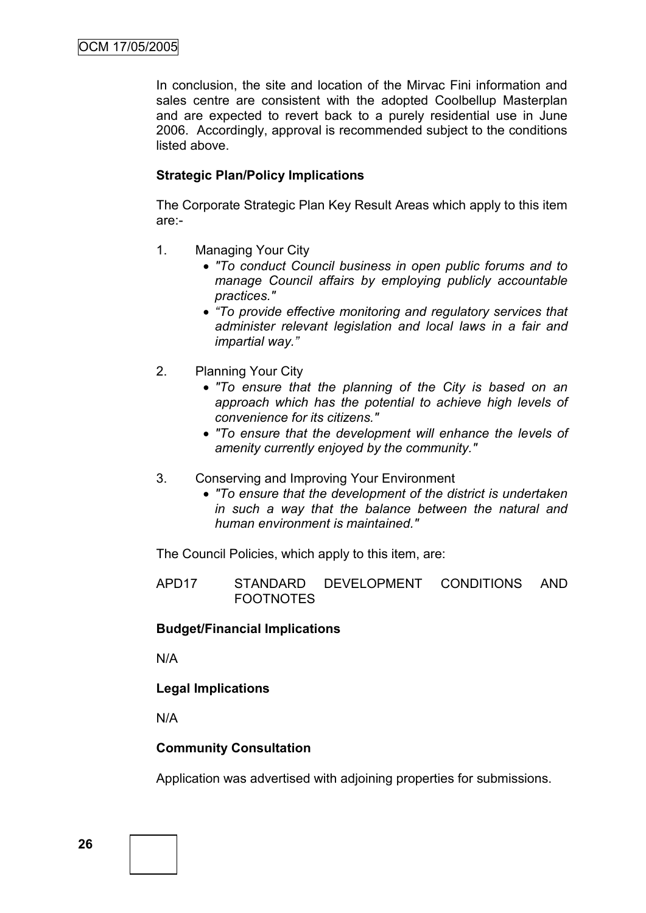In conclusion, the site and location of the Mirvac Fini information and sales centre are consistent with the adopted Coolbellup Masterplan and are expected to revert back to a purely residential use in June 2006. Accordingly, approval is recommended subject to the conditions listed above.

### **Strategic Plan/Policy Implications**

The Corporate Strategic Plan Key Result Areas which apply to this item are:-

- 1. Managing Your City
	- *"To conduct Council business in open public forums and to manage Council affairs by employing publicly accountable practices."*
	- *"To provide effective monitoring and regulatory services that administer relevant legislation and local laws in a fair and impartial way."*
- 2. Planning Your City
	- *"To ensure that the planning of the City is based on an approach which has the potential to achieve high levels of convenience for its citizens."*
	- *"To ensure that the development will enhance the levels of amenity currently enjoyed by the community."*
- 3. Conserving and Improving Your Environment
	- *"To ensure that the development of the district is undertaken in such a way that the balance between the natural and human environment is maintained."*

The Council Policies, which apply to this item, are:

APD17 STANDARD DEVELOPMENT CONDITIONS AND FOOTNOTES

### **Budget/Financial Implications**

N/A

#### **Legal Implications**

N/A

#### **Community Consultation**

Application was advertised with adjoining properties for submissions.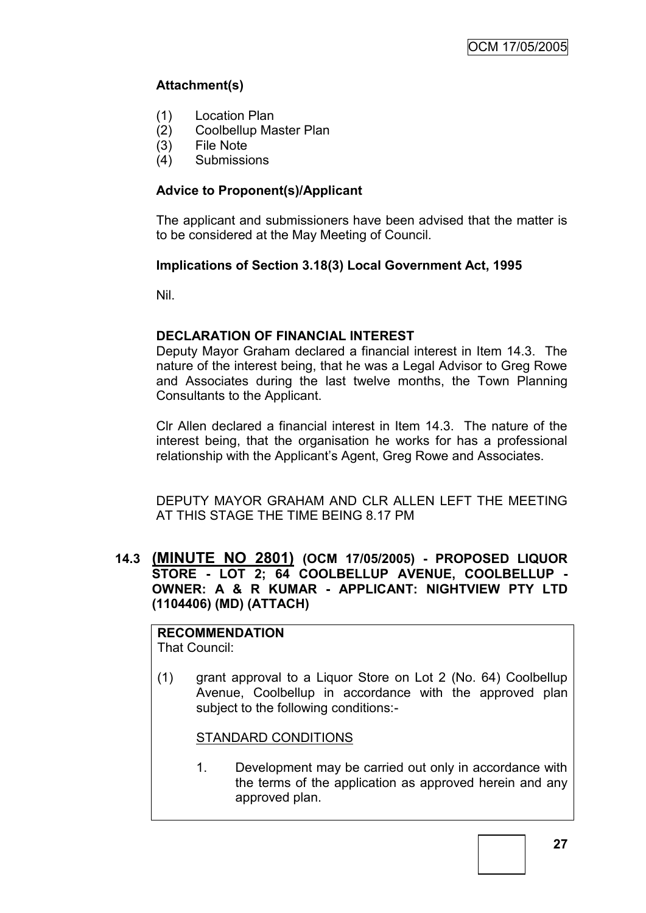# **Attachment(s)**

- (1) Location Plan
- (2) Coolbellup Master Plan
- (3) File Note
- (4) Submissions

# **Advice to Proponent(s)/Applicant**

The applicant and submissioners have been advised that the matter is to be considered at the May Meeting of Council.

# **Implications of Section 3.18(3) Local Government Act, 1995**

Nil.

### **DECLARATION OF FINANCIAL INTEREST**

Deputy Mayor Graham declared a financial interest in Item 14.3. The nature of the interest being, that he was a Legal Advisor to Greg Rowe and Associates during the last twelve months, the Town Planning Consultants to the Applicant.

Clr Allen declared a financial interest in Item 14.3. The nature of the interest being, that the organisation he works for has a professional relationship with the Applicant"s Agent, Greg Rowe and Associates.

DEPUTY MAYOR GRAHAM AND CLR ALLEN LEFT THE MEETING AT THIS STAGE THE TIME BEING 8.17 PM

### **14.3 (MINUTE NO 2801) (OCM 17/05/2005) - PROPOSED LIQUOR STORE - LOT 2; 64 COOLBELLUP AVENUE, COOLBELLUP - OWNER: A & R KUMAR - APPLICANT: NIGHTVIEW PTY LTD (1104406) (MD) (ATTACH)**

**RECOMMENDATION** That Council:

(1) grant approval to a Liquor Store on Lot 2 (No. 64) Coolbellup Avenue, Coolbellup in accordance with the approved plan subject to the following conditions:-

### STANDARD CONDITIONS

1. Development may be carried out only in accordance with the terms of the application as approved herein and any approved plan.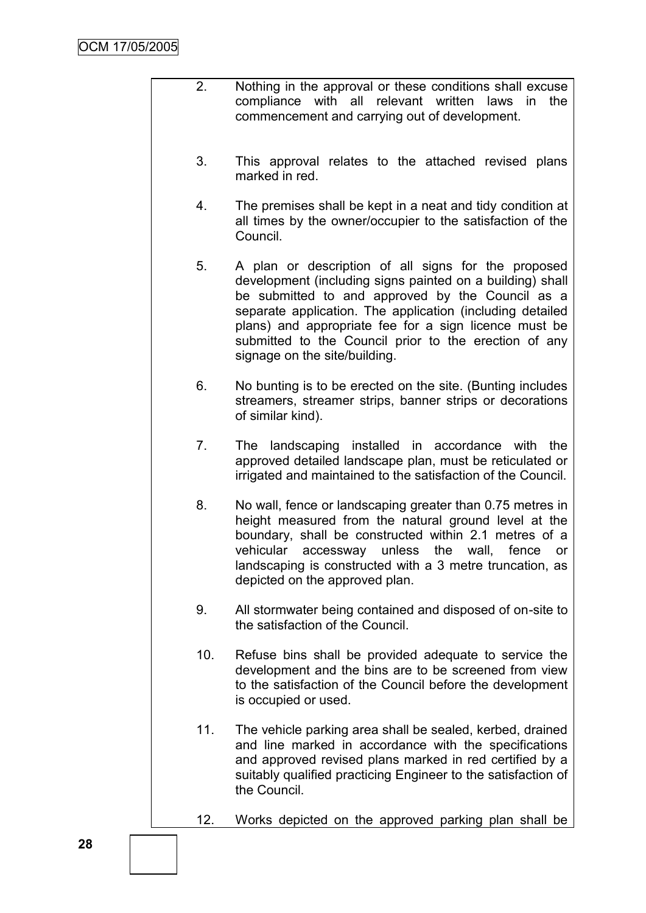- 2. Nothing in the approval or these conditions shall excuse compliance with all relevant written laws in the commencement and carrying out of development.
- 3. This approval relates to the attached revised plans marked in red.
- 4. The premises shall be kept in a neat and tidy condition at all times by the owner/occupier to the satisfaction of the Council.
- 5. A plan or description of all signs for the proposed development (including signs painted on a building) shall be submitted to and approved by the Council as a separate application. The application (including detailed plans) and appropriate fee for a sign licence must be submitted to the Council prior to the erection of any signage on the site/building.
- 6. No bunting is to be erected on the site. (Bunting includes streamers, streamer strips, banner strips or decorations of similar kind).
- 7. The landscaping installed in accordance with the approved detailed landscape plan, must be reticulated or irrigated and maintained to the satisfaction of the Council.
- 8. No wall, fence or landscaping greater than 0.75 metres in height measured from the natural ground level at the boundary, shall be constructed within 2.1 metres of a vehicular accessway unless the wall, fence or landscaping is constructed with a 3 metre truncation, as depicted on the approved plan.
- 9. All stormwater being contained and disposed of on-site to the satisfaction of the Council.
- 10. Refuse bins shall be provided adequate to service the development and the bins are to be screened from view to the satisfaction of the Council before the development is occupied or used.
- 11. The vehicle parking area shall be sealed, kerbed, drained and line marked in accordance with the specifications and approved revised plans marked in red certified by a suitably qualified practicing Engineer to the satisfaction of the Council.
- 12. Works depicted on the approved parking plan shall be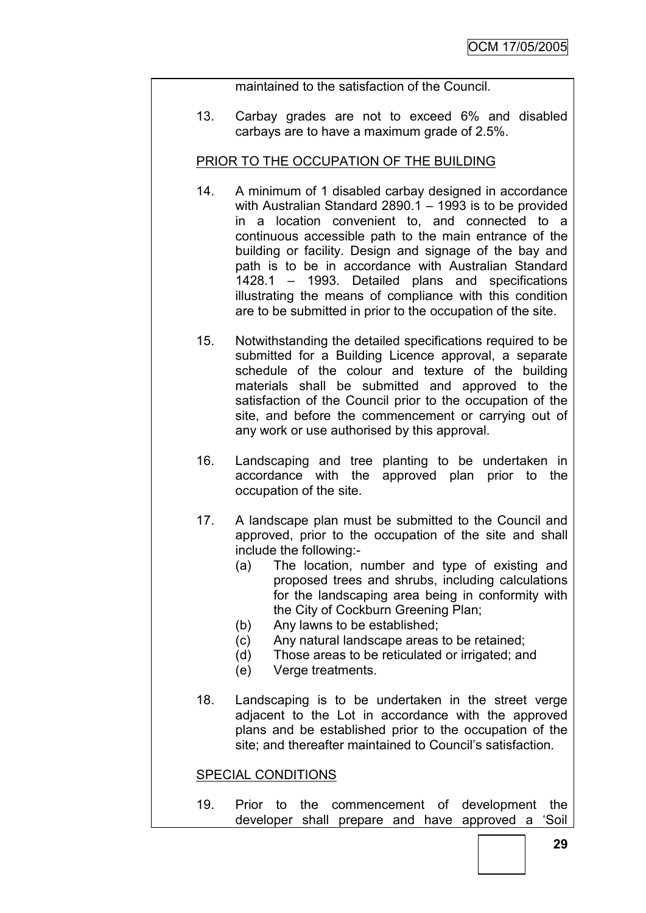maintained to the satisfaction of the Council.

13. Carbay grades are not to exceed 6% and disabled carbays are to have a maximum grade of 2.5%.

### PRIOR TO THE OCCUPATION OF THE BUILDING

- 14. A minimum of 1 disabled carbay designed in accordance with Australian Standard 2890.1 – 1993 is to be provided in a location convenient to, and connected to a continuous accessible path to the main entrance of the building or facility. Design and signage of the bay and path is to be in accordance with Australian Standard 1428.1 – 1993. Detailed plans and specifications illustrating the means of compliance with this condition are to be submitted in prior to the occupation of the site.
- 15. Notwithstanding the detailed specifications required to be submitted for a Building Licence approval, a separate schedule of the colour and texture of the building materials shall be submitted and approved to the satisfaction of the Council prior to the occupation of the site, and before the commencement or carrying out of any work or use authorised by this approval.
- 16. Landscaping and tree planting to be undertaken in accordance with the approved plan prior to the occupation of the site.
- 17. A landscape plan must be submitted to the Council and approved, prior to the occupation of the site and shall include the following:-
	- (a) The location, number and type of existing and proposed trees and shrubs, including calculations for the landscaping area being in conformity with the City of Cockburn Greening Plan;
	- (b) Any lawns to be established;
	- (c) Any natural landscape areas to be retained;
	- (d) Those areas to be reticulated or irrigated; and
	- (e) Verge treatments.
- 18. Landscaping is to be undertaken in the street verge adjacent to the Lot in accordance with the approved plans and be established prior to the occupation of the site; and thereafter maintained to Council's satisfaction.

### SPECIAL CONDITIONS

19. Prior to the commencement of development the developer shall prepare and have approved a "Soil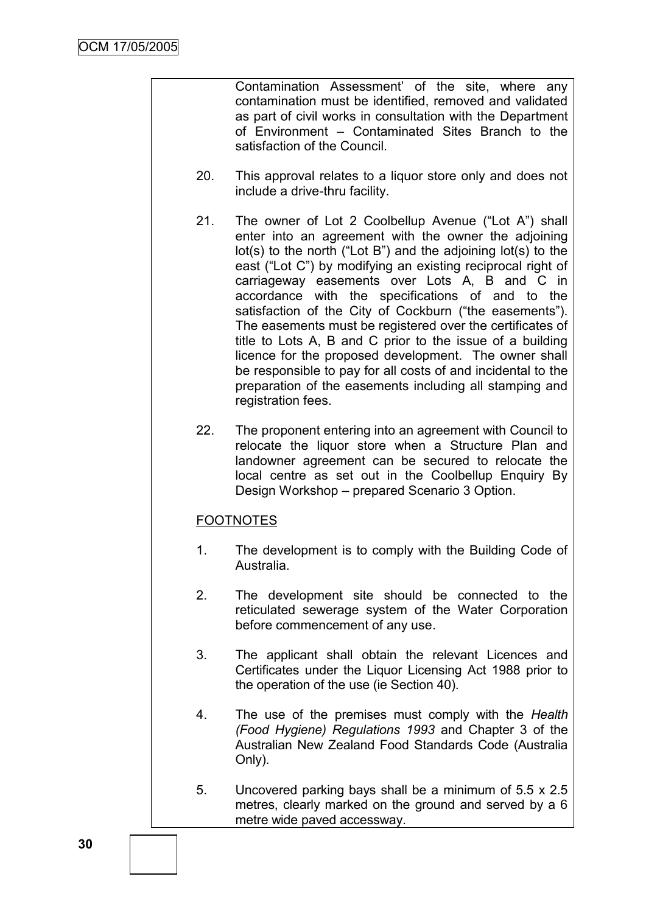Contamination Assessment" of the site, where any contamination must be identified, removed and validated as part of civil works in consultation with the Department of Environment – Contaminated Sites Branch to the satisfaction of the Council.

- 20. This approval relates to a liquor store only and does not include a drive-thru facility.
- 21. The owner of Lot 2 Coolbellup Avenue ("Lot A") shall enter into an agreement with the owner the adjoining lot(s) to the north ("Lot B") and the adjoining lot(s) to the east ("Lot C") by modifying an existing reciprocal right of carriageway easements over Lots A, B and C in accordance with the specifications of and to the satisfaction of the City of Cockburn ("the easements"). The easements must be registered over the certificates of title to Lots A, B and C prior to the issue of a building licence for the proposed development. The owner shall be responsible to pay for all costs of and incidental to the preparation of the easements including all stamping and registration fees.
- 22. The proponent entering into an agreement with Council to relocate the liquor store when a Structure Plan and landowner agreement can be secured to relocate the local centre as set out in the Coolbellup Enquiry By Design Workshop – prepared Scenario 3 Option.

# FOOTNOTES

- 1. The development is to comply with the Building Code of Australia.
- 2. The development site should be connected to the reticulated sewerage system of the Water Corporation before commencement of any use.
- 3. The applicant shall obtain the relevant Licences and Certificates under the Liquor Licensing Act 1988 prior to the operation of the use (ie Section 40).
- 4. The use of the premises must comply with the *Health (Food Hygiene) Regulations 1993* and Chapter 3 of the Australian New Zealand Food Standards Code (Australia Only).
- 5. Uncovered parking bays shall be a minimum of 5.5 x 2.5 metres, clearly marked on the ground and served by a 6 metre wide paved accessway.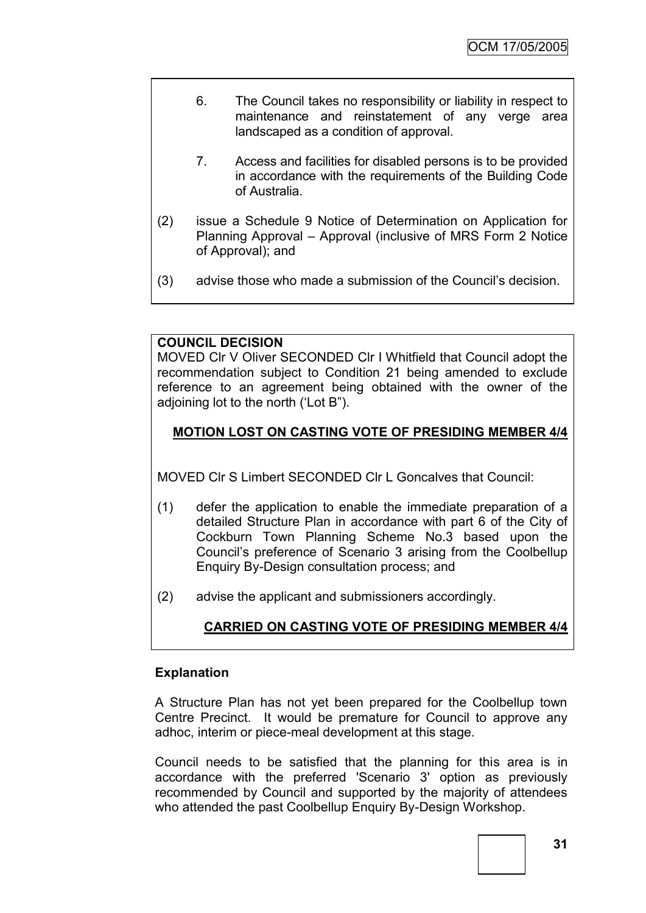- 6. The Council takes no responsibility or liability in respect to maintenance and reinstatement of any verge area landscaped as a condition of approval.
- 7. Access and facilities for disabled persons is to be provided in accordance with the requirements of the Building Code of Australia.
- (2) issue a Schedule 9 Notice of Determination on Application for Planning Approval – Approval (inclusive of MRS Form 2 Notice of Approval); and
- (3) advise those who made a submission of the Council"s decision.

### **COUNCIL DECISION**

MOVED Clr V Oliver SECONDED Clr I Whitfield that Council adopt the recommendation subject to Condition 21 being amended to exclude reference to an agreement being obtained with the owner of the adioining lot to the north ('Lot B").

# **MOTION LOST ON CASTING VOTE OF PRESIDING MEMBER 4/4**

MOVED Clr S Limbert SECONDED Clr L Goncalves that Council:

- (1) defer the application to enable the immediate preparation of a detailed Structure Plan in accordance with part 6 of the City of Cockburn Town Planning Scheme No.3 based upon the Council"s preference of Scenario 3 arising from the Coolbellup Enquiry By-Design consultation process; and
- (2) advise the applicant and submissioners accordingly.

# **CARRIED ON CASTING VOTE OF PRESIDING MEMBER 4/4**

### **Explanation**

A Structure Plan has not yet been prepared for the Coolbellup town Centre Precinct. It would be premature for Council to approve any adhoc, interim or piece-meal development at this stage.

Council needs to be satisfied that the planning for this area is in accordance with the preferred 'Scenario 3' option as previously recommended by Council and supported by the majority of attendees who attended the past Coolbellup Enquiry By-Design Workshop.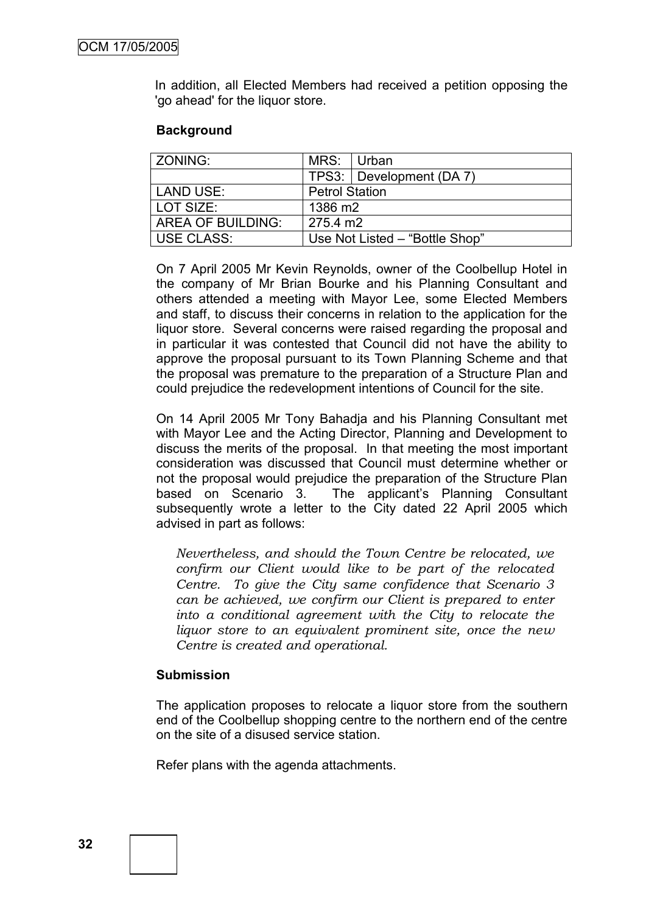In addition, all Elected Members had received a petition opposing the 'go ahead' for the liquor store.

#### **Background**

| l ZONING:                | MRS:                           | ∣ Urban                  |  |
|--------------------------|--------------------------------|--------------------------|--|
|                          |                                | TPS3: Development (DA 7) |  |
| LAND USE:                | <b>Petrol Station</b>          |                          |  |
| LOT SIZE:                | 1386 m2                        |                          |  |
| <b>AREA OF BUILDING:</b> | 275.4 m2                       |                          |  |
| USE CLASS:               | Use Not Listed - "Bottle Shop" |                          |  |

On 7 April 2005 Mr Kevin Reynolds, owner of the Coolbellup Hotel in the company of Mr Brian Bourke and his Planning Consultant and others attended a meeting with Mayor Lee, some Elected Members and staff, to discuss their concerns in relation to the application for the liquor store. Several concerns were raised regarding the proposal and in particular it was contested that Council did not have the ability to approve the proposal pursuant to its Town Planning Scheme and that the proposal was premature to the preparation of a Structure Plan and could prejudice the redevelopment intentions of Council for the site.

On 14 April 2005 Mr Tony Bahadja and his Planning Consultant met with Mayor Lee and the Acting Director, Planning and Development to discuss the merits of the proposal. In that meeting the most important consideration was discussed that Council must determine whether or not the proposal would prejudice the preparation of the Structure Plan based on Scenario 3. The applicant's Planning Consultant subsequently wrote a letter to the City dated 22 April 2005 which advised in part as follows:

*Nevertheless, and should the Town Centre be relocated, we confirm our Client would like to be part of the relocated Centre. To give the City same confidence that Scenario 3 can be achieved, we confirm our Client is prepared to enter into a conditional agreement with the City to relocate the liquor store to an equivalent prominent site, once the new Centre is created and operational.*

#### **Submission**

The application proposes to relocate a liquor store from the southern end of the Coolbellup shopping centre to the northern end of the centre on the site of a disused service station.

Refer plans with the agenda attachments.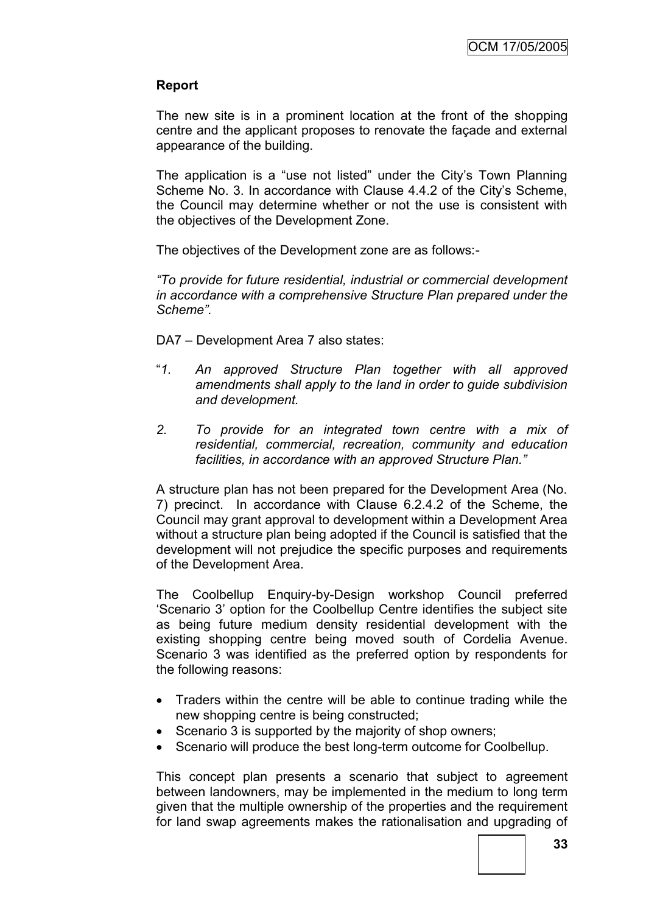### **Report**

The new site is in a prominent location at the front of the shopping centre and the applicant proposes to renovate the façade and external appearance of the building.

The application is a "use not listed" under the City's Town Planning Scheme No. 3. In accordance with Clause 4.4.2 of the City's Scheme, the Council may determine whether or not the use is consistent with the objectives of the Development Zone.

The objectives of the Development zone are as follows:-

*"To provide for future residential, industrial or commercial development in accordance with a comprehensive Structure Plan prepared under the Scheme".*

DA7 – Development Area 7 also states:

- "*1. An approved Structure Plan together with all approved amendments shall apply to the land in order to guide subdivision and development.*
- *2. To provide for an integrated town centre with a mix of residential, commercial, recreation, community and education facilities, in accordance with an approved Structure Plan."*

A structure plan has not been prepared for the Development Area (No. 7) precinct. In accordance with Clause 6.2.4.2 of the Scheme, the Council may grant approval to development within a Development Area without a structure plan being adopted if the Council is satisfied that the development will not prejudice the specific purposes and requirements of the Development Area.

The Coolbellup Enquiry-by-Design workshop Council preferred "Scenario 3" option for the Coolbellup Centre identifies the subject site as being future medium density residential development with the existing shopping centre being moved south of Cordelia Avenue. Scenario 3 was identified as the preferred option by respondents for the following reasons:

- Traders within the centre will be able to continue trading while the new shopping centre is being constructed;
- Scenario 3 is supported by the majority of shop owners;
- Scenario will produce the best long-term outcome for Coolbellup.

This concept plan presents a scenario that subject to agreement between landowners, may be implemented in the medium to long term given that the multiple ownership of the properties and the requirement for land swap agreements makes the rationalisation and upgrading of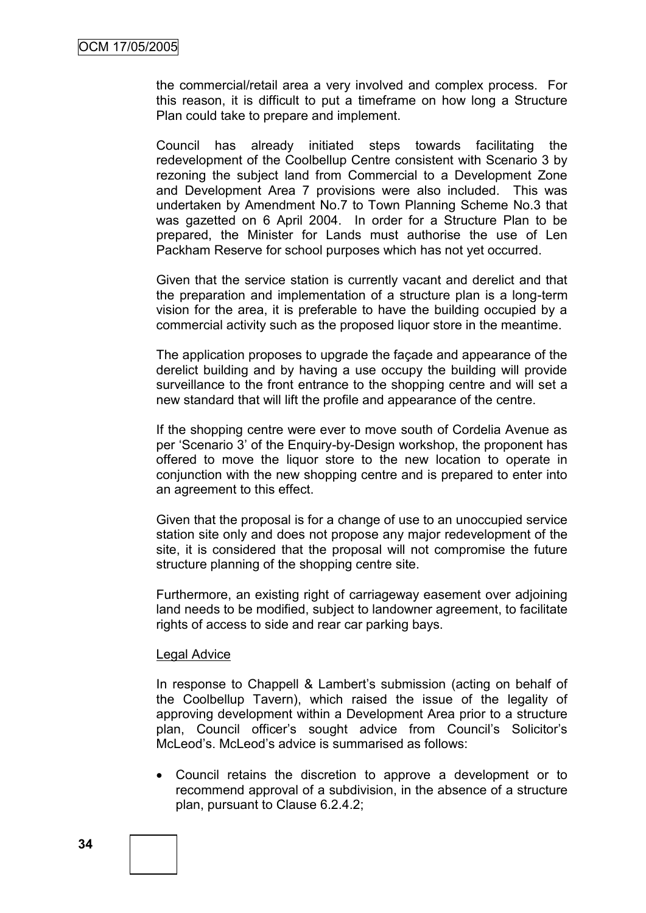the commercial/retail area a very involved and complex process. For this reason, it is difficult to put a timeframe on how long a Structure Plan could take to prepare and implement.

Council has already initiated steps towards facilitating the redevelopment of the Coolbellup Centre consistent with Scenario 3 by rezoning the subject land from Commercial to a Development Zone and Development Area 7 provisions were also included. This was undertaken by Amendment No.7 to Town Planning Scheme No.3 that was gazetted on 6 April 2004. In order for a Structure Plan to be prepared, the Minister for Lands must authorise the use of Len Packham Reserve for school purposes which has not yet occurred.

Given that the service station is currently vacant and derelict and that the preparation and implementation of a structure plan is a long-term vision for the area, it is preferable to have the building occupied by a commercial activity such as the proposed liquor store in the meantime.

The application proposes to upgrade the façade and appearance of the derelict building and by having a use occupy the building will provide surveillance to the front entrance to the shopping centre and will set a new standard that will lift the profile and appearance of the centre.

If the shopping centre were ever to move south of Cordelia Avenue as per "Scenario 3" of the Enquiry-by-Design workshop, the proponent has offered to move the liquor store to the new location to operate in conjunction with the new shopping centre and is prepared to enter into an agreement to this effect.

Given that the proposal is for a change of use to an unoccupied service station site only and does not propose any major redevelopment of the site, it is considered that the proposal will not compromise the future structure planning of the shopping centre site.

Furthermore, an existing right of carriageway easement over adjoining land needs to be modified, subject to landowner agreement, to facilitate rights of access to side and rear car parking bays.

#### Legal Advice

In response to Chappell & Lambert's submission (acting on behalf of the Coolbellup Tavern), which raised the issue of the legality of approving development within a Development Area prior to a structure plan, Council officer's sought advice from Council's Solicitor's McLeod's. McLeod's advice is summarised as follows:

 Council retains the discretion to approve a development or to recommend approval of a subdivision, in the absence of a structure plan, pursuant to Clause 6.2.4.2;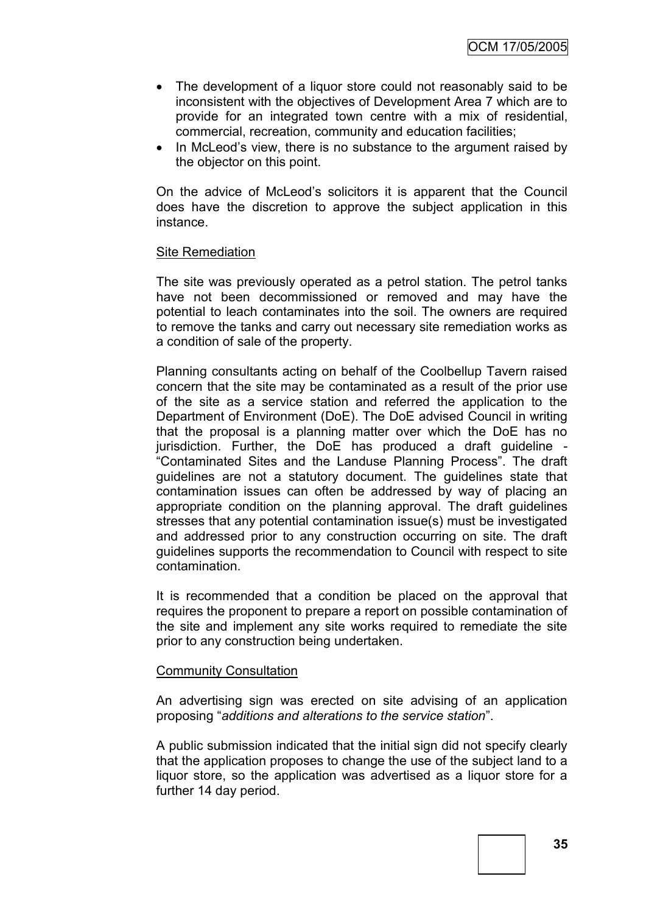- The development of a liquor store could not reasonably said to be inconsistent with the objectives of Development Area 7 which are to provide for an integrated town centre with a mix of residential, commercial, recreation, community and education facilities;
- In McLeod's view, there is no substance to the argument raised by the objector on this point.

On the advice of McLeod"s solicitors it is apparent that the Council does have the discretion to approve the subject application in this instance.

#### Site Remediation

The site was previously operated as a petrol station. The petrol tanks have not been decommissioned or removed and may have the potential to leach contaminates into the soil. The owners are required to remove the tanks and carry out necessary site remediation works as a condition of sale of the property.

Planning consultants acting on behalf of the Coolbellup Tavern raised concern that the site may be contaminated as a result of the prior use of the site as a service station and referred the application to the Department of Environment (DoE). The DoE advised Council in writing that the proposal is a planning matter over which the DoE has no jurisdiction. Further, the DoE has produced a draft guideline - "Contaminated Sites and the Landuse Planning Process". The draft guidelines are not a statutory document. The guidelines state that contamination issues can often be addressed by way of placing an appropriate condition on the planning approval. The draft guidelines stresses that any potential contamination issue(s) must be investigated and addressed prior to any construction occurring on site. The draft guidelines supports the recommendation to Council with respect to site contamination.

It is recommended that a condition be placed on the approval that requires the proponent to prepare a report on possible contamination of the site and implement any site works required to remediate the site prior to any construction being undertaken.

#### Community Consultation

An advertising sign was erected on site advising of an application proposing "*additions and alterations to the service station*".

A public submission indicated that the initial sign did not specify clearly that the application proposes to change the use of the subject land to a liquor store, so the application was advertised as a liquor store for a further 14 day period.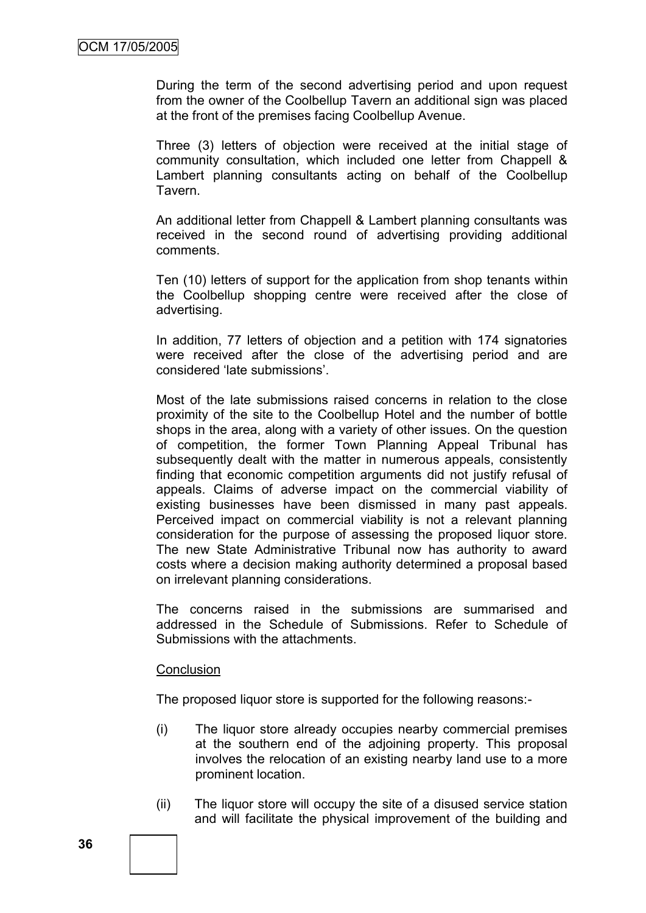During the term of the second advertising period and upon request from the owner of the Coolbellup Tavern an additional sign was placed at the front of the premises facing Coolbellup Avenue.

Three (3) letters of objection were received at the initial stage of community consultation, which included one letter from Chappell & Lambert planning consultants acting on behalf of the Coolbellup Tavern.

An additional letter from Chappell & Lambert planning consultants was received in the second round of advertising providing additional comments.

Ten (10) letters of support for the application from shop tenants within the Coolbellup shopping centre were received after the close of advertising.

In addition, 77 letters of objection and a petition with 174 signatories were received after the close of the advertising period and are considered "late submissions".

Most of the late submissions raised concerns in relation to the close proximity of the site to the Coolbellup Hotel and the number of bottle shops in the area, along with a variety of other issues. On the question of competition, the former Town Planning Appeal Tribunal has subsequently dealt with the matter in numerous appeals, consistently finding that economic competition arguments did not justify refusal of appeals. Claims of adverse impact on the commercial viability of existing businesses have been dismissed in many past appeals. Perceived impact on commercial viability is not a relevant planning consideration for the purpose of assessing the proposed liquor store. The new State Administrative Tribunal now has authority to award costs where a decision making authority determined a proposal based on irrelevant planning considerations.

The concerns raised in the submissions are summarised and addressed in the Schedule of Submissions. Refer to Schedule of Submissions with the attachments.

#### **Conclusion**

The proposed liquor store is supported for the following reasons:-

- (i) The liquor store already occupies nearby commercial premises at the southern end of the adjoining property. This proposal involves the relocation of an existing nearby land use to a more prominent location.
- (ii) The liquor store will occupy the site of a disused service station and will facilitate the physical improvement of the building and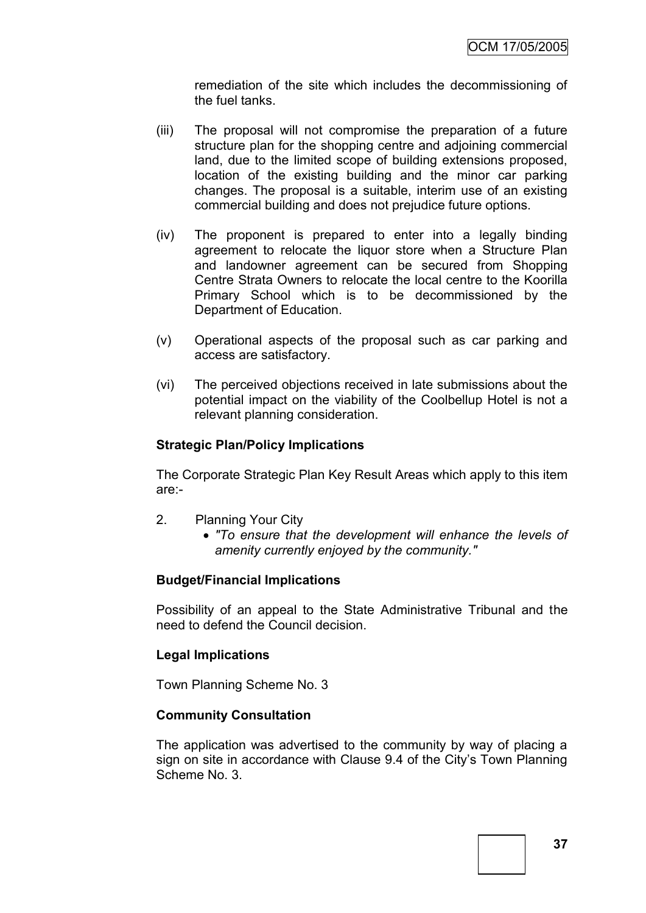remediation of the site which includes the decommissioning of the fuel tanks.

- (iii) The proposal will not compromise the preparation of a future structure plan for the shopping centre and adjoining commercial land, due to the limited scope of building extensions proposed, location of the existing building and the minor car parking changes. The proposal is a suitable, interim use of an existing commercial building and does not prejudice future options.
- (iv) The proponent is prepared to enter into a legally binding agreement to relocate the liquor store when a Structure Plan and landowner agreement can be secured from Shopping Centre Strata Owners to relocate the local centre to the Koorilla Primary School which is to be decommissioned by the Department of Education.
- (v) Operational aspects of the proposal such as car parking and access are satisfactory.
- (vi) The perceived objections received in late submissions about the potential impact on the viability of the Coolbellup Hotel is not a relevant planning consideration.

### **Strategic Plan/Policy Implications**

The Corporate Strategic Plan Key Result Areas which apply to this item are:-

- 2. Planning Your City
	- *"To ensure that the development will enhance the levels of amenity currently enjoyed by the community."*

### **Budget/Financial Implications**

Possibility of an appeal to the State Administrative Tribunal and the need to defend the Council decision.

### **Legal Implications**

Town Planning Scheme No. 3

### **Community Consultation**

The application was advertised to the community by way of placing a sign on site in accordance with Clause 9.4 of the City's Town Planning Scheme No. 3.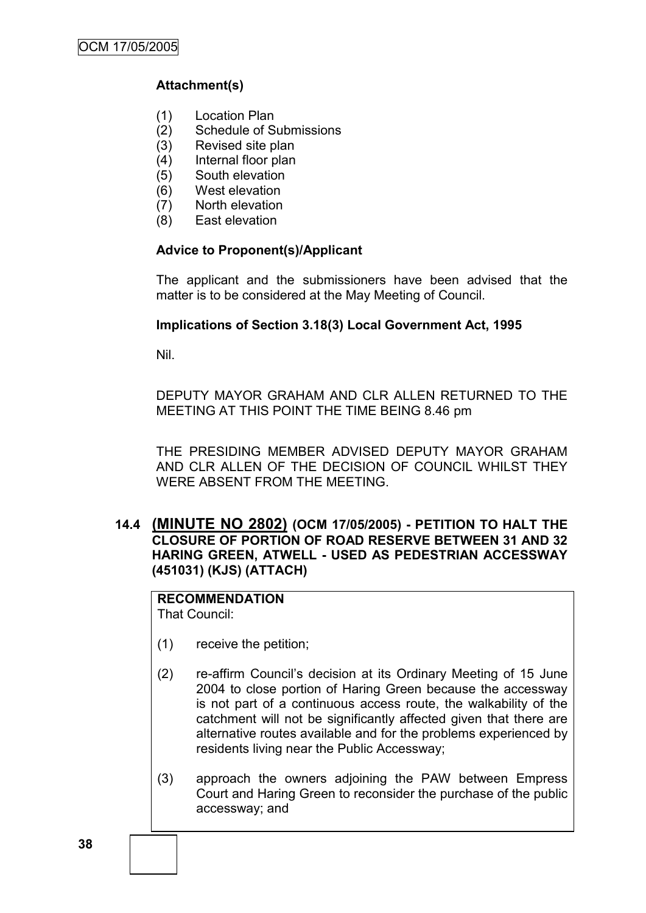### **Attachment(s)**

- (1) Location Plan
- (2) Schedule of Submissions
- (3) Revised site plan
- (4) Internal floor plan
- (5) South elevation
- (6) West elevation
- (7) North elevation
- (8) East elevation

### **Advice to Proponent(s)/Applicant**

The applicant and the submissioners have been advised that the matter is to be considered at the May Meeting of Council.

### **Implications of Section 3.18(3) Local Government Act, 1995**

Nil.

DEPUTY MAYOR GRAHAM AND CLR ALLEN RETURNED TO THE MEETING AT THIS POINT THE TIME BEING 8.46 pm

THE PRESIDING MEMBER ADVISED DEPUTY MAYOR GRAHAM AND CLR ALLEN OF THE DECISION OF COUNCIL WHILST THEY WERE ABSENT FROM THE MEETING.

**14.4 (MINUTE NO 2802) (OCM 17/05/2005) - PETITION TO HALT THE CLOSURE OF PORTION OF ROAD RESERVE BETWEEN 31 AND 32 HARING GREEN, ATWELL - USED AS PEDESTRIAN ACCESSWAY (451031) (KJS) (ATTACH)**

# **RECOMMENDATION**

That Council:

- (1) receive the petition;
- (2) re-affirm Council"s decision at its Ordinary Meeting of 15 June 2004 to close portion of Haring Green because the accessway is not part of a continuous access route, the walkability of the catchment will not be significantly affected given that there are alternative routes available and for the problems experienced by residents living near the Public Accessway;
- (3) approach the owners adjoining the PAW between Empress Court and Haring Green to reconsider the purchase of the public accessway; and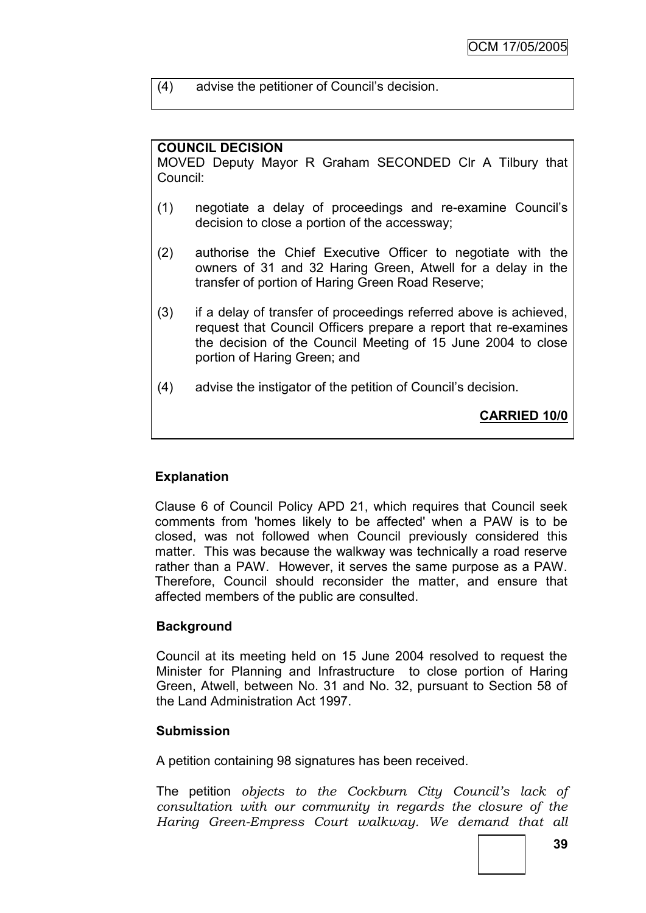(4) advise the petitioner of Council"s decision.

### **COUNCIL DECISION**

MOVED Deputy Mayor R Graham SECONDED Clr A Tilbury that Council:

- (1) negotiate a delay of proceedings and re-examine Council"s decision to close a portion of the accessway;
- (2) authorise the Chief Executive Officer to negotiate with the owners of 31 and 32 Haring Green, Atwell for a delay in the transfer of portion of Haring Green Road Reserve;
- (3) if a delay of transfer of proceedings referred above is achieved, request that Council Officers prepare a report that re-examines the decision of the Council Meeting of 15 June 2004 to close portion of Haring Green; and
- (4) advise the instigator of the petition of Council"s decision.

**CARRIED 10/0**

### **Explanation**

Clause 6 of Council Policy APD 21, which requires that Council seek comments from 'homes likely to be affected' when a PAW is to be closed, was not followed when Council previously considered this matter. This was because the walkway was technically a road reserve rather than a PAW. However, it serves the same purpose as a PAW. Therefore, Council should reconsider the matter, and ensure that affected members of the public are consulted.

### **Background**

Council at its meeting held on 15 June 2004 resolved to request the Minister for Planning and Infrastructure to close portion of Haring Green, Atwell, between No. 31 and No. 32, pursuant to Section 58 of the Land Administration Act 1997.

### **Submission**

A petition containing 98 signatures has been received.

The petition *objects to the Cockburn City Council"s lack of consultation with our community in regards the closure of the Haring Green-Empress Court walkway. We demand that all*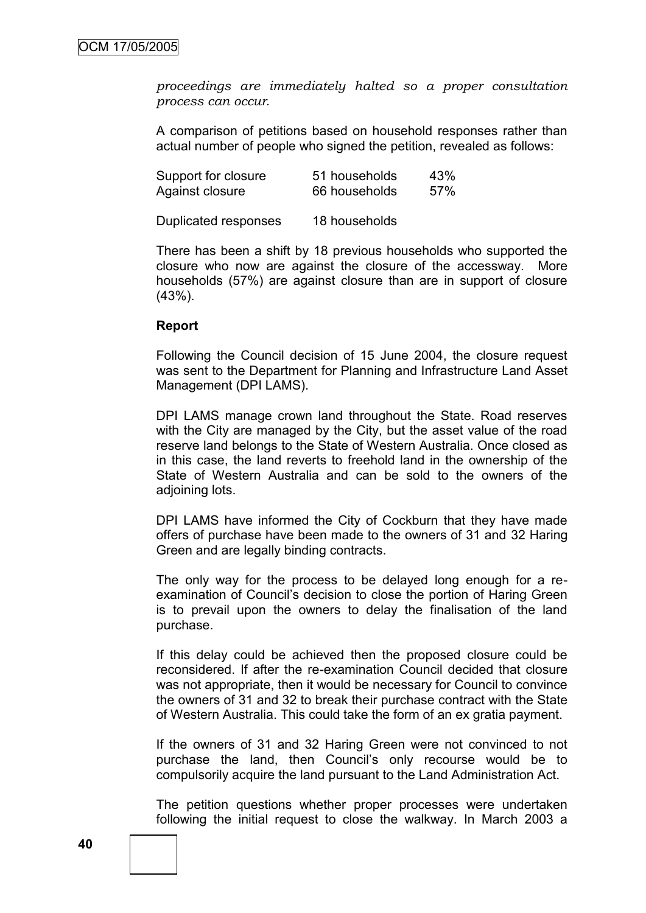*proceedings are immediately halted so a proper consultation process can occur.*

A comparison of petitions based on household responses rather than actual number of people who signed the petition, revealed as follows:

| Support for closure  | 51 households | 43% |
|----------------------|---------------|-----|
| Against closure      | 66 households | 57% |
| Duplicated responses | 18 households |     |

There has been a shift by 18 previous households who supported the closure who now are against the closure of the accessway. More households (57%) are against closure than are in support of closure (43%).

#### **Report**

Following the Council decision of 15 June 2004, the closure request was sent to the Department for Planning and Infrastructure Land Asset Management (DPI LAMS).

DPI LAMS manage crown land throughout the State. Road reserves with the City are managed by the City, but the asset value of the road reserve land belongs to the State of Western Australia. Once closed as in this case, the land reverts to freehold land in the ownership of the State of Western Australia and can be sold to the owners of the adjoining lots.

DPI LAMS have informed the City of Cockburn that they have made offers of purchase have been made to the owners of 31 and 32 Haring Green and are legally binding contracts.

The only way for the process to be delayed long enough for a reexamination of Council"s decision to close the portion of Haring Green is to prevail upon the owners to delay the finalisation of the land purchase.

If this delay could be achieved then the proposed closure could be reconsidered. If after the re-examination Council decided that closure was not appropriate, then it would be necessary for Council to convince the owners of 31 and 32 to break their purchase contract with the State of Western Australia. This could take the form of an ex gratia payment.

If the owners of 31 and 32 Haring Green were not convinced to not purchase the land, then Council"s only recourse would be to compulsorily acquire the land pursuant to the Land Administration Act.

The petition questions whether proper processes were undertaken following the initial request to close the walkway. In March 2003 a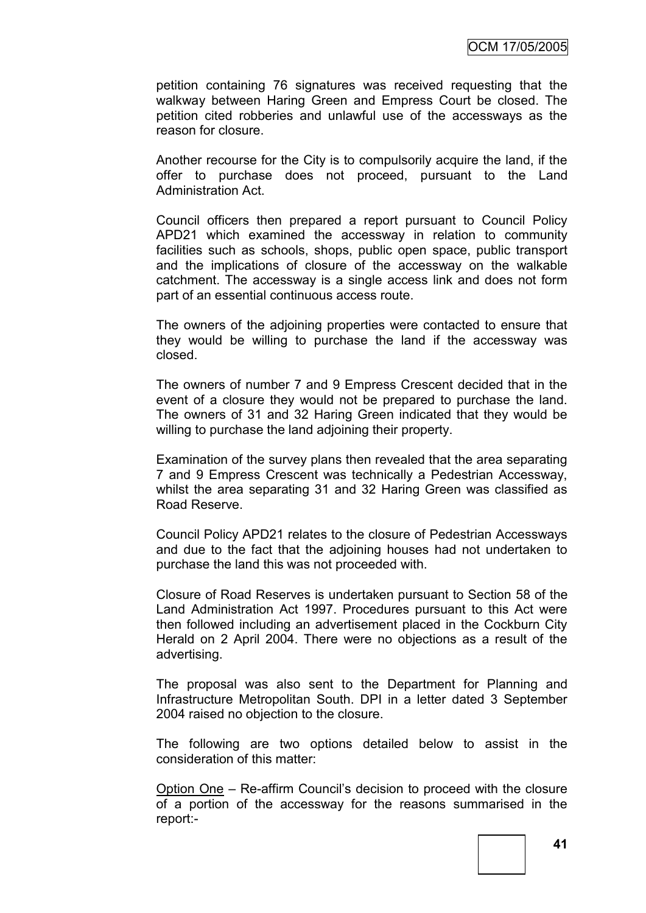petition containing 76 signatures was received requesting that the walkway between Haring Green and Empress Court be closed. The petition cited robberies and unlawful use of the accessways as the reason for closure.

Another recourse for the City is to compulsorily acquire the land, if the offer to purchase does not proceed, pursuant to the Land Administration Act.

Council officers then prepared a report pursuant to Council Policy APD21 which examined the accessway in relation to community facilities such as schools, shops, public open space, public transport and the implications of closure of the accessway on the walkable catchment. The accessway is a single access link and does not form part of an essential continuous access route.

The owners of the adjoining properties were contacted to ensure that they would be willing to purchase the land if the accessway was closed.

The owners of number 7 and 9 Empress Crescent decided that in the event of a closure they would not be prepared to purchase the land. The owners of 31 and 32 Haring Green indicated that they would be willing to purchase the land adjoining their property.

Examination of the survey plans then revealed that the area separating 7 and 9 Empress Crescent was technically a Pedestrian Accessway, whilst the area separating 31 and 32 Haring Green was classified as Road Reserve.

Council Policy APD21 relates to the closure of Pedestrian Accessways and due to the fact that the adjoining houses had not undertaken to purchase the land this was not proceeded with.

Closure of Road Reserves is undertaken pursuant to Section 58 of the Land Administration Act 1997. Procedures pursuant to this Act were then followed including an advertisement placed in the Cockburn City Herald on 2 April 2004. There were no objections as a result of the advertising.

The proposal was also sent to the Department for Planning and Infrastructure Metropolitan South. DPI in a letter dated 3 September 2004 raised no objection to the closure.

The following are two options detailed below to assist in the consideration of this matter:

Option One – Re-affirm Council"s decision to proceed with the closure of a portion of the accessway for the reasons summarised in the report:-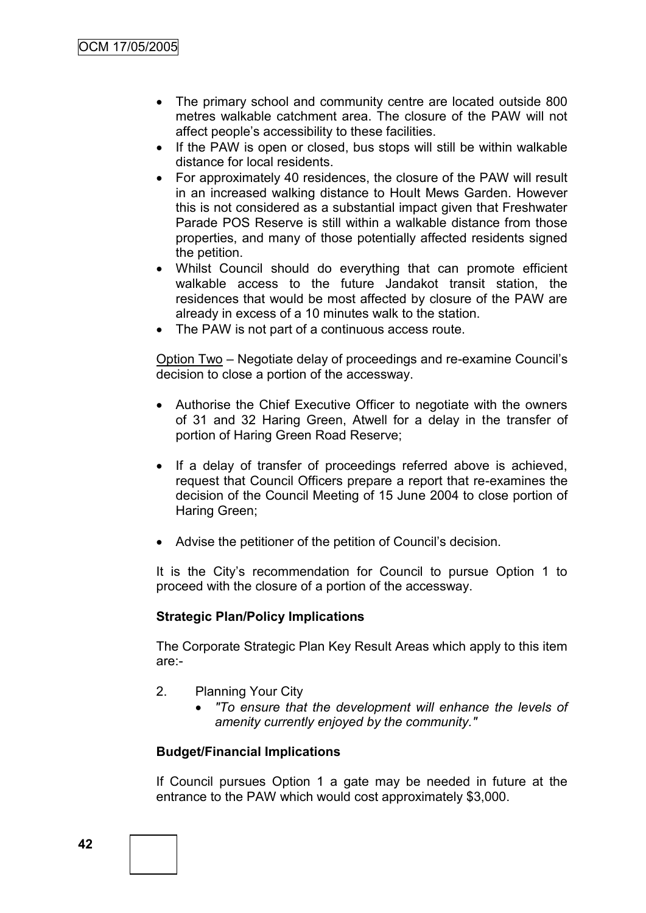- The primary school and community centre are located outside 800 metres walkable catchment area. The closure of the PAW will not affect people"s accessibility to these facilities.
- If the PAW is open or closed, bus stops will still be within walkable distance for local residents.
- For approximately 40 residences, the closure of the PAW will result in an increased walking distance to Hoult Mews Garden. However this is not considered as a substantial impact given that Freshwater Parade POS Reserve is still within a walkable distance from those properties, and many of those potentially affected residents signed the petition.
- Whilst Council should do everything that can promote efficient walkable access to the future Jandakot transit station, the residences that would be most affected by closure of the PAW are already in excess of a 10 minutes walk to the station.
- The PAW is not part of a continuous access route.

Option Two – Negotiate delay of proceedings and re-examine Council"s decision to close a portion of the accessway.

- Authorise the Chief Executive Officer to negotiate with the owners of 31 and 32 Haring Green, Atwell for a delay in the transfer of portion of Haring Green Road Reserve;
- If a delay of transfer of proceedings referred above is achieved, request that Council Officers prepare a report that re-examines the decision of the Council Meeting of 15 June 2004 to close portion of Haring Green;
- Advise the petitioner of the petition of Council's decision.

It is the City"s recommendation for Council to pursue Option 1 to proceed with the closure of a portion of the accessway.

#### **Strategic Plan/Policy Implications**

The Corporate Strategic Plan Key Result Areas which apply to this item are:-

- 2. Planning Your City
	- *"To ensure that the development will enhance the levels of amenity currently enjoyed by the community."*

#### **Budget/Financial Implications**

If Council pursues Option 1 a gate may be needed in future at the entrance to the PAW which would cost approximately \$3,000.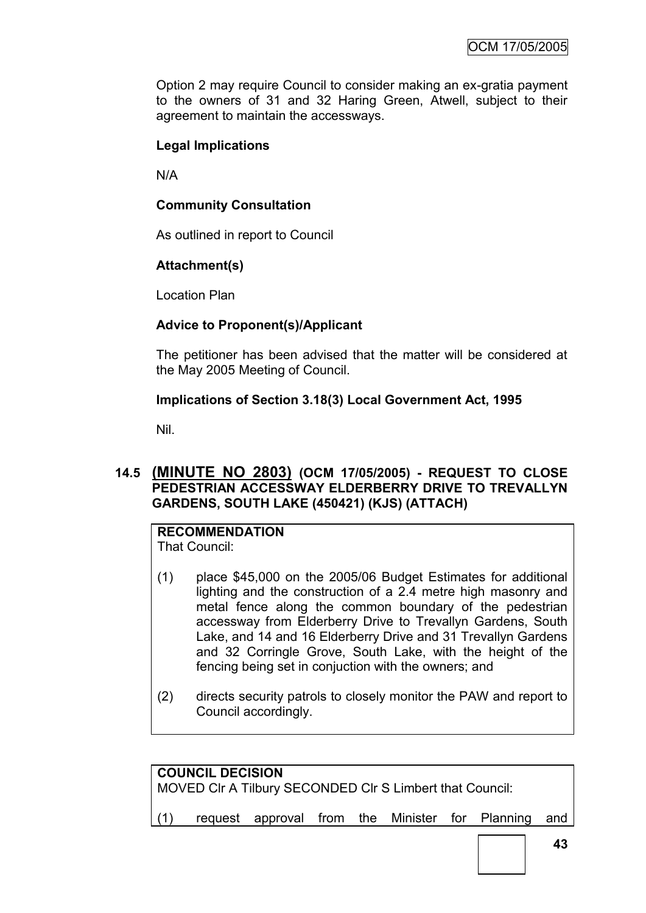Option 2 may require Council to consider making an ex-gratia payment to the owners of 31 and 32 Haring Green, Atwell, subject to their agreement to maintain the accessways.

### **Legal Implications**

N/A

### **Community Consultation**

As outlined in report to Council

### **Attachment(s)**

Location Plan

### **Advice to Proponent(s)/Applicant**

The petitioner has been advised that the matter will be considered at the May 2005 Meeting of Council.

### **Implications of Section 3.18(3) Local Government Act, 1995**

Nil.

### **14.5 (MINUTE NO 2803) (OCM 17/05/2005) - REQUEST TO CLOSE PEDESTRIAN ACCESSWAY ELDERBERRY DRIVE TO TREVALLYN GARDENS, SOUTH LAKE (450421) (KJS) (ATTACH)**

# **RECOMMENDATION**

That Council:

- (1) place \$45,000 on the 2005/06 Budget Estimates for additional lighting and the construction of a 2.4 metre high masonry and metal fence along the common boundary of the pedestrian accessway from Elderberry Drive to Trevallyn Gardens, South Lake, and 14 and 16 Elderberry Drive and 31 Trevallyn Gardens and 32 Corringle Grove, South Lake, with the height of the fencing being set in conjuction with the owners; and
- (2) directs security patrols to closely monitor the PAW and report to Council accordingly.

| <b>COUNCIL DECISION</b><br>MOVED CIr A Tilbury SECONDED CIr S Limbert that Council: |  |  |  |  |  |  |                                                     |  |
|-------------------------------------------------------------------------------------|--|--|--|--|--|--|-----------------------------------------------------|--|
| (1)                                                                                 |  |  |  |  |  |  | request approval from the Minister for Planning and |  |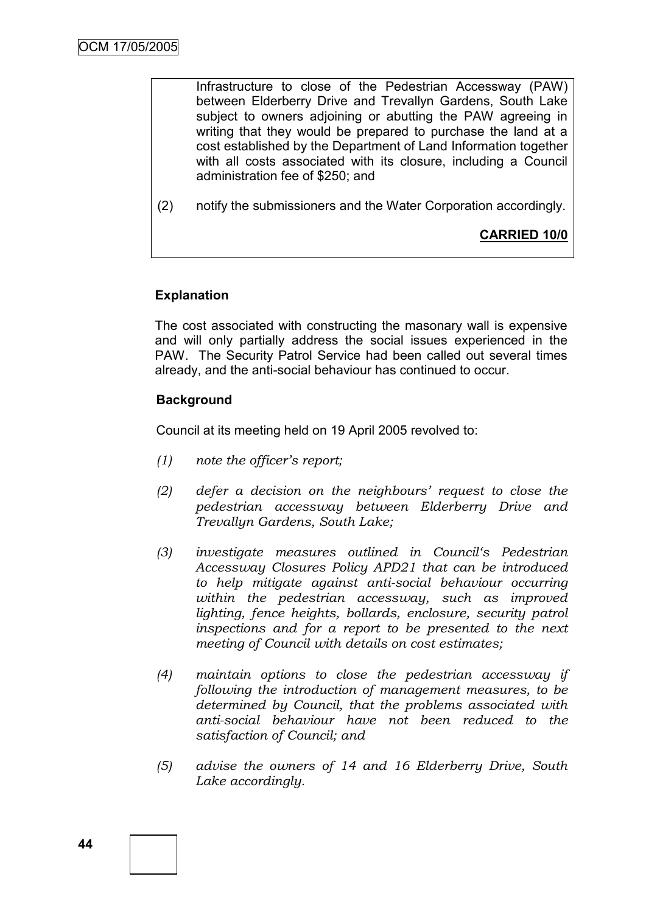Infrastructure to close of the Pedestrian Accessway (PAW) between Elderberry Drive and Trevallyn Gardens, South Lake subject to owners adjoining or abutting the PAW agreeing in writing that they would be prepared to purchase the land at a cost established by the Department of Land Information together with all costs associated with its closure, including a Council administration fee of \$250; and

(2) notify the submissioners and the Water Corporation accordingly.

**CARRIED 10/0**

### **Explanation**

The cost associated with constructing the masonary wall is expensive and will only partially address the social issues experienced in the PAW. The Security Patrol Service had been called out several times already, and the anti-social behaviour has continued to occur.

### **Background**

Council at its meeting held on 19 April 2005 revolved to:

- *(1) note the officer"s report;*
- *(2) defer a decision on the neighbours" request to close the pedestrian accessway between Elderberry Drive and Trevallyn Gardens, South Lake;*
- *(3) investigate measures outlined in Council"s Pedestrian Accessway Closures Policy APD21 that can be introduced to help mitigate against anti-social behaviour occurring within the pedestrian accessway, such as improved lighting, fence heights, bollards, enclosure, security patrol inspections and for a report to be presented to the next meeting of Council with details on cost estimates;*
- *(4) maintain options to close the pedestrian accessway if following the introduction of management measures, to be determined by Council, that the problems associated with anti-social behaviour have not been reduced to the satisfaction of Council; and*
- *(5) advise the owners of 14 and 16 Elderberry Drive, South Lake accordingly.*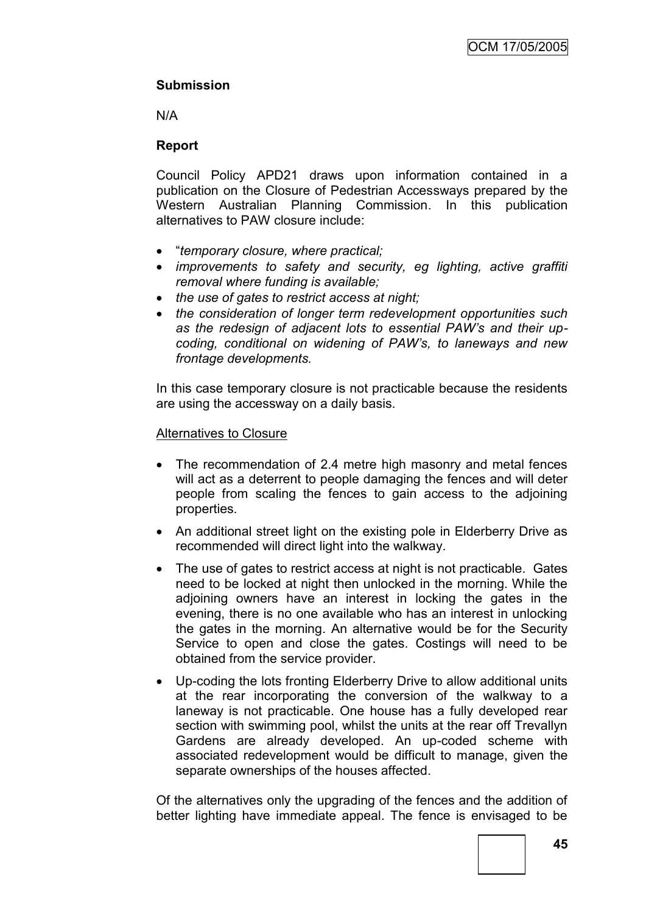### **Submission**

N/A

### **Report**

Council Policy APD21 draws upon information contained in a publication on the Closure of Pedestrian Accessways prepared by the Western Australian Planning Commission. In this publication alternatives to PAW closure include:

- "*temporary closure, where practical;*
- *improvements to safety and security, eg lighting, active graffiti removal where funding is available;*
- *the use of gates to restrict access at night;*
- *the consideration of longer term redevelopment opportunities such as the redesign of adjacent lots to essential PAW's and their upcoding, conditional on widening of PAW's, to laneways and new frontage developments.*

In this case temporary closure is not practicable because the residents are using the accessway on a daily basis.

### Alternatives to Closure

- The recommendation of 2.4 metre high masonry and metal fences will act as a deterrent to people damaging the fences and will deter people from scaling the fences to gain access to the adjoining properties.
- An additional street light on the existing pole in Elderberry Drive as recommended will direct light into the walkway.
- The use of gates to restrict access at night is not practicable. Gates need to be locked at night then unlocked in the morning. While the adjoining owners have an interest in locking the gates in the evening, there is no one available who has an interest in unlocking the gates in the morning. An alternative would be for the Security Service to open and close the gates. Costings will need to be obtained from the service provider.
- Up-coding the lots fronting Elderberry Drive to allow additional units at the rear incorporating the conversion of the walkway to a laneway is not practicable. One house has a fully developed rear section with swimming pool, whilst the units at the rear off Trevallyn Gardens are already developed. An up-coded scheme with associated redevelopment would be difficult to manage, given the separate ownerships of the houses affected.

Of the alternatives only the upgrading of the fences and the addition of better lighting have immediate appeal. The fence is envisaged to be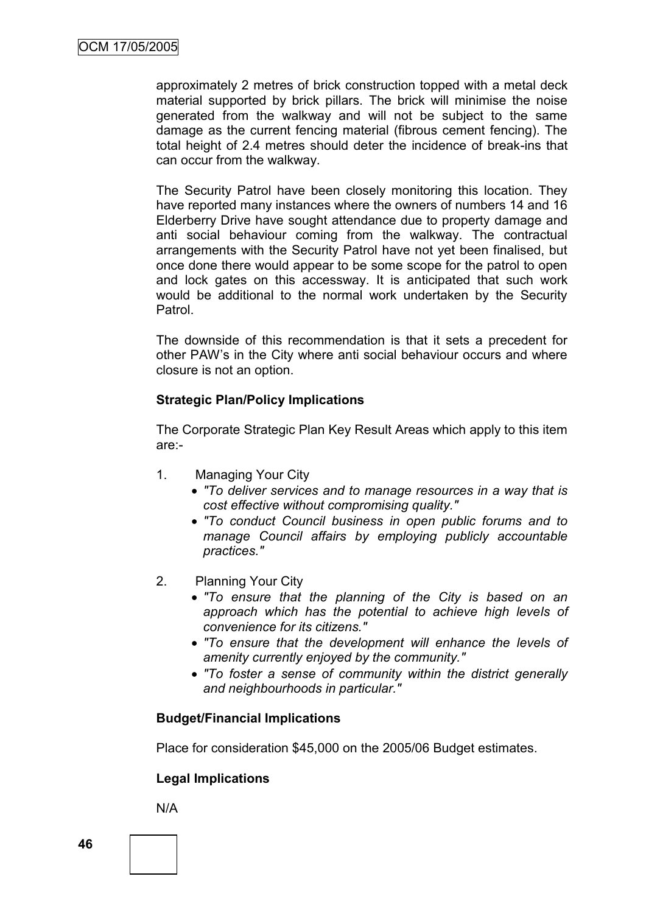approximately 2 metres of brick construction topped with a metal deck material supported by brick pillars. The brick will minimise the noise generated from the walkway and will not be subject to the same damage as the current fencing material (fibrous cement fencing). The total height of 2.4 metres should deter the incidence of break-ins that can occur from the walkway.

The Security Patrol have been closely monitoring this location. They have reported many instances where the owners of numbers 14 and 16 Elderberry Drive have sought attendance due to property damage and anti social behaviour coming from the walkway. The contractual arrangements with the Security Patrol have not yet been finalised, but once done there would appear to be some scope for the patrol to open and lock gates on this accessway. It is anticipated that such work would be additional to the normal work undertaken by the Security Patrol.

The downside of this recommendation is that it sets a precedent for other PAW"s in the City where anti social behaviour occurs and where closure is not an option.

### **Strategic Plan/Policy Implications**

The Corporate Strategic Plan Key Result Areas which apply to this item are:-

- 1. Managing Your City
	- *"To deliver services and to manage resources in a way that is cost effective without compromising quality."*
	- *"To conduct Council business in open public forums and to manage Council affairs by employing publicly accountable practices."*
- 2. Planning Your City
	- *"To ensure that the planning of the City is based on an approach which has the potential to achieve high levels of convenience for its citizens."*
	- *"To ensure that the development will enhance the levels of amenity currently enjoyed by the community."*
	- *"To foster a sense of community within the district generally and neighbourhoods in particular."*

### **Budget/Financial Implications**

Place for consideration \$45,000 on the 2005/06 Budget estimates.

### **Legal Implications**

N/A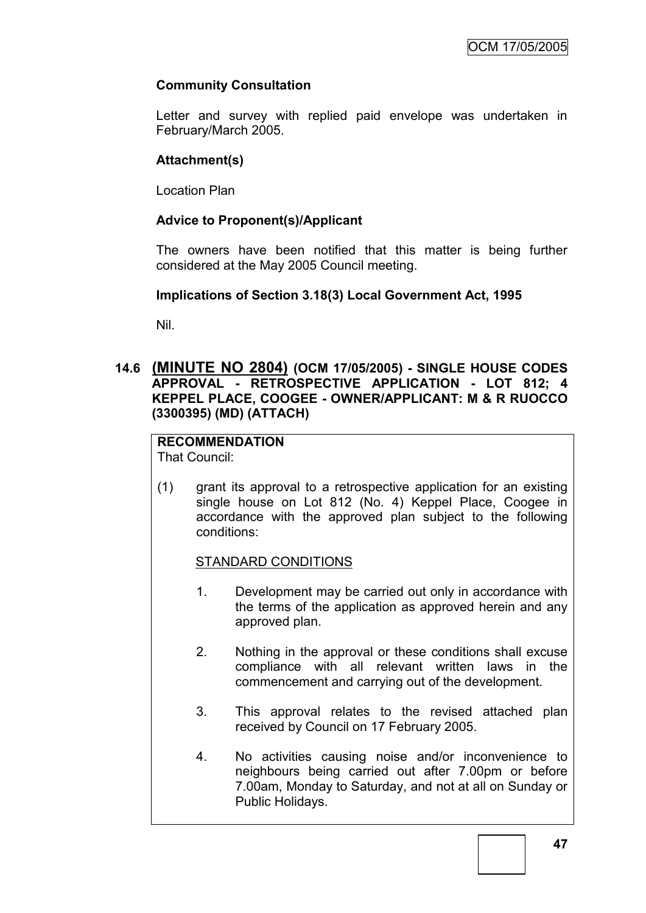### **Community Consultation**

Letter and survey with replied paid envelope was undertaken in February/March 2005.

### **Attachment(s)**

Location Plan

### **Advice to Proponent(s)/Applicant**

The owners have been notified that this matter is being further considered at the May 2005 Council meeting.

### **Implications of Section 3.18(3) Local Government Act, 1995**

Nil.

### **14.6 (MINUTE NO 2804) (OCM 17/05/2005) - SINGLE HOUSE CODES APPROVAL - RETROSPECTIVE APPLICATION - LOT 812; 4 KEPPEL PLACE, COOGEE - OWNER/APPLICANT: M & R RUOCCO (3300395) (MD) (ATTACH)**

## **RECOMMENDATION**

That Council:

(1) grant its approval to a retrospective application for an existing single house on Lot 812 (No. 4) Keppel Place, Coogee in accordance with the approved plan subject to the following conditions:

### STANDARD CONDITIONS

- 1. Development may be carried out only in accordance with the terms of the application as approved herein and any approved plan.
- 2. Nothing in the approval or these conditions shall excuse compliance with all relevant written laws in the commencement and carrying out of the development.
- 3. This approval relates to the revised attached plan received by Council on 17 February 2005.
- 4. No activities causing noise and/or inconvenience to neighbours being carried out after 7.00pm or before 7.00am, Monday to Saturday, and not at all on Sunday or Public Holidays.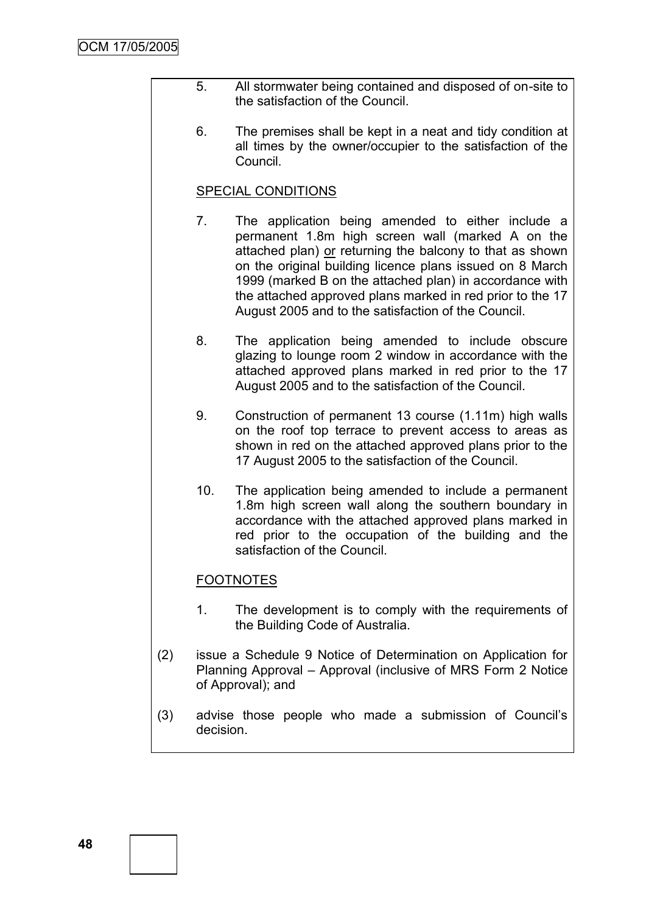- 5. All stormwater being contained and disposed of on-site to the satisfaction of the Council.
- 6. The premises shall be kept in a neat and tidy condition at all times by the owner/occupier to the satisfaction of the Council.

#### SPECIAL CONDITIONS

- 7. The application being amended to either include a permanent 1.8m high screen wall (marked A on the attached plan) or returning the balcony to that as shown on the original building licence plans issued on 8 March 1999 (marked B on the attached plan) in accordance with the attached approved plans marked in red prior to the 17 August 2005 and to the satisfaction of the Council.
- 8. The application being amended to include obscure glazing to lounge room 2 window in accordance with the attached approved plans marked in red prior to the 17 August 2005 and to the satisfaction of the Council.
- 9. Construction of permanent 13 course (1.11m) high walls on the roof top terrace to prevent access to areas as shown in red on the attached approved plans prior to the 17 August 2005 to the satisfaction of the Council.
- 10. The application being amended to include a permanent 1.8m high screen wall along the southern boundary in accordance with the attached approved plans marked in red prior to the occupation of the building and the satisfaction of the Council.

### FOOTNOTES

- 1. The development is to comply with the requirements of the Building Code of Australia.
- (2) issue a Schedule 9 Notice of Determination on Application for Planning Approval – Approval (inclusive of MRS Form 2 Notice of Approval); and
- (3) advise those people who made a submission of Council"s decision.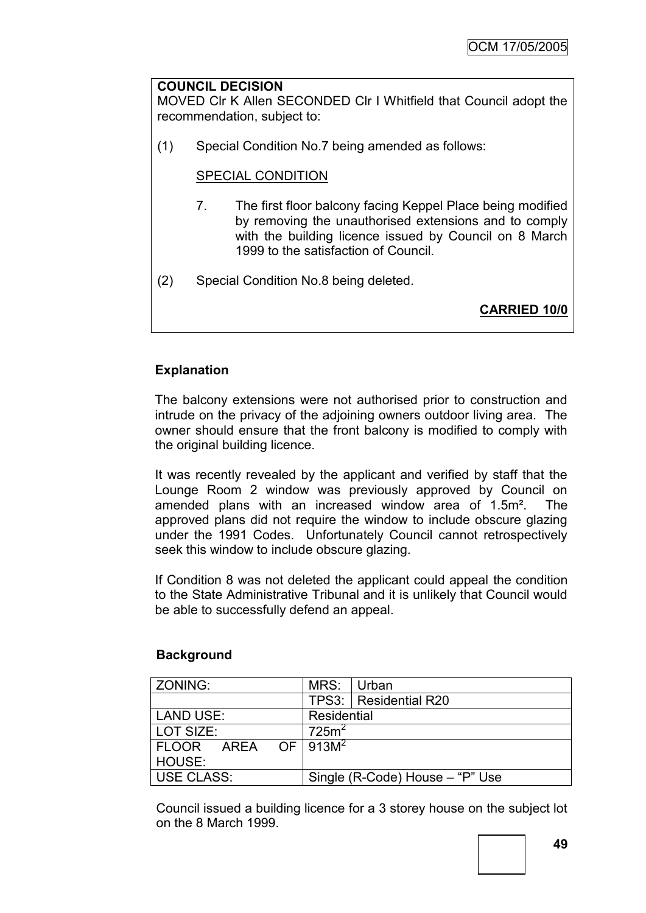### **COUNCIL DECISION**

MOVED Clr K Allen SECONDED Clr I Whitfield that Council adopt the recommendation, subject to:

(1) Special Condition No.7 being amended as follows:

### SPECIAL CONDITION

- 7. The first floor balcony facing Keppel Place being modified by removing the unauthorised extensions and to comply with the building licence issued by Council on 8 March 1999 to the satisfaction of Council.
- (2) Special Condition No.8 being deleted.

**CARRIED 10/0**

### **Explanation**

The balcony extensions were not authorised prior to construction and intrude on the privacy of the adjoining owners outdoor living area. The owner should ensure that the front balcony is modified to comply with the original building licence.

It was recently revealed by the applicant and verified by staff that the Lounge Room 2 window was previously approved by Council on amended plans with an increased window area of 1.5m². The approved plans did not require the window to include obscure glazing under the 1991 Codes. Unfortunately Council cannot retrospectively seek this window to include obscure glazing.

If Condition 8 was not deleted the applicant could appeal the condition to the State Administrative Tribunal and it is unlikely that Council would be able to successfully defend an appeal.

| ZONING:                               | MRS: Urban                      |                         |  |
|---------------------------------------|---------------------------------|-------------------------|--|
|                                       |                                 | TPS3:   Residential R20 |  |
| LAND USE:                             | Residential                     |                         |  |
| LOT SIZE:                             | 725m <sup>2</sup>               |                         |  |
| $ FLOOR$ AREA OF $ 913\overline{M}^2$ |                                 |                         |  |
| HOUSE:                                |                                 |                         |  |
| USE CLASS:                            | Single (R-Code) House – "P" Use |                         |  |

### **Background**

Council issued a building licence for a 3 storey house on the subject lot on the 8 March 1999.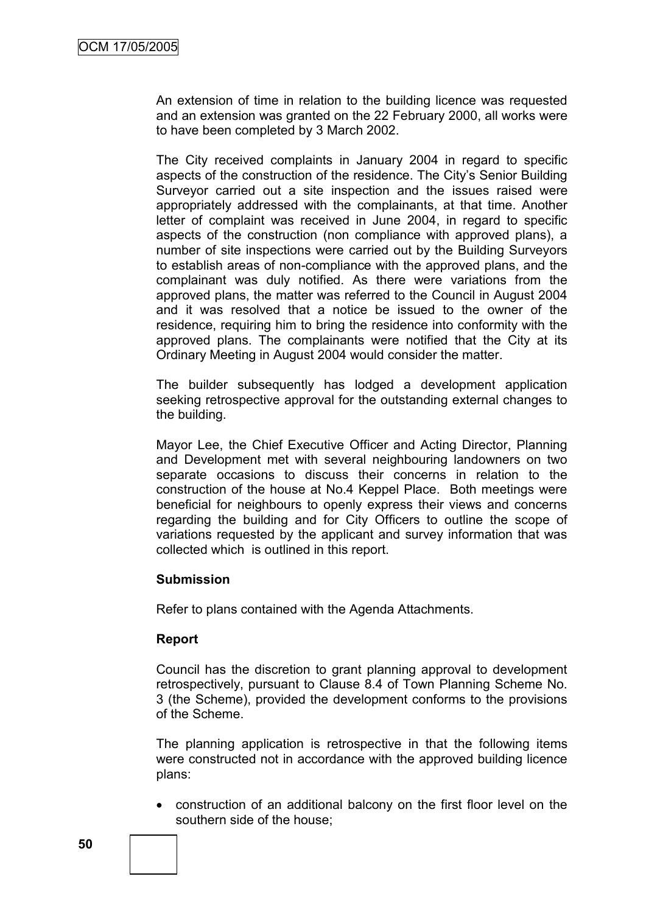An extension of time in relation to the building licence was requested and an extension was granted on the 22 February 2000, all works were to have been completed by 3 March 2002.

The City received complaints in January 2004 in regard to specific aspects of the construction of the residence. The City"s Senior Building Surveyor carried out a site inspection and the issues raised were appropriately addressed with the complainants, at that time. Another letter of complaint was received in June 2004, in regard to specific aspects of the construction (non compliance with approved plans), a number of site inspections were carried out by the Building Surveyors to establish areas of non-compliance with the approved plans, and the complainant was duly notified. As there were variations from the approved plans, the matter was referred to the Council in August 2004 and it was resolved that a notice be issued to the owner of the residence, requiring him to bring the residence into conformity with the approved plans. The complainants were notified that the City at its Ordinary Meeting in August 2004 would consider the matter.

The builder subsequently has lodged a development application seeking retrospective approval for the outstanding external changes to the building.

Mayor Lee, the Chief Executive Officer and Acting Director, Planning and Development met with several neighbouring landowners on two separate occasions to discuss their concerns in relation to the construction of the house at No.4 Keppel Place. Both meetings were beneficial for neighbours to openly express their views and concerns regarding the building and for City Officers to outline the scope of variations requested by the applicant and survey information that was collected which is outlined in this report.

#### **Submission**

Refer to plans contained with the Agenda Attachments.

### **Report**

Council has the discretion to grant planning approval to development retrospectively, pursuant to Clause 8.4 of Town Planning Scheme No. 3 (the Scheme), provided the development conforms to the provisions of the Scheme.

The planning application is retrospective in that the following items were constructed not in accordance with the approved building licence plans:

 construction of an additional balcony on the first floor level on the southern side of the house;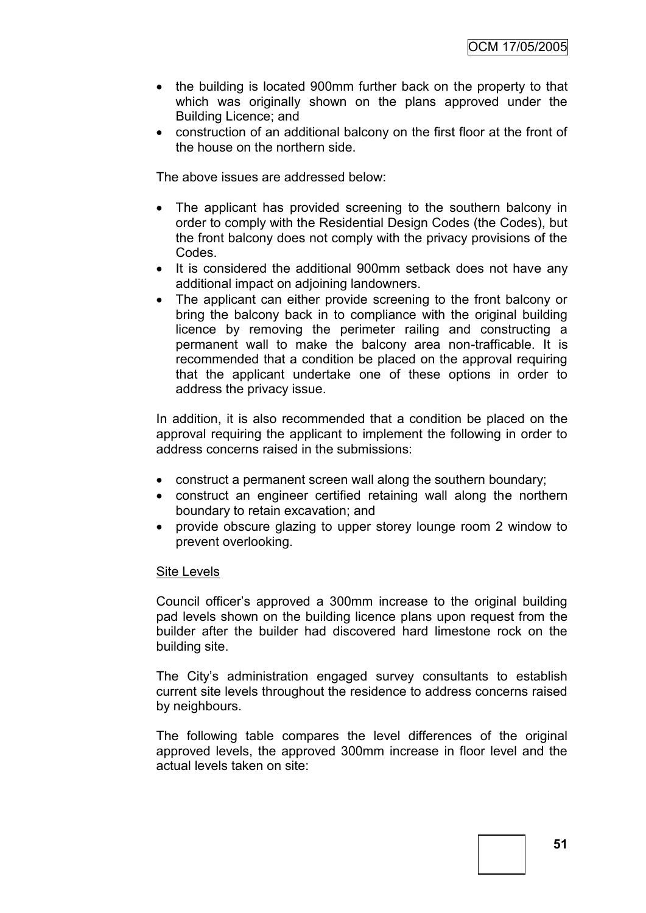- the building is located 900mm further back on the property to that which was originally shown on the plans approved under the Building Licence; and
- construction of an additional balcony on the first floor at the front of the house on the northern side.

The above issues are addressed below:

- The applicant has provided screening to the southern balcony in order to comply with the Residential Design Codes (the Codes), but the front balcony does not comply with the privacy provisions of the Codes.
- It is considered the additional 900mm setback does not have any additional impact on adjoining landowners.
- The applicant can either provide screening to the front balcony or bring the balcony back in to compliance with the original building licence by removing the perimeter railing and constructing a permanent wall to make the balcony area non-trafficable. It is recommended that a condition be placed on the approval requiring that the applicant undertake one of these options in order to address the privacy issue.

In addition, it is also recommended that a condition be placed on the approval requiring the applicant to implement the following in order to address concerns raised in the submissions:

- construct a permanent screen wall along the southern boundary;
- construct an engineer certified retaining wall along the northern boundary to retain excavation; and
- provide obscure glazing to upper storey lounge room 2 window to prevent overlooking.

#### Site Levels

Council officer"s approved a 300mm increase to the original building pad levels shown on the building licence plans upon request from the builder after the builder had discovered hard limestone rock on the building site.

The City"s administration engaged survey consultants to establish current site levels throughout the residence to address concerns raised by neighbours.

The following table compares the level differences of the original approved levels, the approved 300mm increase in floor level and the actual levels taken on site: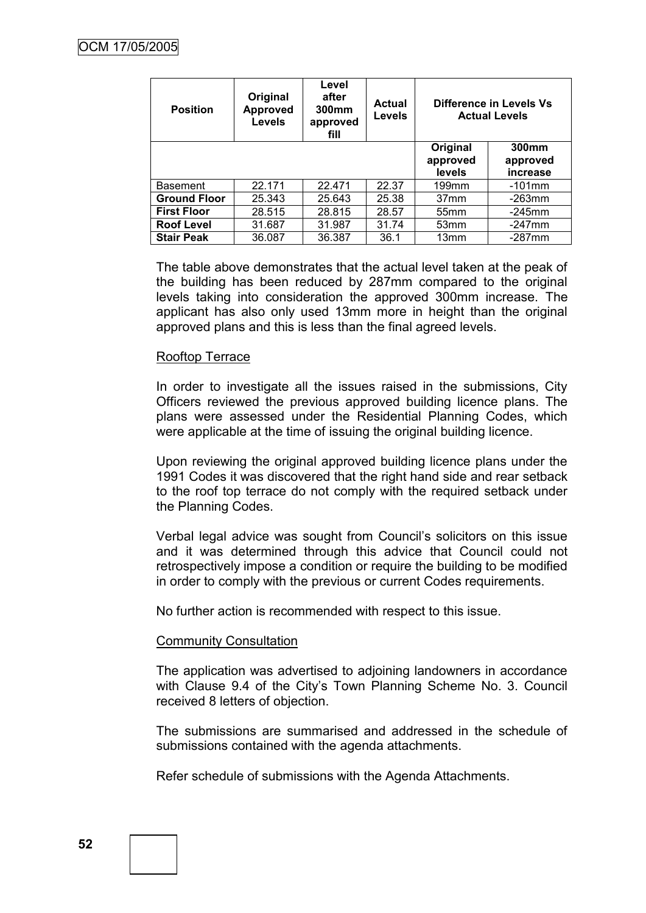| <b>Position</b>     | Original<br><b>Approved</b><br><b>Levels</b> | Level<br>after<br>300mm<br>approved<br>fill | <b>Actual</b><br><b>Levels</b> |                                | Difference in Levels Vs<br><b>Actual Levels</b> |
|---------------------|----------------------------------------------|---------------------------------------------|--------------------------------|--------------------------------|-------------------------------------------------|
|                     |                                              |                                             |                                | Original<br>approved<br>levels | 300mm<br>approved<br>increase                   |
| <b>Basement</b>     | 22.171                                       | 22.471                                      | 22.37                          | 199mm                          | $-101$ mm                                       |
| <b>Ground Floor</b> | 25.343                                       | 25.643                                      | 25.38                          | 37 <sub>mm</sub>               | -263mm                                          |
| <b>First Floor</b>  | 28.515                                       | 28.815                                      | 28.57                          | 55mm                           | $-245$ mm                                       |
| <b>Roof Level</b>   | 31.687                                       | 31.987                                      | 31.74                          | 53 <sub>mm</sub>               | $-247$ mm                                       |
| <b>Stair Peak</b>   | 36.087                                       | 36.387                                      | 36.1                           | 13mm                           | $-287$ mm                                       |

The table above demonstrates that the actual level taken at the peak of the building has been reduced by 287mm compared to the original levels taking into consideration the approved 300mm increase. The applicant has also only used 13mm more in height than the original approved plans and this is less than the final agreed levels.

#### Rooftop Terrace

In order to investigate all the issues raised in the submissions, City Officers reviewed the previous approved building licence plans. The plans were assessed under the Residential Planning Codes, which were applicable at the time of issuing the original building licence.

Upon reviewing the original approved building licence plans under the 1991 Codes it was discovered that the right hand side and rear setback to the roof top terrace do not comply with the required setback under the Planning Codes.

Verbal legal advice was sought from Council"s solicitors on this issue and it was determined through this advice that Council could not retrospectively impose a condition or require the building to be modified in order to comply with the previous or current Codes requirements.

No further action is recommended with respect to this issue.

#### Community Consultation

The application was advertised to adjoining landowners in accordance with Clause 9.4 of the City's Town Planning Scheme No. 3. Council received 8 letters of objection.

The submissions are summarised and addressed in the schedule of submissions contained with the agenda attachments.

Refer schedule of submissions with the Agenda Attachments.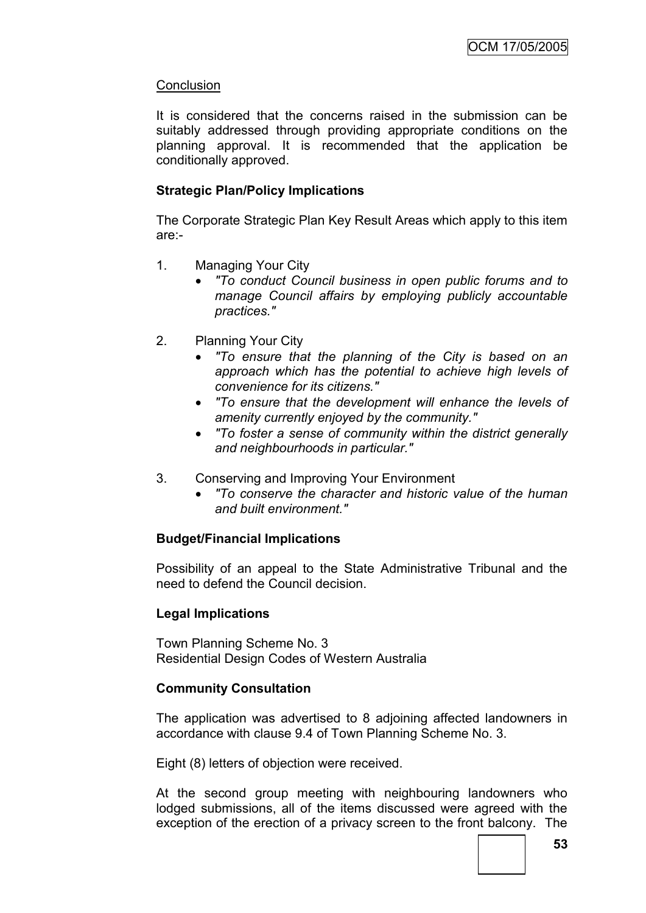### **Conclusion**

It is considered that the concerns raised in the submission can be suitably addressed through providing appropriate conditions on the planning approval. It is recommended that the application be conditionally approved.

### **Strategic Plan/Policy Implications**

The Corporate Strategic Plan Key Result Areas which apply to this item are:-

- 1. Managing Your City
	- *"To conduct Council business in open public forums and to manage Council affairs by employing publicly accountable practices."*
- 2. Planning Your City
	- *"To ensure that the planning of the City is based on an approach which has the potential to achieve high levels of convenience for its citizens."*
	- *"To ensure that the development will enhance the levels of amenity currently enjoyed by the community."*
	- *"To foster a sense of community within the district generally and neighbourhoods in particular."*
- 3. Conserving and Improving Your Environment
	- *"To conserve the character and historic value of the human and built environment."*

### **Budget/Financial Implications**

Possibility of an appeal to the State Administrative Tribunal and the need to defend the Council decision.

### **Legal Implications**

Town Planning Scheme No. 3 Residential Design Codes of Western Australia

### **Community Consultation**

The application was advertised to 8 adjoining affected landowners in accordance with clause 9.4 of Town Planning Scheme No. 3.

Eight (8) letters of objection were received.

At the second group meeting with neighbouring landowners who lodged submissions, all of the items discussed were agreed with the exception of the erection of a privacy screen to the front balcony. The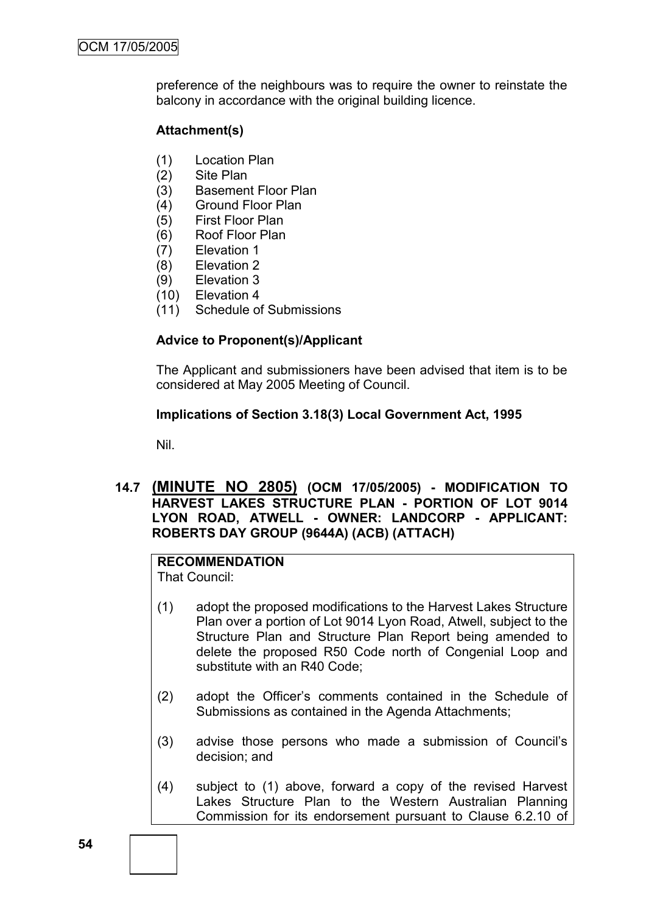preference of the neighbours was to require the owner to reinstate the balcony in accordance with the original building licence.

### **Attachment(s)**

- (1) Location Plan
- (2) Site Plan
- (3) Basement Floor Plan
- (4) Ground Floor Plan
- (5) First Floor Plan
- (6) Roof Floor Plan
- (7) Elevation 1
- (8) Elevation 2
- (9) Elevation 3
- (10) Elevation 4
- (11) Schedule of Submissions

### **Advice to Proponent(s)/Applicant**

The Applicant and submissioners have been advised that item is to be considered at May 2005 Meeting of Council.

### **Implications of Section 3.18(3) Local Government Act, 1995**

Nil.

### **14.7 (MINUTE NO 2805) (OCM 17/05/2005) - MODIFICATION TO HARVEST LAKES STRUCTURE PLAN - PORTION OF LOT 9014 LYON ROAD, ATWELL - OWNER: LANDCORP - APPLICANT: ROBERTS DAY GROUP (9644A) (ACB) (ATTACH)**

### **RECOMMENDATION**

That Council:

- (1) adopt the proposed modifications to the Harvest Lakes Structure Plan over a portion of Lot 9014 Lyon Road, Atwell, subject to the Structure Plan and Structure Plan Report being amended to delete the proposed R50 Code north of Congenial Loop and substitute with an R40 Code;
- (2) adopt the Officer"s comments contained in the Schedule of Submissions as contained in the Agenda Attachments;
- (3) advise those persons who made a submission of Council"s decision; and
- (4) subject to (1) above, forward a copy of the revised Harvest Lakes Structure Plan to the Western Australian Planning Commission for its endorsement pursuant to Clause 6.2.10 of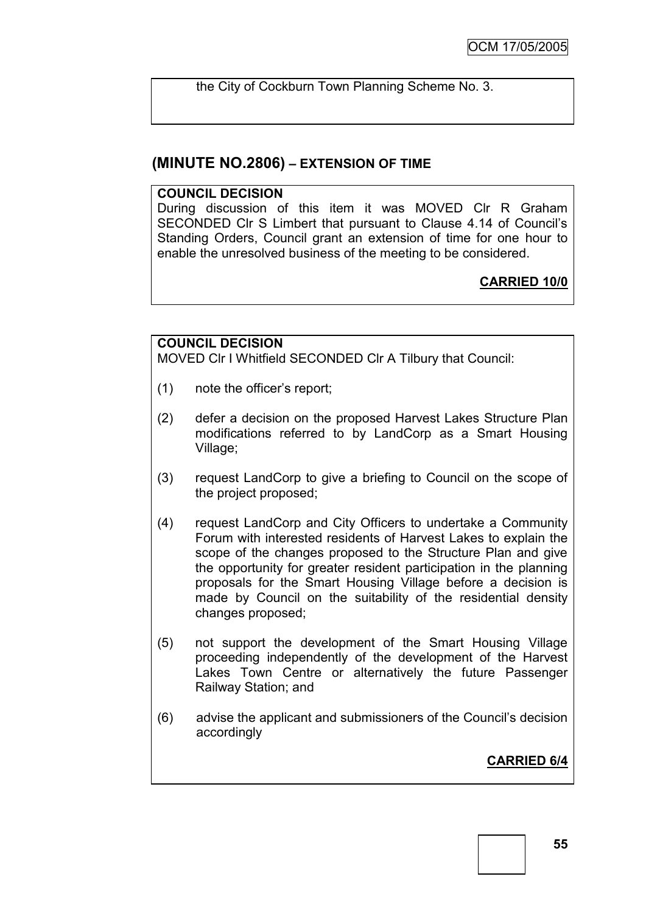the City of Cockburn Town Planning Scheme No. 3.

### **(MINUTE NO.2806) – EXTENSION OF TIME**

#### **COUNCIL DECISION**

During discussion of this item it was MOVED Clr R Graham SECONDED Clr S Limbert that pursuant to Clause 4.14 of Council"s Standing Orders, Council grant an extension of time for one hour to enable the unresolved business of the meeting to be considered.

**CARRIED 10/0**

### **COUNCIL DECISION**

MOVED Clr I Whitfield SECONDED Clr A Tilbury that Council:

- (1) note the officer"s report;
- (2) defer a decision on the proposed Harvest Lakes Structure Plan modifications referred to by LandCorp as a Smart Housing Village;
- (3) request LandCorp to give a briefing to Council on the scope of the project proposed;
- (4) request LandCorp and City Officers to undertake a Community Forum with interested residents of Harvest Lakes to explain the scope of the changes proposed to the Structure Plan and give the opportunity for greater resident participation in the planning proposals for the Smart Housing Village before a decision is made by Council on the suitability of the residential density changes proposed;
- (5) not support the development of the Smart Housing Village proceeding independently of the development of the Harvest Lakes Town Centre or alternatively the future Passenger Railway Station; and
- (6) advise the applicant and submissioners of the Council"s decision accordingly

**CARRIED 6/4**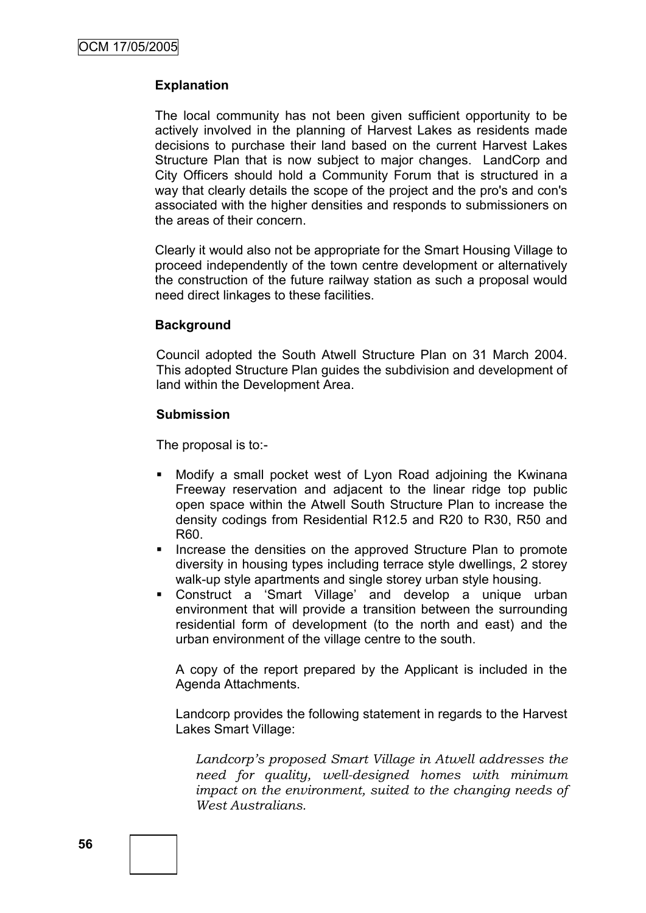### **Explanation**

The local community has not been given sufficient opportunity to be actively involved in the planning of Harvest Lakes as residents made decisions to purchase their land based on the current Harvest Lakes Structure Plan that is now subject to major changes. LandCorp and City Officers should hold a Community Forum that is structured in a way that clearly details the scope of the project and the pro's and con's associated with the higher densities and responds to submissioners on the areas of their concern.

Clearly it would also not be appropriate for the Smart Housing Village to proceed independently of the town centre development or alternatively the construction of the future railway station as such a proposal would need direct linkages to these facilities.

#### **Background**

Council adopted the South Atwell Structure Plan on 31 March 2004. This adopted Structure Plan guides the subdivision and development of land within the Development Area.

#### **Submission**

The proposal is to:-

- Modify a small pocket west of Lyon Road adjoining the Kwinana Freeway reservation and adjacent to the linear ridge top public open space within the Atwell South Structure Plan to increase the density codings from Residential R12.5 and R20 to R30, R50 and R60.
- **Increase the densities on the approved Structure Plan to promote** diversity in housing types including terrace style dwellings, 2 storey walk-up style apartments and single storey urban style housing.
- Construct a "Smart Village" and develop a unique urban environment that will provide a transition between the surrounding residential form of development (to the north and east) and the urban environment of the village centre to the south.

A copy of the report prepared by the Applicant is included in the Agenda Attachments.

Landcorp provides the following statement in regards to the Harvest Lakes Smart Village:

*Landcorp"s proposed Smart Village in Atwell addresses the need for quality, well-designed homes with minimum impact on the environment, suited to the changing needs of West Australians.*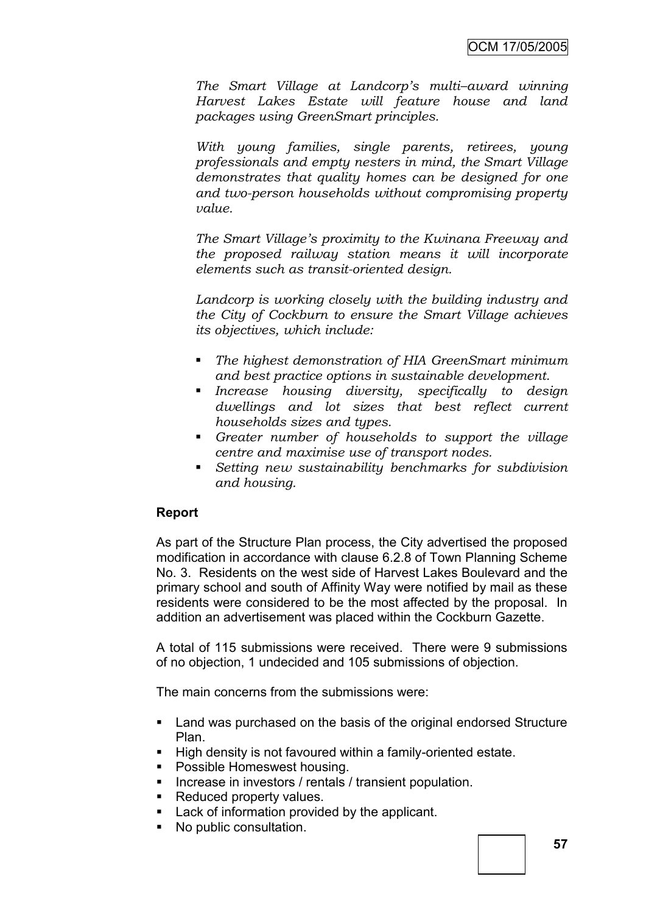*The Smart Village at Landcorp"s multi–award winning Harvest Lakes Estate will feature house and land packages using GreenSmart principles.*

*With young families, single parents, retirees, young professionals and empty nesters in mind, the Smart Village demonstrates that quality homes can be designed for one and two-person households without compromising property value.*

*The Smart Village"s proximity to the Kwinana Freeway and the proposed railway station means it will incorporate elements such as transit-oriented design.*

*Landcorp is working closely with the building industry and the City of Cockburn to ensure the Smart Village achieves its objectives, which include:*

- *The highest demonstration of HIA GreenSmart minimum and best practice options in sustainable development.*
- *Increase housing diversity, specifically to design dwellings and lot sizes that best reflect current households sizes and types.*
- *Greater number of households to support the village centre and maximise use of transport nodes.*
- *Setting new sustainability benchmarks for subdivision and housing.*

### **Report**

As part of the Structure Plan process, the City advertised the proposed modification in accordance with clause 6.2.8 of Town Planning Scheme No. 3. Residents on the west side of Harvest Lakes Boulevard and the primary school and south of Affinity Way were notified by mail as these residents were considered to be the most affected by the proposal. In addition an advertisement was placed within the Cockburn Gazette.

A total of 115 submissions were received. There were 9 submissions of no objection, 1 undecided and 105 submissions of objection.

The main concerns from the submissions were:

- Land was purchased on the basis of the original endorsed Structure Plan.
- High density is not favoured within a family-oriented estate.
- **Possible Homeswest housing.**
- **Increase in investors / rentals / transient population.**
- Reduced property values.
- **Lack of information provided by the applicant.**
- No public consultation.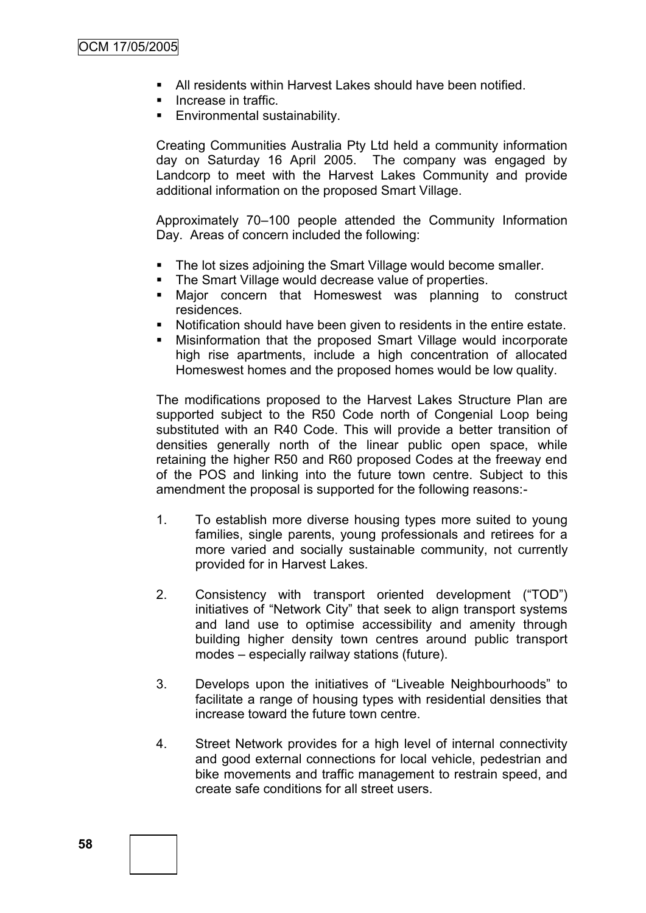- All residents within Harvest Lakes should have been notified.
- **Increase in traffic.**
- **Environmental sustainability.**

Creating Communities Australia Pty Ltd held a community information day on Saturday 16 April 2005. The company was engaged by Landcorp to meet with the Harvest Lakes Community and provide additional information on the proposed Smart Village.

Approximately 70–100 people attended the Community Information Day. Areas of concern included the following:

- The lot sizes adjoining the Smart Village would become smaller.
- The Smart Village would decrease value of properties.
- Major concern that Homeswest was planning to construct residences.
- Notification should have been given to residents in the entire estate.
- Misinformation that the proposed Smart Village would incorporate high rise apartments, include a high concentration of allocated Homeswest homes and the proposed homes would be low quality.

The modifications proposed to the Harvest Lakes Structure Plan are supported subject to the R50 Code north of Congenial Loop being substituted with an R40 Code. This will provide a better transition of densities generally north of the linear public open space, while retaining the higher R50 and R60 proposed Codes at the freeway end of the POS and linking into the future town centre. Subject to this amendment the proposal is supported for the following reasons:-

- 1. To establish more diverse housing types more suited to young families, single parents, young professionals and retirees for a more varied and socially sustainable community, not currently provided for in Harvest Lakes.
- 2. Consistency with transport oriented development ("TOD") initiatives of "Network City" that seek to align transport systems and land use to optimise accessibility and amenity through building higher density town centres around public transport modes – especially railway stations (future).
- 3. Develops upon the initiatives of "Liveable Neighbourhoods" to facilitate a range of housing types with residential densities that increase toward the future town centre.
- 4. Street Network provides for a high level of internal connectivity and good external connections for local vehicle, pedestrian and bike movements and traffic management to restrain speed, and create safe conditions for all street users.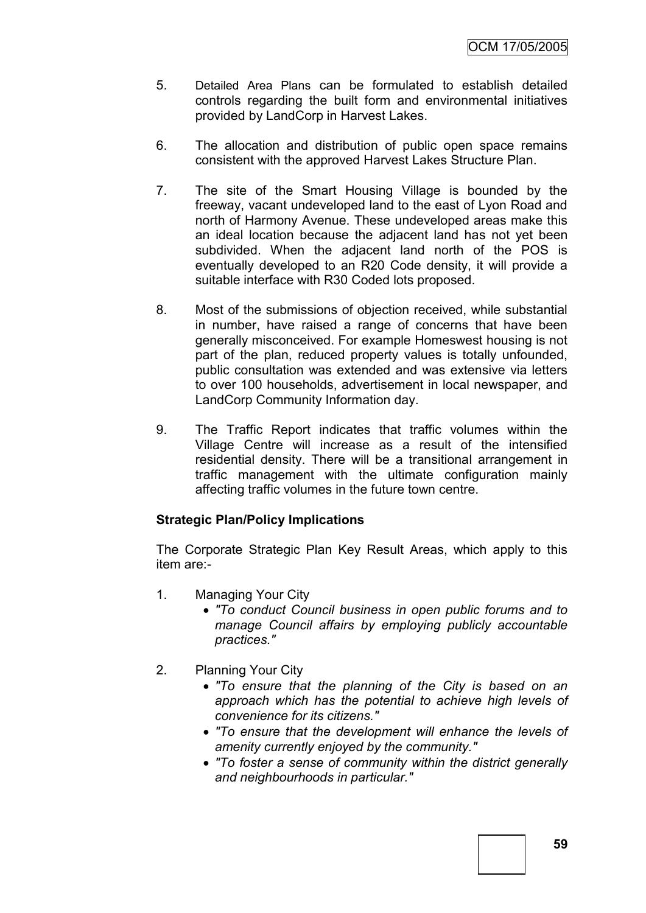- 5. Detailed Area Plans can be formulated to establish detailed controls regarding the built form and environmental initiatives provided by LandCorp in Harvest Lakes.
- 6. The allocation and distribution of public open space remains consistent with the approved Harvest Lakes Structure Plan.
- 7. The site of the Smart Housing Village is bounded by the freeway, vacant undeveloped land to the east of Lyon Road and north of Harmony Avenue. These undeveloped areas make this an ideal location because the adjacent land has not yet been subdivided. When the adjacent land north of the POS is eventually developed to an R20 Code density, it will provide a suitable interface with R30 Coded lots proposed.
- 8. Most of the submissions of objection received, while substantial in number, have raised a range of concerns that have been generally misconceived. For example Homeswest housing is not part of the plan, reduced property values is totally unfounded, public consultation was extended and was extensive via letters to over 100 households, advertisement in local newspaper, and LandCorp Community Information day.
- 9. The Traffic Report indicates that traffic volumes within the Village Centre will increase as a result of the intensified residential density. There will be a transitional arrangement in traffic management with the ultimate configuration mainly affecting traffic volumes in the future town centre.

### **Strategic Plan/Policy Implications**

The Corporate Strategic Plan Key Result Areas, which apply to this item are:-

- 1. Managing Your City
	- *"To conduct Council business in open public forums and to manage Council affairs by employing publicly accountable practices."*
- 2. Planning Your City
	- *"To ensure that the planning of the City is based on an approach which has the potential to achieve high levels of convenience for its citizens."*
	- *"To ensure that the development will enhance the levels of amenity currently enjoyed by the community."*
	- *"To foster a sense of community within the district generally and neighbourhoods in particular."*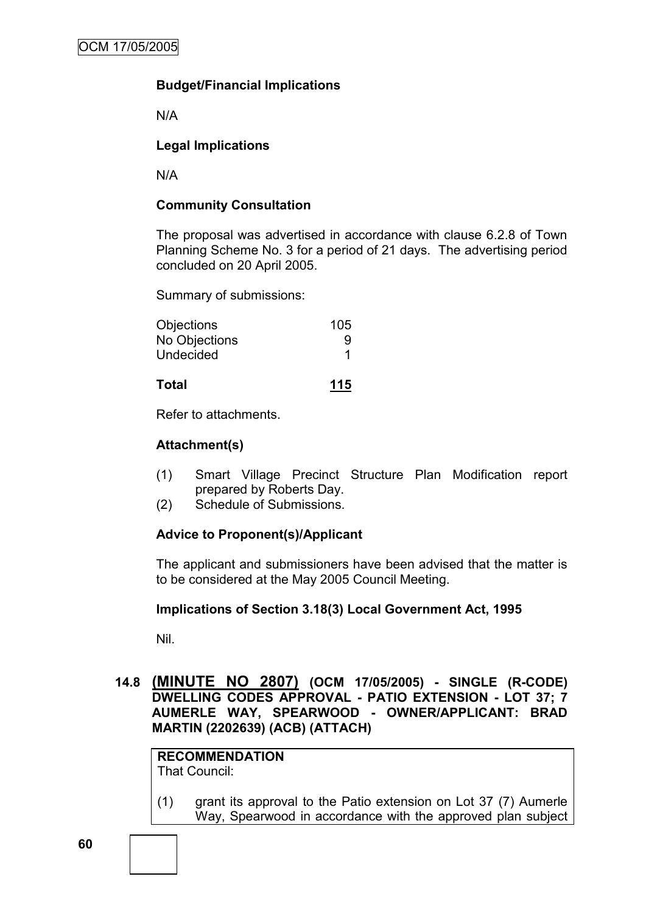### **Budget/Financial Implications**

N/A

### **Legal Implications**

N/A

### **Community Consultation**

The proposal was advertised in accordance with clause 6.2.8 of Town Planning Scheme No. 3 for a period of 21 days. The advertising period concluded on 20 April 2005.

Summary of submissions:

| Total             | 115 |
|-------------------|-----|
| Undecided         | 1   |
| No Objections     | 9   |
| <b>Objections</b> | 105 |

Refer to attachments.

### **Attachment(s)**

- (1) Smart Village Precinct Structure Plan Modification report prepared by Roberts Day.
- (2) Schedule of Submissions.

### **Advice to Proponent(s)/Applicant**

The applicant and submissioners have been advised that the matter is to be considered at the May 2005 Council Meeting.

### **Implications of Section 3.18(3) Local Government Act, 1995**

Nil.

**14.8 (MINUTE NO 2807) (OCM 17/05/2005) - SINGLE (R-CODE) DWELLING CODES APPROVAL - PATIO EXTENSION - LOT 37; 7 AUMERLE WAY, SPEARWOOD - OWNER/APPLICANT: BRAD MARTIN (2202639) (ACB) (ATTACH)**

**RECOMMENDATION** That Council:

(1) grant its approval to the Patio extension on Lot 37 (7) Aumerle Way, Spearwood in accordance with the approved plan subject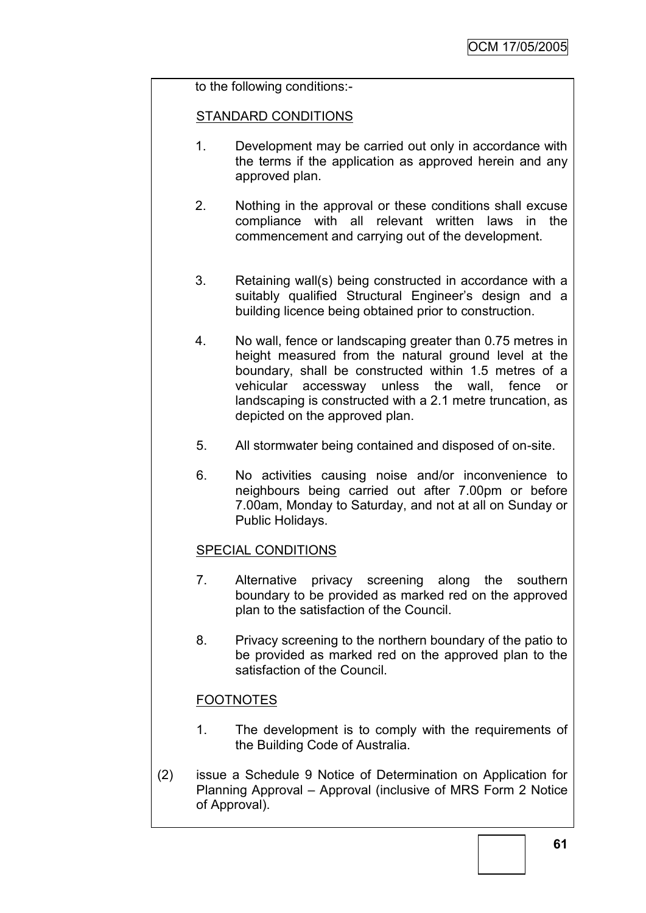### to the following conditions:-

#### STANDARD CONDITIONS

- 1. Development may be carried out only in accordance with the terms if the application as approved herein and any approved plan.
- 2. Nothing in the approval or these conditions shall excuse compliance with all relevant written laws in the commencement and carrying out of the development.
- 3. Retaining wall(s) being constructed in accordance with a suitably qualified Structural Engineer's design and a building licence being obtained prior to construction.
- 4. No wall, fence or landscaping greater than 0.75 metres in height measured from the natural ground level at the boundary, shall be constructed within 1.5 metres of a vehicular accessway unless the wall, fence or landscaping is constructed with a 2.1 metre truncation, as depicted on the approved plan.
- 5. All stormwater being contained and disposed of on-site.
- 6. No activities causing noise and/or inconvenience to neighbours being carried out after 7.00pm or before 7.00am, Monday to Saturday, and not at all on Sunday or Public Holidays.

### SPECIAL CONDITIONS

- 7. Alternative privacy screening along the southern boundary to be provided as marked red on the approved plan to the satisfaction of the Council.
- 8. Privacy screening to the northern boundary of the patio to be provided as marked red on the approved plan to the satisfaction of the Council.

### **FOOTNOTES**

- 1. The development is to comply with the requirements of the Building Code of Australia.
- (2) issue a Schedule 9 Notice of Determination on Application for Planning Approval – Approval (inclusive of MRS Form 2 Notice of Approval).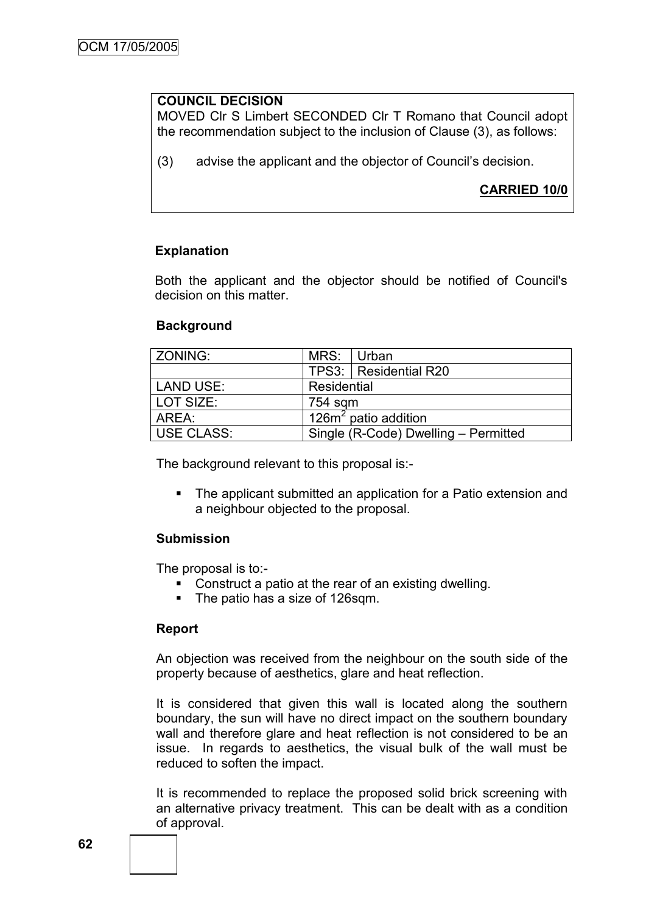### **COUNCIL DECISION**

MOVED Clr S Limbert SECONDED Clr T Romano that Council adopt the recommendation subject to the inclusion of Clause (3), as follows:

(3) advise the applicant and the objector of Council"s decision.

### **CARRIED 10/0**

#### **Explanation**

Both the applicant and the objector should be notified of Council's decision on this matter.

#### **Background**

| ZONING:           | MRS: Urban  |                                            |  |
|-------------------|-------------|--------------------------------------------|--|
|                   |             | TPS3:   Residential R20                    |  |
| <b>LAND USE:</b>  | Residential |                                            |  |
| LOT SIZE:         | 754 sqm     |                                            |  |
| AREA:             |             | $\sqrt{126}$ m <sup>2</sup> patio addition |  |
| <b>USE CLASS:</b> |             | Single (R-Code) Dwelling - Permitted       |  |

The background relevant to this proposal is:-

 The applicant submitted an application for a Patio extension and a neighbour objected to the proposal.

#### **Submission**

The proposal is to:-

- Construct a patio at the rear of an existing dwelling.
- The patio has a size of 126sqm.

#### **Report**

An objection was received from the neighbour on the south side of the property because of aesthetics, glare and heat reflection.

It is considered that given this wall is located along the southern boundary, the sun will have no direct impact on the southern boundary wall and therefore glare and heat reflection is not considered to be an issue. In regards to aesthetics, the visual bulk of the wall must be reduced to soften the impact.

It is recommended to replace the proposed solid brick screening with an alternative privacy treatment. This can be dealt with as a condition of approval.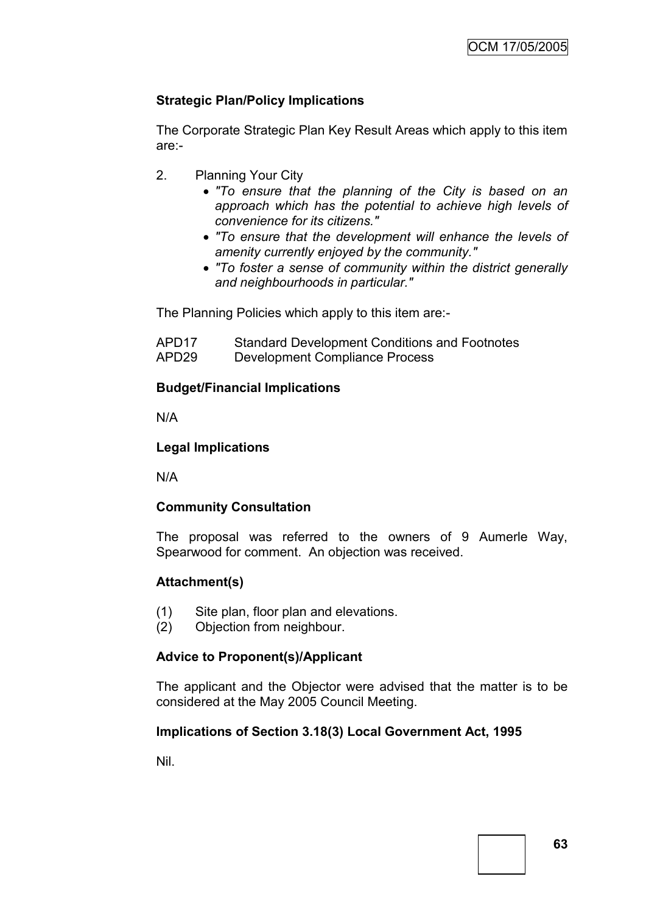### **Strategic Plan/Policy Implications**

The Corporate Strategic Plan Key Result Areas which apply to this item are:-

- 2. Planning Your City
	- *"To ensure that the planning of the City is based on an approach which has the potential to achieve high levels of convenience for its citizens."*
	- *"To ensure that the development will enhance the levels of amenity currently enjoyed by the community."*
	- *"To foster a sense of community within the district generally and neighbourhoods in particular."*

The Planning Policies which apply to this item are:-

| APD <sub>17</sub> | <b>Standard Development Conditions and Footnotes</b> |
|-------------------|------------------------------------------------------|
| APD <sub>29</sub> | Development Compliance Process                       |

### **Budget/Financial Implications**

N/A

### **Legal Implications**

N/A

### **Community Consultation**

The proposal was referred to the owners of 9 Aumerle Way, Spearwood for comment. An objection was received.

### **Attachment(s)**

- (1) Site plan, floor plan and elevations.
- (2) Objection from neighbour.

### **Advice to Proponent(s)/Applicant**

The applicant and the Objector were advised that the matter is to be considered at the May 2005 Council Meeting.

### **Implications of Section 3.18(3) Local Government Act, 1995**

Nil.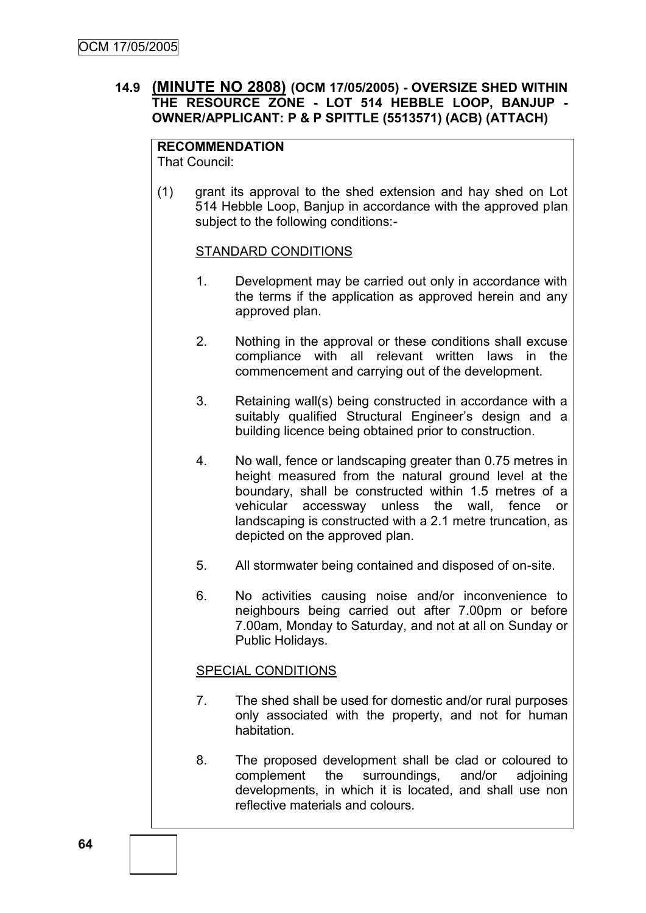### **14.9 (MINUTE NO 2808) (OCM 17/05/2005) - OVERSIZE SHED WITHIN THE RESOURCE ZONE - LOT 514 HEBBLE LOOP, BANJUP - OWNER/APPLICANT: P & P SPITTLE (5513571) (ACB) (ATTACH)**

#### **RECOMMENDATION** That Council:

(1) grant its approval to the shed extension and hay shed on Lot 514 Hebble Loop, Banjup in accordance with the approved plan subject to the following conditions:-

### STANDARD CONDITIONS

- 1. Development may be carried out only in accordance with the terms if the application as approved herein and any approved plan.
- 2. Nothing in the approval or these conditions shall excuse compliance with all relevant written laws in the commencement and carrying out of the development.
- 3. Retaining wall(s) being constructed in accordance with a suitably qualified Structural Engineer's design and a building licence being obtained prior to construction.
- 4. No wall, fence or landscaping greater than 0.75 metres in height measured from the natural ground level at the boundary, shall be constructed within 1.5 metres of a vehicular accessway unless the wall, fence or landscaping is constructed with a 2.1 metre truncation, as depicted on the approved plan.
- 5. All stormwater being contained and disposed of on-site.
- 6. No activities causing noise and/or inconvenience to neighbours being carried out after 7.00pm or before 7.00am, Monday to Saturday, and not at all on Sunday or Public Holidays.

### SPECIAL CONDITIONS

- 7. The shed shall be used for domestic and/or rural purposes only associated with the property, and not for human habitation.
- 8. The proposed development shall be clad or coloured to complement the surroundings, and/or adjoining developments, in which it is located, and shall use non reflective materials and colours.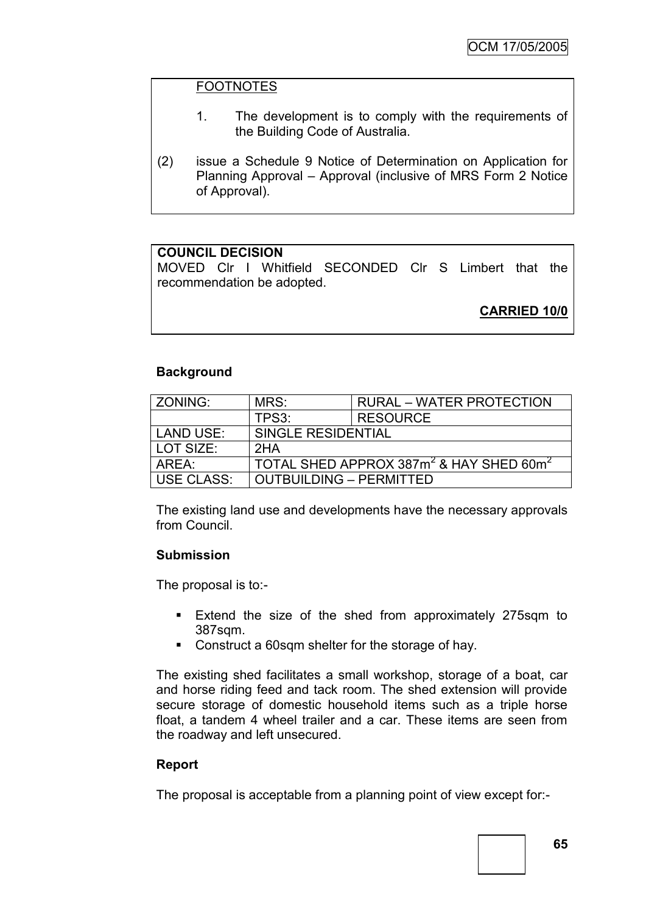### FOOTNOTES

- 1. The development is to comply with the requirements of the Building Code of Australia.
- (2) issue a Schedule 9 Notice of Determination on Application for Planning Approval – Approval (inclusive of MRS Form 2 Notice of Approval).

### **COUNCIL DECISION**

MOVED Clr I Whitfield SECONDED Clr S Limbert that the recommendation be adopted.

**CARRIED 10/0**

### **Background**

| ZONING:           | MRS:                                                            | <b>RURAL – WATER PROTECTION</b> |  |
|-------------------|-----------------------------------------------------------------|---------------------------------|--|
|                   | TPS3:                                                           | <b>RESOURCE</b>                 |  |
| <b>LAND USE:</b>  | SINGLE RESIDENTIAL                                              |                                 |  |
| LOT SIZE:         | 2HA                                                             |                                 |  |
| AREA:             | TOTAL SHED APPROX 387m <sup>2</sup> & HAY SHED 60m <sup>2</sup> |                                 |  |
| <b>USE CLASS:</b> | <b>OUTBUILDING - PERMITTED</b>                                  |                                 |  |

The existing land use and developments have the necessary approvals from Council.

### **Submission**

The proposal is to:-

- **Extend the size of the shed from approximately 275sqm to** 387sqm.
- Construct a 60sqm shelter for the storage of hay.

The existing shed facilitates a small workshop, storage of a boat, car and horse riding feed and tack room. The shed extension will provide secure storage of domestic household items such as a triple horse float, a tandem 4 wheel trailer and a car. These items are seen from the roadway and left unsecured.

### **Report**

The proposal is acceptable from a planning point of view except for:-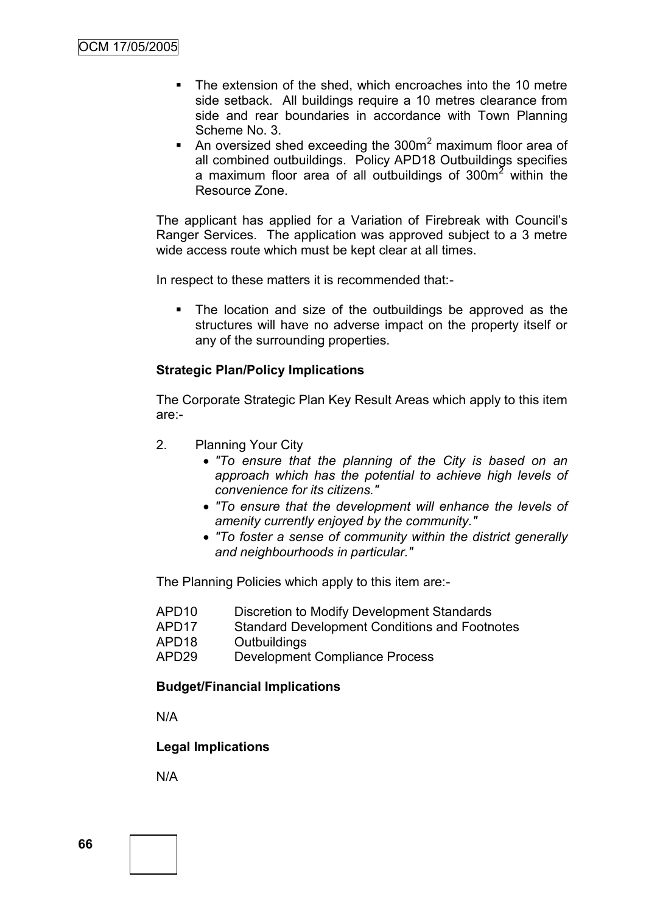- The extension of the shed, which encroaches into the 10 metre side setback. All buildings require a 10 metres clearance from side and rear boundaries in accordance with Town Planning Scheme No. 3.
- An oversized shed exceeding the 300 $m<sup>2</sup>$  maximum floor area of all combined outbuildings. Policy APD18 Outbuildings specifies a maximum floor area of all outbuildings of 300m<sup>2</sup> within the Resource Zone.

The applicant has applied for a Variation of Firebreak with Council"s Ranger Services. The application was approved subject to a 3 metre wide access route which must be kept clear at all times.

In respect to these matters it is recommended that:-

• The location and size of the outbuildings be approved as the structures will have no adverse impact on the property itself or any of the surrounding properties.

### **Strategic Plan/Policy Implications**

The Corporate Strategic Plan Key Result Areas which apply to this item are:-

- 2. Planning Your City
	- *"To ensure that the planning of the City is based on an approach which has the potential to achieve high levels of convenience for its citizens."*
	- *"To ensure that the development will enhance the levels of amenity currently enjoyed by the community."*
	- *"To foster a sense of community within the district generally and neighbourhoods in particular."*

The Planning Policies which apply to this item are:-

- APD10 Discretion to Modify Development Standards
- APD17 Standard Development Conditions and Footnotes
- APD18 Outbuildings
- APD29 Development Compliance Process

### **Budget/Financial Implications**

N/A

### **Legal Implications**

N/A

**66**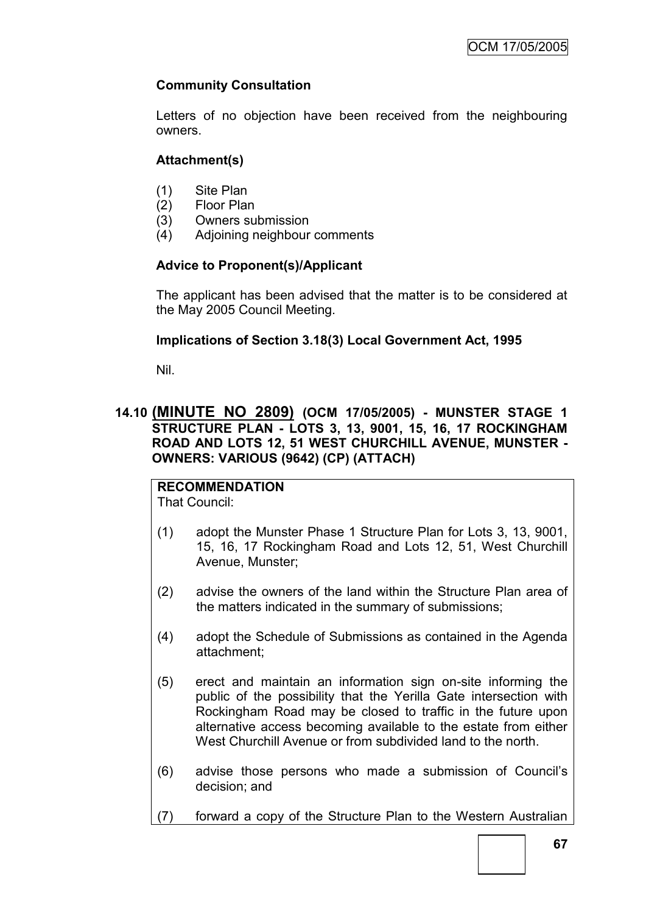### **Community Consultation**

Letters of no objection have been received from the neighbouring owners.

### **Attachment(s)**

- (1) Site Plan
- (2) Floor Plan
- (3) Owners submission
- (4) Adjoining neighbour comments

### **Advice to Proponent(s)/Applicant**

The applicant has been advised that the matter is to be considered at the May 2005 Council Meeting.

### **Implications of Section 3.18(3) Local Government Act, 1995**

Nil.

### **14.10 (MINUTE NO 2809) (OCM 17/05/2005) - MUNSTER STAGE 1 STRUCTURE PLAN - LOTS 3, 13, 9001, 15, 16, 17 ROCKINGHAM ROAD AND LOTS 12, 51 WEST CHURCHILL AVENUE, MUNSTER - OWNERS: VARIOUS (9642) (CP) (ATTACH)**

# **RECOMMENDATION**

That Council:

- (1) adopt the Munster Phase 1 Structure Plan for Lots 3, 13, 9001, 15, 16, 17 Rockingham Road and Lots 12, 51, West Churchill Avenue, Munster;
- (2) advise the owners of the land within the Structure Plan area of the matters indicated in the summary of submissions;
- (4) adopt the Schedule of Submissions as contained in the Agenda attachment;
- (5) erect and maintain an information sign on-site informing the public of the possibility that the Yerilla Gate intersection with Rockingham Road may be closed to traffic in the future upon alternative access becoming available to the estate from either West Churchill Avenue or from subdivided land to the north.
- (6) advise those persons who made a submission of Council"s decision; and
- (7) forward a copy of the Structure Plan to the Western Australian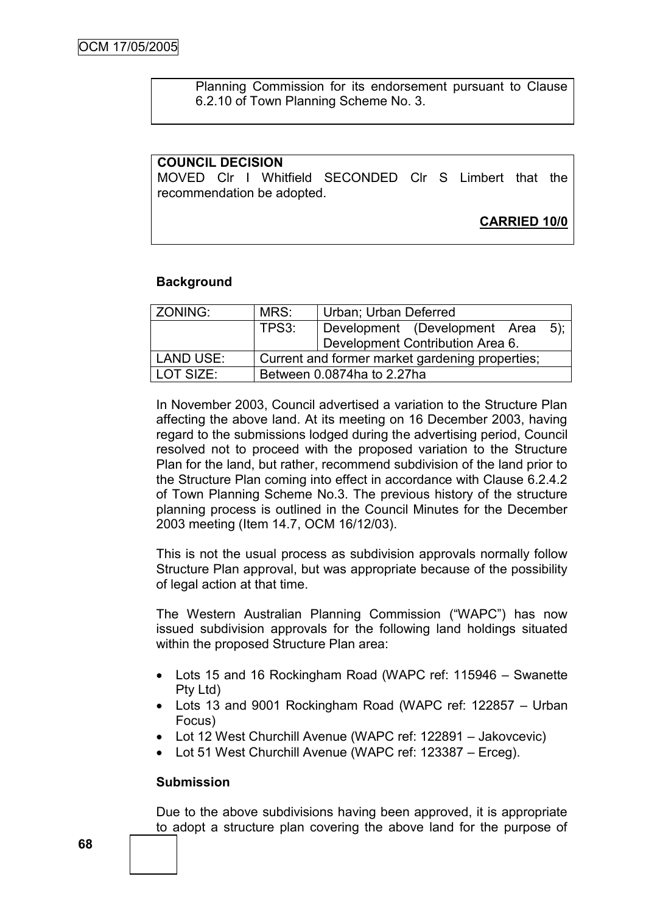Planning Commission for its endorsement pursuant to Clause 6.2.10 of Town Planning Scheme No. 3.

#### **COUNCIL DECISION**

MOVED Clr I Whitfield SECONDED Clr S Limbert that the recommendation be adopted.

**CARRIED 10/0**

#### **Background**

| ZONING:     | MRS:                                            | Urban; Urban Deferred                   |  |
|-------------|-------------------------------------------------|-----------------------------------------|--|
|             | TPS3:                                           | Development (Development Area<br>$5)$ ; |  |
|             |                                                 | Development Contribution Area 6.        |  |
| LAND USE:   | Current and former market gardening properties; |                                         |  |
| l LOT SIZE: | Between 0.0874ha to 2.27ha                      |                                         |  |

In November 2003, Council advertised a variation to the Structure Plan affecting the above land. At its meeting on 16 December 2003, having regard to the submissions lodged during the advertising period, Council resolved not to proceed with the proposed variation to the Structure Plan for the land, but rather, recommend subdivision of the land prior to the Structure Plan coming into effect in accordance with Clause 6.2.4.2 of Town Planning Scheme No.3. The previous history of the structure planning process is outlined in the Council Minutes for the December 2003 meeting (Item 14.7, OCM 16/12/03).

This is not the usual process as subdivision approvals normally follow Structure Plan approval, but was appropriate because of the possibility of legal action at that time.

The Western Australian Planning Commission ("WAPC") has now issued subdivision approvals for the following land holdings situated within the proposed Structure Plan area:

- Lots 15 and 16 Rockingham Road (WAPC ref: 115946 Swanette Pty Ltd)
- Lots 13 and 9001 Rockingham Road (WAPC ref: 122857 Urban Focus)
- Lot 12 West Churchill Avenue (WAPC ref: 122891 Jakovcevic)
- Lot 51 West Churchill Avenue (WAPC ref: 123387 Erceg).

#### **Submission**

Due to the above subdivisions having been approved, it is appropriate to adopt a structure plan covering the above land for the purpose of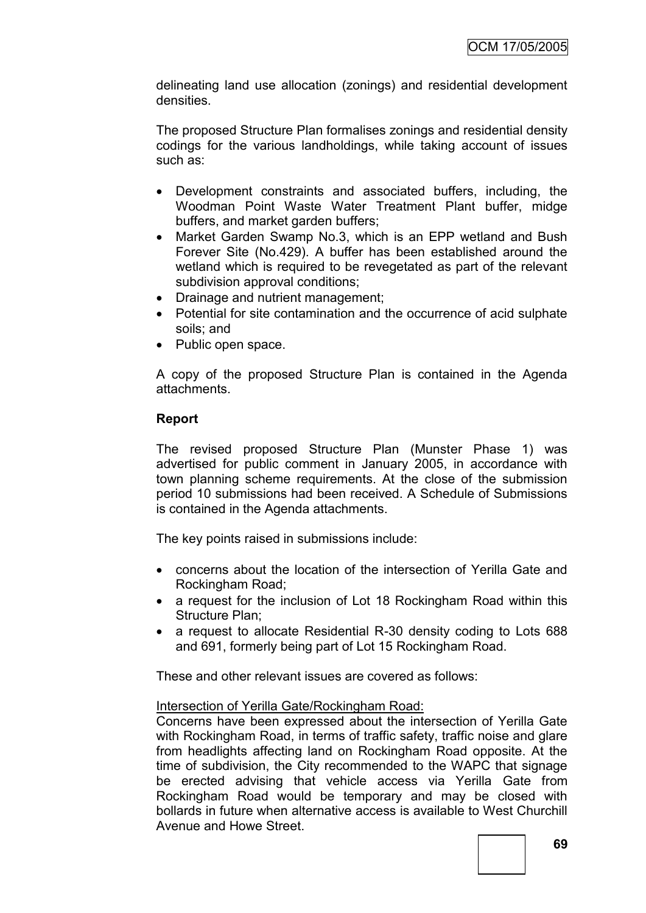delineating land use allocation (zonings) and residential development densities.

The proposed Structure Plan formalises zonings and residential density codings for the various landholdings, while taking account of issues such as:

- Development constraints and associated buffers, including, the Woodman Point Waste Water Treatment Plant buffer, midge buffers, and market garden buffers;
- Market Garden Swamp No.3, which is an EPP wetland and Bush Forever Site (No.429). A buffer has been established around the wetland which is required to be revegetated as part of the relevant subdivision approval conditions;
- Drainage and nutrient management;
- Potential for site contamination and the occurrence of acid sulphate soils; and
- Public open space.

A copy of the proposed Structure Plan is contained in the Agenda attachments.

# **Report**

The revised proposed Structure Plan (Munster Phase 1) was advertised for public comment in January 2005, in accordance with town planning scheme requirements. At the close of the submission period 10 submissions had been received. A Schedule of Submissions is contained in the Agenda attachments.

The key points raised in submissions include:

- concerns about the location of the intersection of Yerilla Gate and Rockingham Road;
- a request for the inclusion of Lot 18 Rockingham Road within this Structure Plan;
- a request to allocate Residential R-30 density coding to Lots 688 and 691, formerly being part of Lot 15 Rockingham Road.

These and other relevant issues are covered as follows:

# Intersection of Yerilla Gate/Rockingham Road:

Concerns have been expressed about the intersection of Yerilla Gate with Rockingham Road, in terms of traffic safety, traffic noise and glare from headlights affecting land on Rockingham Road opposite. At the time of subdivision, the City recommended to the WAPC that signage be erected advising that vehicle access via Yerilla Gate from Rockingham Road would be temporary and may be closed with bollards in future when alternative access is available to West Churchill Avenue and Howe Street.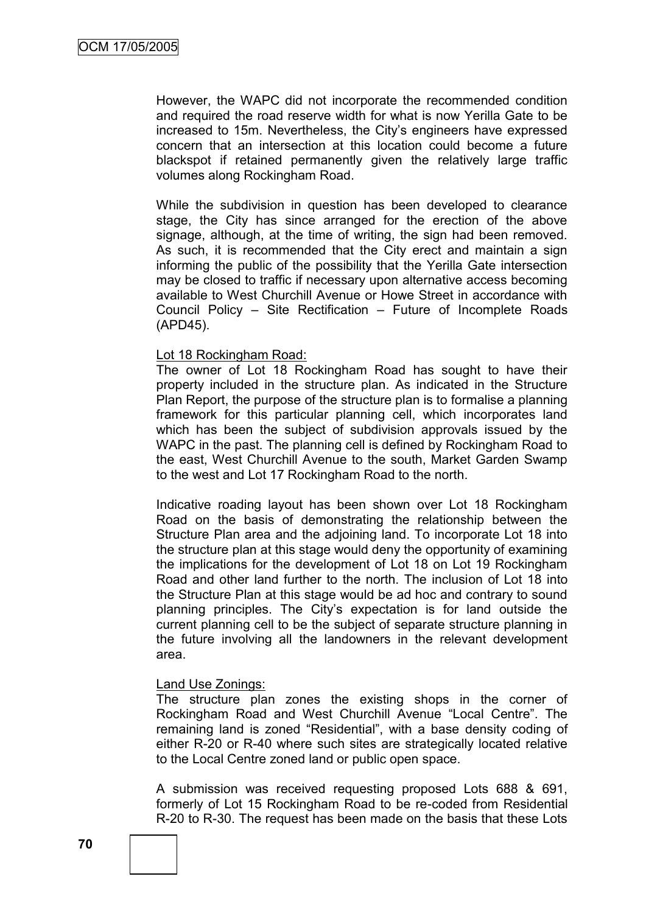However, the WAPC did not incorporate the recommended condition and required the road reserve width for what is now Yerilla Gate to be increased to 15m. Nevertheless, the City"s engineers have expressed concern that an intersection at this location could become a future blackspot if retained permanently given the relatively large traffic volumes along Rockingham Road.

While the subdivision in question has been developed to clearance stage, the City has since arranged for the erection of the above signage, although, at the time of writing, the sign had been removed. As such, it is recommended that the City erect and maintain a sign informing the public of the possibility that the Yerilla Gate intersection may be closed to traffic if necessary upon alternative access becoming available to West Churchill Avenue or Howe Street in accordance with Council Policy – Site Rectification – Future of Incomplete Roads (APD45).

### Lot 18 Rockingham Road:

The owner of Lot 18 Rockingham Road has sought to have their property included in the structure plan. As indicated in the Structure Plan Report, the purpose of the structure plan is to formalise a planning framework for this particular planning cell, which incorporates land which has been the subject of subdivision approvals issued by the WAPC in the past. The planning cell is defined by Rockingham Road to the east, West Churchill Avenue to the south, Market Garden Swamp to the west and Lot 17 Rockingham Road to the north.

Indicative roading layout has been shown over Lot 18 Rockingham Road on the basis of demonstrating the relationship between the Structure Plan area and the adjoining land. To incorporate Lot 18 into the structure plan at this stage would deny the opportunity of examining the implications for the development of Lot 18 on Lot 19 Rockingham Road and other land further to the north. The inclusion of Lot 18 into the Structure Plan at this stage would be ad hoc and contrary to sound planning principles. The City"s expectation is for land outside the current planning cell to be the subject of separate structure planning in the future involving all the landowners in the relevant development area.

## Land Use Zonings:

The structure plan zones the existing shops in the corner of Rockingham Road and West Churchill Avenue "Local Centre". The remaining land is zoned "Residential", with a base density coding of either R-20 or R-40 where such sites are strategically located relative to the Local Centre zoned land or public open space.

A submission was received requesting proposed Lots 688 & 691, formerly of Lot 15 Rockingham Road to be re-coded from Residential R-20 to R-30. The request has been made on the basis that these Lots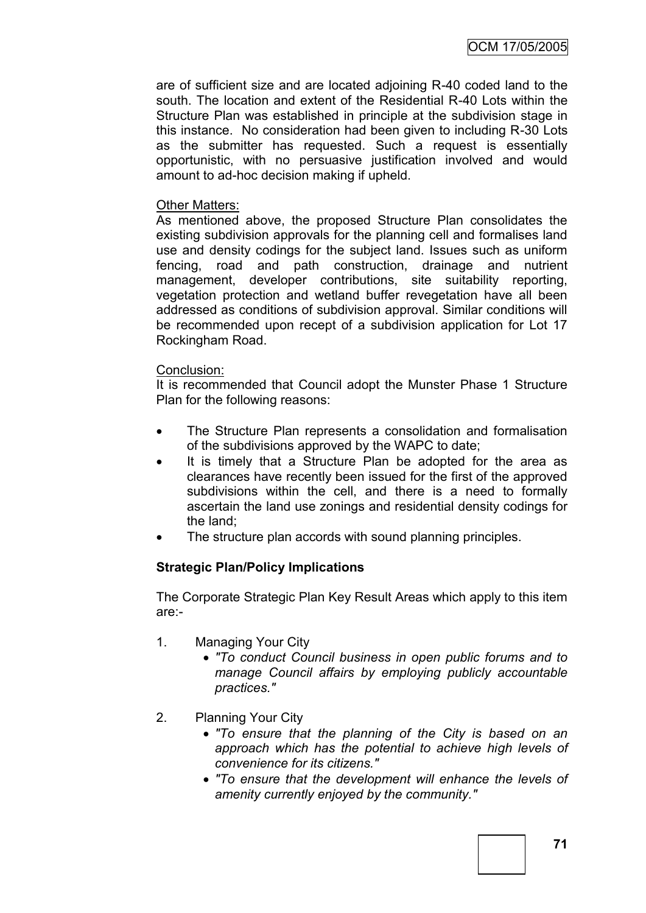are of sufficient size and are located adjoining R-40 coded land to the south. The location and extent of the Residential R-40 Lots within the Structure Plan was established in principle at the subdivision stage in this instance. No consideration had been given to including R-30 Lots as the submitter has requested. Such a request is essentially opportunistic, with no persuasive justification involved and would amount to ad-hoc decision making if upheld.

### Other Matters:

As mentioned above, the proposed Structure Plan consolidates the existing subdivision approvals for the planning cell and formalises land use and density codings for the subject land. Issues such as uniform fencing, road and path construction, drainage and nutrient management, developer contributions, site suitability reporting, vegetation protection and wetland buffer revegetation have all been addressed as conditions of subdivision approval. Similar conditions will be recommended upon recept of a subdivision application for Lot 17 Rockingham Road.

### Conclusion:

It is recommended that Council adopt the Munster Phase 1 Structure Plan for the following reasons:

- The Structure Plan represents a consolidation and formalisation of the subdivisions approved by the WAPC to date;
- It is timely that a Structure Plan be adopted for the area as clearances have recently been issued for the first of the approved subdivisions within the cell, and there is a need to formally ascertain the land use zonings and residential density codings for the land;
- The structure plan accords with sound planning principles.

# **Strategic Plan/Policy Implications**

The Corporate Strategic Plan Key Result Areas which apply to this item are:-

- 1. Managing Your City
	- *"To conduct Council business in open public forums and to manage Council affairs by employing publicly accountable practices."*
- 2. Planning Your City
	- *"To ensure that the planning of the City is based on an approach which has the potential to achieve high levels of convenience for its citizens."*
	- *"To ensure that the development will enhance the levels of amenity currently enjoyed by the community."*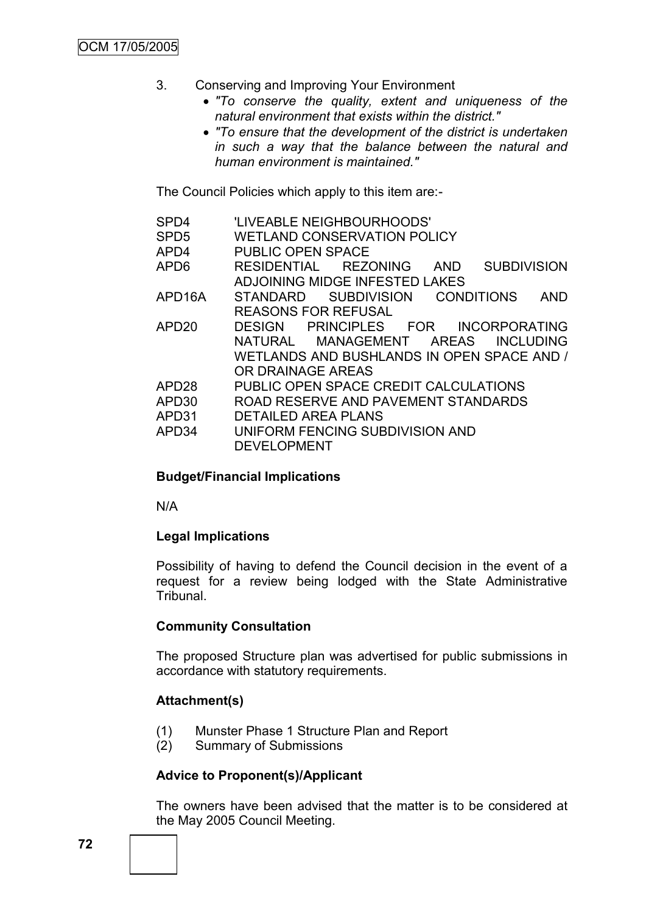- 3. Conserving and Improving Your Environment
	- *"To conserve the quality, extent and uniqueness of the natural environment that exists within the district."*
	- *"To ensure that the development of the district is undertaken in such a way that the balance between the natural and human environment is maintained."*

The Council Policies which apply to this item are:-

| SPD4                       | 'LIVEABLE NEIGHBOURHOODS'                               |  |  |
|----------------------------|---------------------------------------------------------|--|--|
| SPD <sub>5</sub>           | <b>WETLAND CONSERVATION POLICY</b>                      |  |  |
| APD4                       | <b>PUBLIC OPEN SPACE</b>                                |  |  |
| APD6                       | <b>SUBDIVISION</b><br>RESIDENTIAL REZONING<br>AND       |  |  |
|                            | ADJOINING MIDGE INFESTED LAKES                          |  |  |
| APD16A                     | STANDARD SUBDIVISION<br><b>CONDITIONS</b><br><b>AND</b> |  |  |
| <b>REASONS FOR REFUSAL</b> |                                                         |  |  |
| APD <sub>20</sub>          | DESIGN PRINCIPLES FOR INCORPORATING                     |  |  |
|                            | NATURAL MANAGEMENT AREAS INCLUDING                      |  |  |
|                            | WETLANDS AND BUSHLANDS IN OPEN SPACE AND /              |  |  |
|                            | OR DRAINAGE AREAS                                       |  |  |
| APD <sub>28</sub>          | PUBLIC OPEN SPACE CREDIT CALCULATIONS                   |  |  |
| APD30                      | ROAD RESERVE AND PAVEMENT STANDARDS                     |  |  |
| APD31                      | <b>DETAILED AREA PLANS</b>                              |  |  |
| APD34                      | UNIFORM FENCING SUBDIVISION AND                         |  |  |
|                            | <b>DEVELOPMENT</b>                                      |  |  |

## **Budget/Financial Implications**

N/A

# **Legal Implications**

Possibility of having to defend the Council decision in the event of a request for a review being lodged with the State Administrative Tribunal.

# **Community Consultation**

The proposed Structure plan was advertised for public submissions in accordance with statutory requirements.

# **Attachment(s)**

- (1) Munster Phase 1 Structure Plan and Report
- (2) Summary of Submissions

## **Advice to Proponent(s)/Applicant**

The owners have been advised that the matter is to be considered at the May 2005 Council Meeting.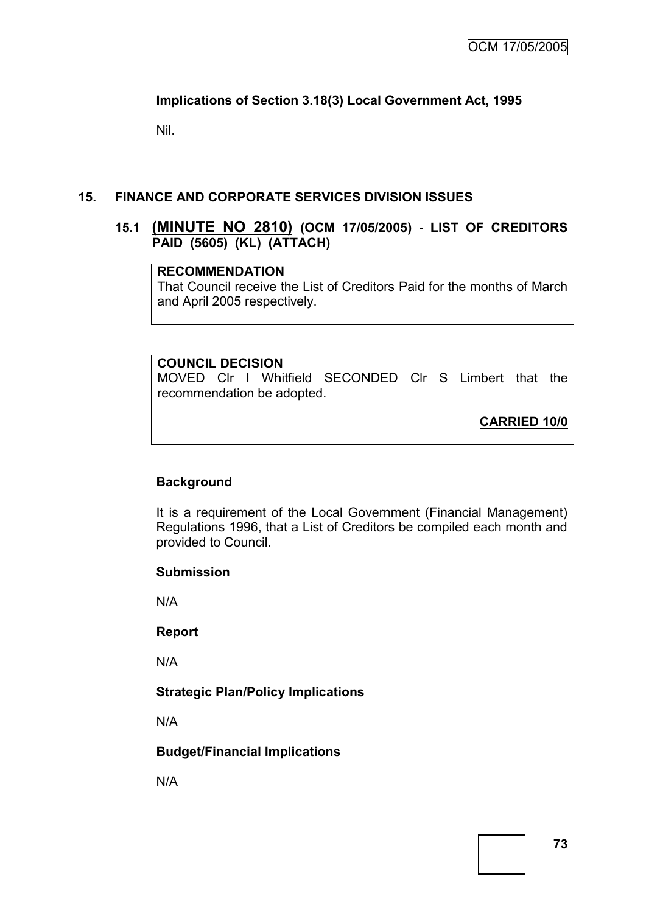# **Implications of Section 3.18(3) Local Government Act, 1995**

Nil.

# **15. FINANCE AND CORPORATE SERVICES DIVISION ISSUES**

## **15.1 (MINUTE NO 2810) (OCM 17/05/2005) - LIST OF CREDITORS PAID (5605) (KL) (ATTACH)**

### **RECOMMENDATION**

That Council receive the List of Creditors Paid for the months of March and April 2005 respectively.

## **COUNCIL DECISION**

MOVED Clr I Whitfield SECONDED Clr S Limbert that the recommendation be adopted.

**CARRIED 10/0**

# **Background**

It is a requirement of the Local Government (Financial Management) Regulations 1996, that a List of Creditors be compiled each month and provided to Council.

#### **Submission**

N/A

#### **Report**

N/A

## **Strategic Plan/Policy Implications**

N/A

## **Budget/Financial Implications**

N/A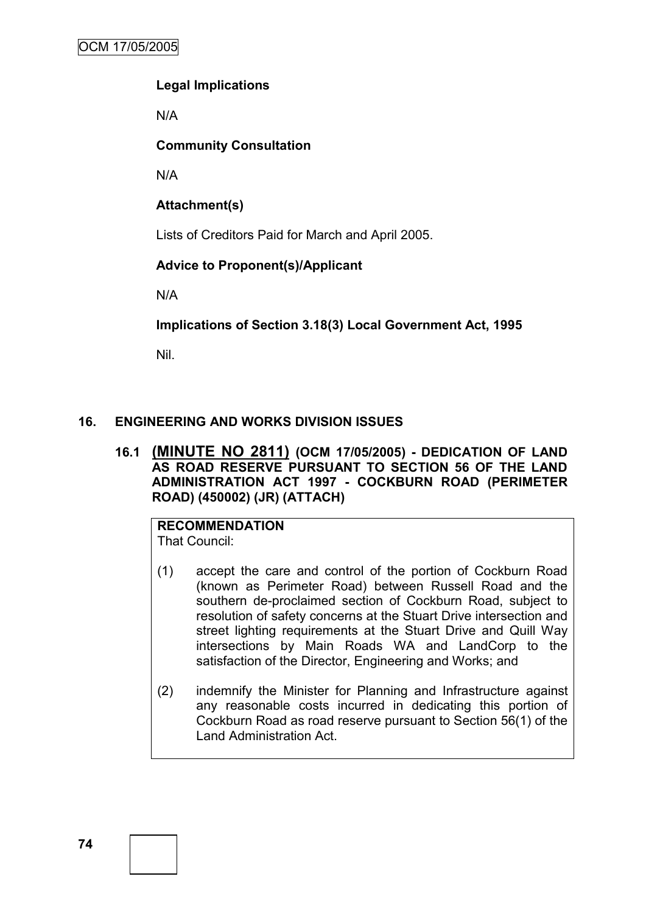# **Legal Implications**

N/A

# **Community Consultation**

N/A

**Attachment(s)**

Lists of Creditors Paid for March and April 2005.

# **Advice to Proponent(s)/Applicant**

N/A

# **Implications of Section 3.18(3) Local Government Act, 1995**

Nil.

# **16. ENGINEERING AND WORKS DIVISION ISSUES**

## **16.1 (MINUTE NO 2811) (OCM 17/05/2005) - DEDICATION OF LAND AS ROAD RESERVE PURSUANT TO SECTION 56 OF THE LAND ADMINISTRATION ACT 1997 - COCKBURN ROAD (PERIMETER ROAD) (450002) (JR) (ATTACH)**

**RECOMMENDATION** That Council:

- (1) accept the care and control of the portion of Cockburn Road (known as Perimeter Road) between Russell Road and the southern de-proclaimed section of Cockburn Road, subject to resolution of safety concerns at the Stuart Drive intersection and street lighting requirements at the Stuart Drive and Quill Way intersections by Main Roads WA and LandCorp to the satisfaction of the Director, Engineering and Works; and
- (2) indemnify the Minister for Planning and Infrastructure against any reasonable costs incurred in dedicating this portion of Cockburn Road as road reserve pursuant to Section 56(1) of the Land Administration Act.

**74**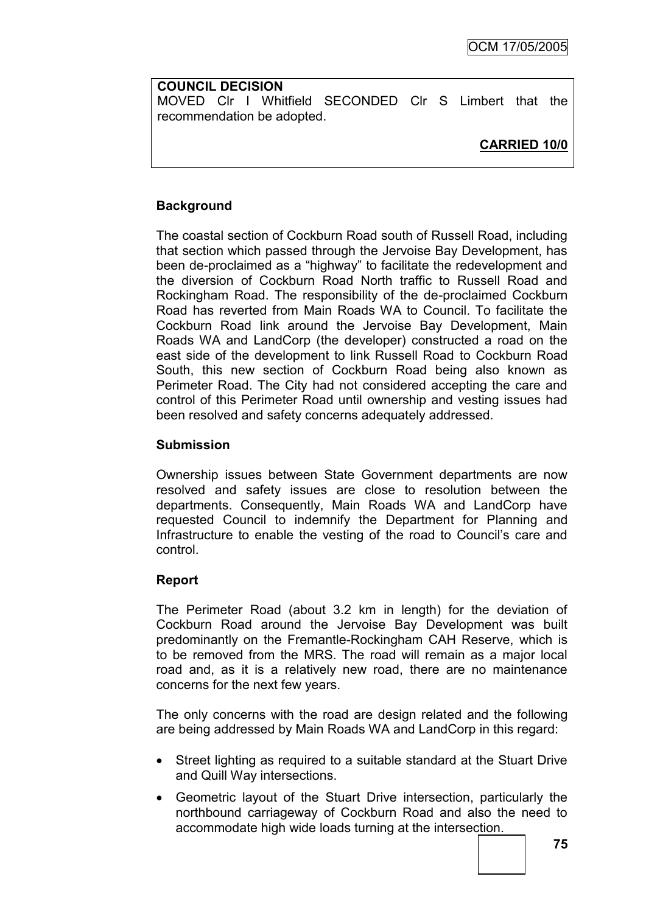# **COUNCIL DECISION**

MOVED Clr I Whitfield SECONDED Clr S Limbert that the recommendation be adopted.

# **CARRIED 10/0**

# **Background**

The coastal section of Cockburn Road south of Russell Road, including that section which passed through the Jervoise Bay Development, has been de-proclaimed as a "highway" to facilitate the redevelopment and the diversion of Cockburn Road North traffic to Russell Road and Rockingham Road. The responsibility of the de-proclaimed Cockburn Road has reverted from Main Roads WA to Council. To facilitate the Cockburn Road link around the Jervoise Bay Development, Main Roads WA and LandCorp (the developer) constructed a road on the east side of the development to link Russell Road to Cockburn Road South, this new section of Cockburn Road being also known as Perimeter Road. The City had not considered accepting the care and control of this Perimeter Road until ownership and vesting issues had been resolved and safety concerns adequately addressed.

# **Submission**

Ownership issues between State Government departments are now resolved and safety issues are close to resolution between the departments. Consequently, Main Roads WA and LandCorp have requested Council to indemnify the Department for Planning and Infrastructure to enable the vesting of the road to Council"s care and control.

# **Report**

The Perimeter Road (about 3.2 km in length) for the deviation of Cockburn Road around the Jervoise Bay Development was built predominantly on the Fremantle-Rockingham CAH Reserve, which is to be removed from the MRS. The road will remain as a major local road and, as it is a relatively new road, there are no maintenance concerns for the next few years.

The only concerns with the road are design related and the following are being addressed by Main Roads WA and LandCorp in this regard:

- Street lighting as required to a suitable standard at the Stuart Drive and Quill Way intersections.
- Geometric layout of the Stuart Drive intersection, particularly the northbound carriageway of Cockburn Road and also the need to accommodate high wide loads turning at the intersection.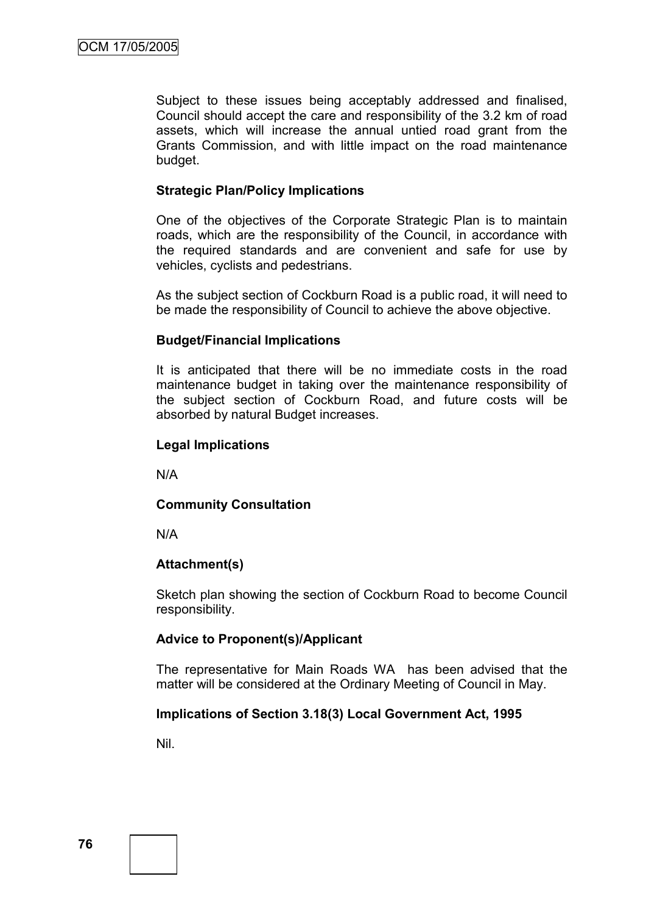Subject to these issues being acceptably addressed and finalised, Council should accept the care and responsibility of the 3.2 km of road assets, which will increase the annual untied road grant from the Grants Commission, and with little impact on the road maintenance budget.

### **Strategic Plan/Policy Implications**

One of the objectives of the Corporate Strategic Plan is to maintain roads, which are the responsibility of the Council, in accordance with the required standards and are convenient and safe for use by vehicles, cyclists and pedestrians.

As the subject section of Cockburn Road is a public road, it will need to be made the responsibility of Council to achieve the above objective.

### **Budget/Financial Implications**

It is anticipated that there will be no immediate costs in the road maintenance budget in taking over the maintenance responsibility of the subject section of Cockburn Road, and future costs will be absorbed by natural Budget increases.

### **Legal Implications**

N/A

#### **Community Consultation**

N/A

## **Attachment(s)**

Sketch plan showing the section of Cockburn Road to become Council responsibility.

## **Advice to Proponent(s)/Applicant**

The representative for Main Roads WA has been advised that the matter will be considered at the Ordinary Meeting of Council in May.

## **Implications of Section 3.18(3) Local Government Act, 1995**

Nil.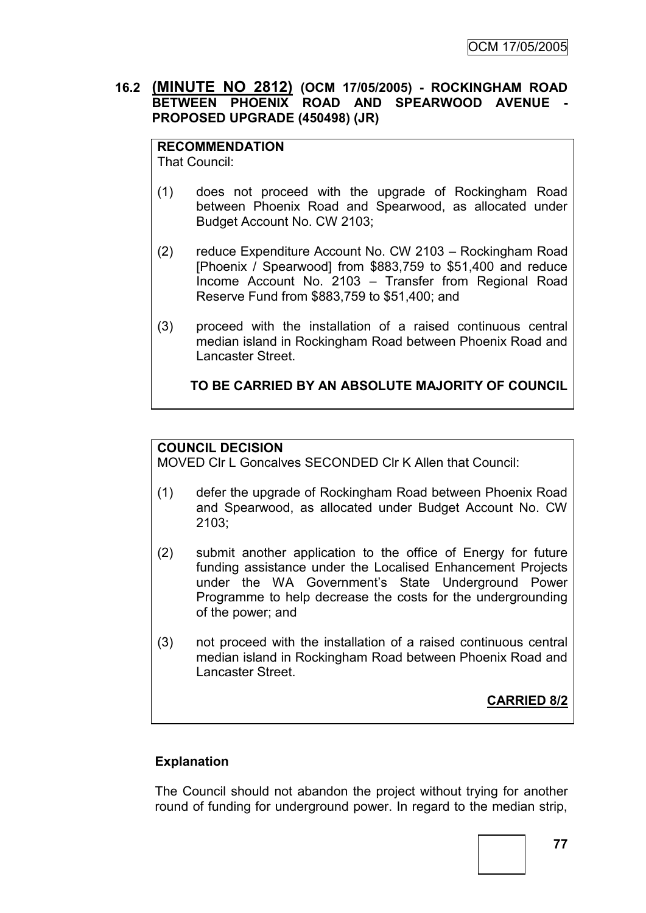## **16.2 (MINUTE NO 2812) (OCM 17/05/2005) - ROCKINGHAM ROAD BETWEEN PHOENIX ROAD AND SPEARWOOD AVENUE - PROPOSED UPGRADE (450498) (JR)**

**RECOMMENDATION** That Council:

- (1) does not proceed with the upgrade of Rockingham Road between Phoenix Road and Spearwood, as allocated under Budget Account No. CW 2103;
- (2) reduce Expenditure Account No. CW 2103 Rockingham Road [Phoenix / Spearwood] from \$883,759 to \$51,400 and reduce Income Account No. 2103 – Transfer from Regional Road Reserve Fund from \$883,759 to \$51,400; and
- (3) proceed with the installation of a raised continuous central median island in Rockingham Road between Phoenix Road and Lancaster Street.

**TO BE CARRIED BY AN ABSOLUTE MAJORITY OF COUNCIL**

# **COUNCIL DECISION**

MOVED Clr L Goncalves SECONDED Clr K Allen that Council:

- (1) defer the upgrade of Rockingham Road between Phoenix Road and Spearwood, as allocated under Budget Account No. CW 2103;
- (2) submit another application to the office of Energy for future funding assistance under the Localised Enhancement Projects under the WA Government"s State Underground Power Programme to help decrease the costs for the undergrounding of the power; and
- (3) not proceed with the installation of a raised continuous central median island in Rockingham Road between Phoenix Road and Lancaster Street.

**CARRIED 8/2**

# **Explanation**

The Council should not abandon the project without trying for another round of funding for underground power. In regard to the median strip,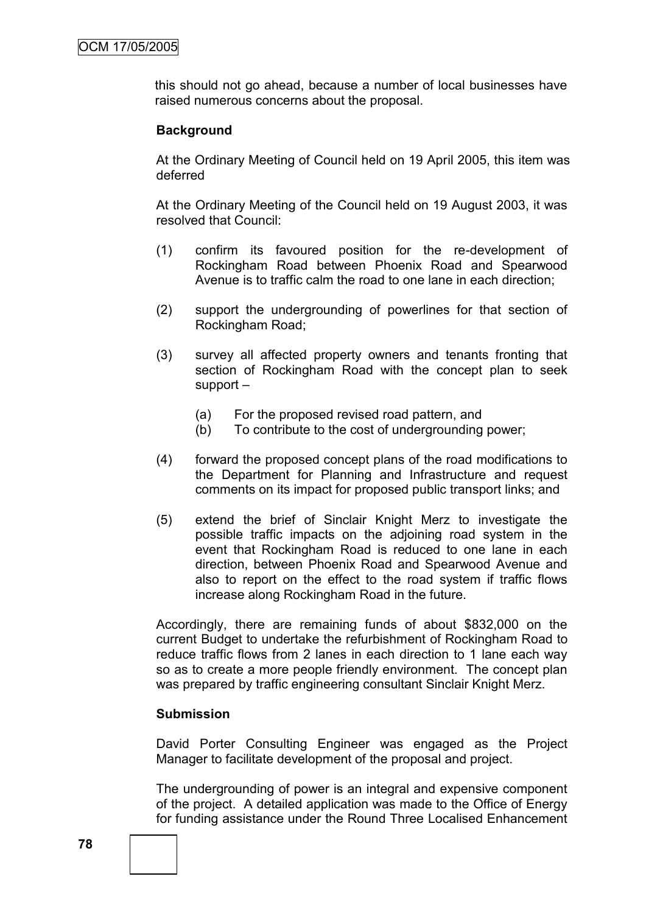this should not go ahead, because a number of local businesses have raised numerous concerns about the proposal.

### **Background**

At the Ordinary Meeting of Council held on 19 April 2005, this item was deferred

At the Ordinary Meeting of the Council held on 19 August 2003, it was resolved that Council:

- (1) confirm its favoured position for the re-development of Rockingham Road between Phoenix Road and Spearwood Avenue is to traffic calm the road to one lane in each direction;
- (2) support the undergrounding of powerlines for that section of Rockingham Road;
- (3) survey all affected property owners and tenants fronting that section of Rockingham Road with the concept plan to seek support –
	- (a) For the proposed revised road pattern, and
	- (b) To contribute to the cost of undergrounding power;
- (4) forward the proposed concept plans of the road modifications to the Department for Planning and Infrastructure and request comments on its impact for proposed public transport links; and
- (5) extend the brief of Sinclair Knight Merz to investigate the possible traffic impacts on the adjoining road system in the event that Rockingham Road is reduced to one lane in each direction, between Phoenix Road and Spearwood Avenue and also to report on the effect to the road system if traffic flows increase along Rockingham Road in the future.

Accordingly, there are remaining funds of about \$832,000 on the current Budget to undertake the refurbishment of Rockingham Road to reduce traffic flows from 2 lanes in each direction to 1 lane each way so as to create a more people friendly environment. The concept plan was prepared by traffic engineering consultant Sinclair Knight Merz.

#### **Submission**

David Porter Consulting Engineer was engaged as the Project Manager to facilitate development of the proposal and project.

The undergrounding of power is an integral and expensive component of the project. A detailed application was made to the Office of Energy for funding assistance under the Round Three Localised Enhancement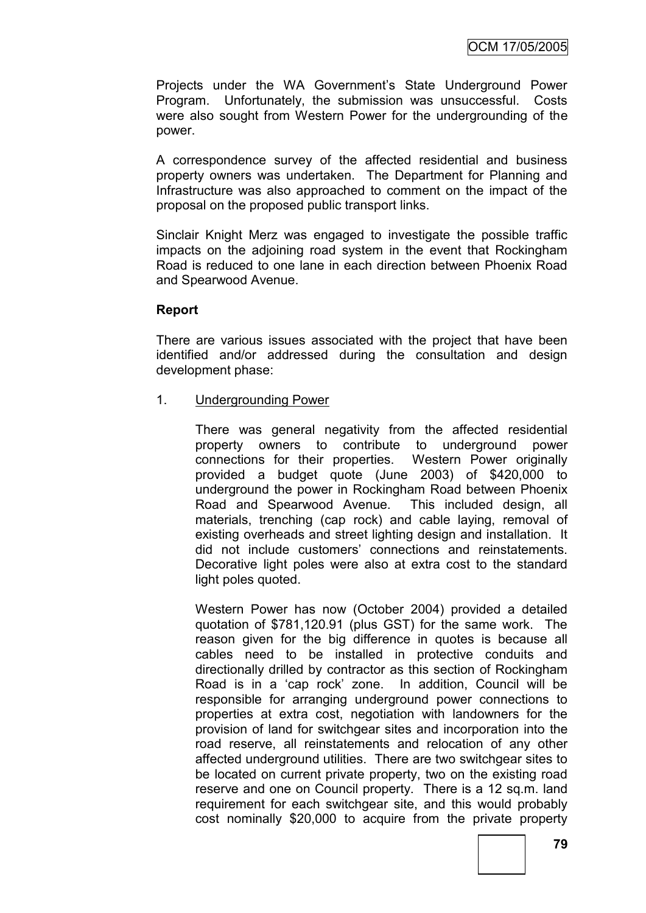Projects under the WA Government's State Underground Power Program. Unfortunately, the submission was unsuccessful. Costs were also sought from Western Power for the undergrounding of the power.

A correspondence survey of the affected residential and business property owners was undertaken. The Department for Planning and Infrastructure was also approached to comment on the impact of the proposal on the proposed public transport links.

Sinclair Knight Merz was engaged to investigate the possible traffic impacts on the adjoining road system in the event that Rockingham Road is reduced to one lane in each direction between Phoenix Road and Spearwood Avenue.

## **Report**

There are various issues associated with the project that have been identified and/or addressed during the consultation and design development phase:

1. Undergrounding Power

There was general negativity from the affected residential property owners to contribute to underground power connections for their properties. Western Power originally provided a budget quote (June 2003) of \$420,000 to underground the power in Rockingham Road between Phoenix Road and Spearwood Avenue. This included design, all materials, trenching (cap rock) and cable laying, removal of existing overheads and street lighting design and installation. It did not include customers" connections and reinstatements. Decorative light poles were also at extra cost to the standard light poles quoted.

Western Power has now (October 2004) provided a detailed quotation of \$781,120.91 (plus GST) for the same work. The reason given for the big difference in quotes is because all cables need to be installed in protective conduits and directionally drilled by contractor as this section of Rockingham Road is in a "cap rock" zone. In addition, Council will be responsible for arranging underground power connections to properties at extra cost, negotiation with landowners for the provision of land for switchgear sites and incorporation into the road reserve, all reinstatements and relocation of any other affected underground utilities. There are two switchgear sites to be located on current private property, two on the existing road reserve and one on Council property. There is a 12 sq.m. land requirement for each switchgear site, and this would probably cost nominally \$20,000 to acquire from the private property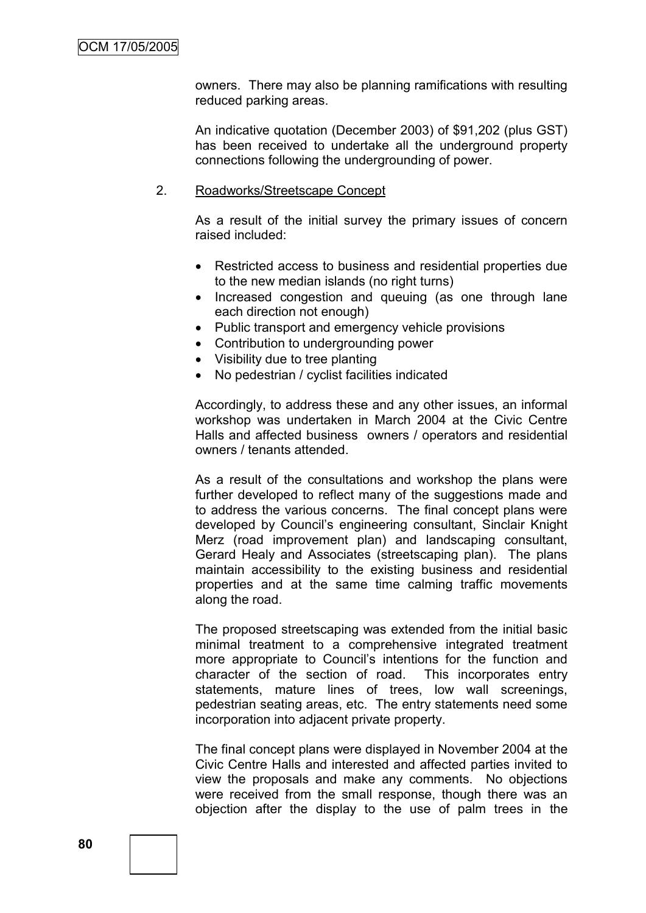owners. There may also be planning ramifications with resulting reduced parking areas.

An indicative quotation (December 2003) of \$91,202 (plus GST) has been received to undertake all the underground property connections following the undergrounding of power.

#### 2. Roadworks/Streetscape Concept

As a result of the initial survey the primary issues of concern raised included:

- Restricted access to business and residential properties due to the new median islands (no right turns)
- Increased congestion and queuing (as one through lane each direction not enough)
- Public transport and emergency vehicle provisions
- Contribution to undergrounding power
- Visibility due to tree planting
- No pedestrian / cyclist facilities indicated

Accordingly, to address these and any other issues, an informal workshop was undertaken in March 2004 at the Civic Centre Halls and affected business owners / operators and residential owners / tenants attended.

As a result of the consultations and workshop the plans were further developed to reflect many of the suggestions made and to address the various concerns. The final concept plans were developed by Council"s engineering consultant, Sinclair Knight Merz (road improvement plan) and landscaping consultant, Gerard Healy and Associates (streetscaping plan). The plans maintain accessibility to the existing business and residential properties and at the same time calming traffic movements along the road.

The proposed streetscaping was extended from the initial basic minimal treatment to a comprehensive integrated treatment more appropriate to Council"s intentions for the function and character of the section of road. This incorporates entry statements, mature lines of trees, low wall screenings, pedestrian seating areas, etc. The entry statements need some incorporation into adjacent private property.

The final concept plans were displayed in November 2004 at the Civic Centre Halls and interested and affected parties invited to view the proposals and make any comments. No objections were received from the small response, though there was an objection after the display to the use of palm trees in the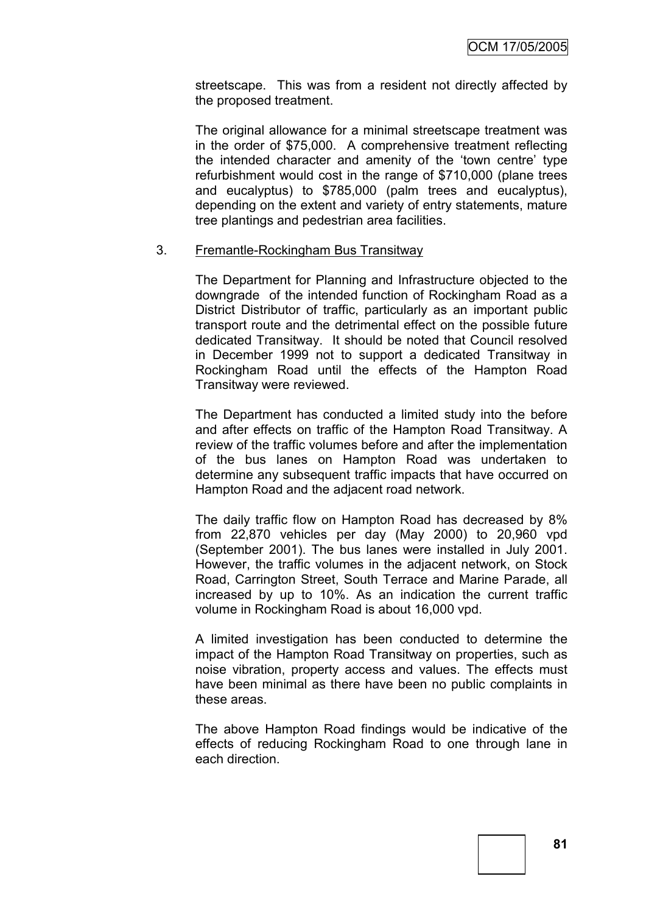streetscape. This was from a resident not directly affected by the proposed treatment.

The original allowance for a minimal streetscape treatment was in the order of \$75,000. A comprehensive treatment reflecting the intended character and amenity of the "town centre" type refurbishment would cost in the range of \$710,000 (plane trees and eucalyptus) to \$785,000 (palm trees and eucalyptus), depending on the extent and variety of entry statements, mature tree plantings and pedestrian area facilities.

### 3. Fremantle-Rockingham Bus Transitway

The Department for Planning and Infrastructure objected to the downgrade of the intended function of Rockingham Road as a District Distributor of traffic, particularly as an important public transport route and the detrimental effect on the possible future dedicated Transitway. It should be noted that Council resolved in December 1999 not to support a dedicated Transitway in Rockingham Road until the effects of the Hampton Road Transitway were reviewed.

The Department has conducted a limited study into the before and after effects on traffic of the Hampton Road Transitway. A review of the traffic volumes before and after the implementation of the bus lanes on Hampton Road was undertaken to determine any subsequent traffic impacts that have occurred on Hampton Road and the adjacent road network.

The daily traffic flow on Hampton Road has decreased by 8% from 22,870 vehicles per day (May 2000) to 20,960 vpd (September 2001). The bus lanes were installed in July 2001. However, the traffic volumes in the adjacent network, on Stock Road, Carrington Street, South Terrace and Marine Parade, all increased by up to 10%. As an indication the current traffic volume in Rockingham Road is about 16,000 vpd.

A limited investigation has been conducted to determine the impact of the Hampton Road Transitway on properties, such as noise vibration, property access and values. The effects must have been minimal as there have been no public complaints in these areas.

The above Hampton Road findings would be indicative of the effects of reducing Rockingham Road to one through lane in each direction.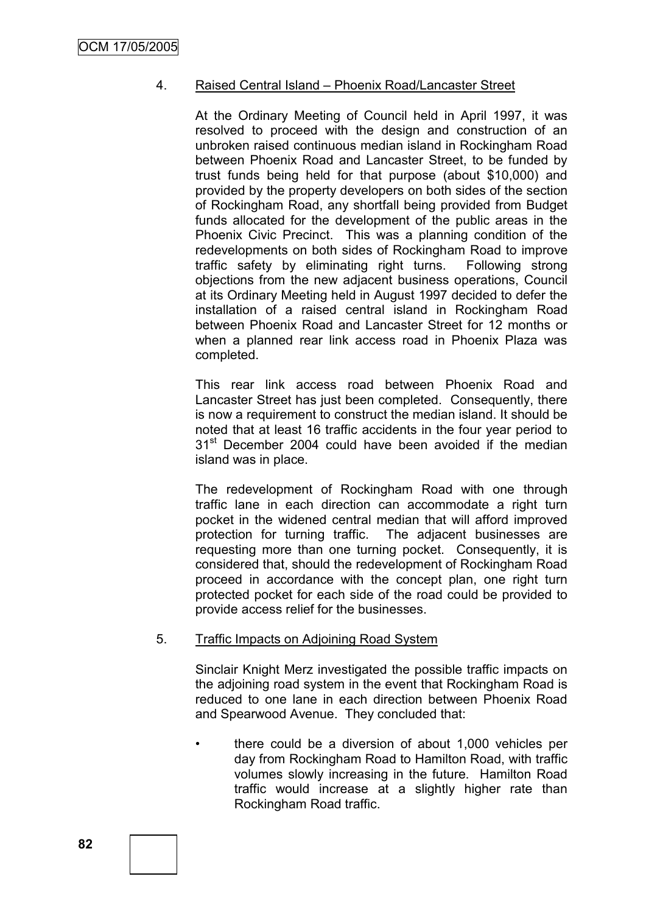## 4. Raised Central Island – Phoenix Road/Lancaster Street

At the Ordinary Meeting of Council held in April 1997, it was resolved to proceed with the design and construction of an unbroken raised continuous median island in Rockingham Road between Phoenix Road and Lancaster Street, to be funded by trust funds being held for that purpose (about \$10,000) and provided by the property developers on both sides of the section of Rockingham Road, any shortfall being provided from Budget funds allocated for the development of the public areas in the Phoenix Civic Precinct. This was a planning condition of the redevelopments on both sides of Rockingham Road to improve traffic safety by eliminating right turns. Following strong objections from the new adjacent business operations, Council at its Ordinary Meeting held in August 1997 decided to defer the installation of a raised central island in Rockingham Road between Phoenix Road and Lancaster Street for 12 months or when a planned rear link access road in Phoenix Plaza was completed.

This rear link access road between Phoenix Road and Lancaster Street has just been completed. Consequently, there is now a requirement to construct the median island. It should be noted that at least 16 traffic accidents in the four year period to 31<sup>st</sup> December 2004 could have been avoided if the median island was in place.

The redevelopment of Rockingham Road with one through traffic lane in each direction can accommodate a right turn pocket in the widened central median that will afford improved protection for turning traffic. The adjacent businesses are requesting more than one turning pocket. Consequently, it is considered that, should the redevelopment of Rockingham Road proceed in accordance with the concept plan, one right turn protected pocket for each side of the road could be provided to provide access relief for the businesses.

## 5. Traffic Impacts on Adjoining Road System

Sinclair Knight Merz investigated the possible traffic impacts on the adjoining road system in the event that Rockingham Road is reduced to one lane in each direction between Phoenix Road and Spearwood Avenue. They concluded that:

• there could be a diversion of about 1,000 vehicles per day from Rockingham Road to Hamilton Road, with traffic volumes slowly increasing in the future. Hamilton Road traffic would increase at a slightly higher rate than Rockingham Road traffic.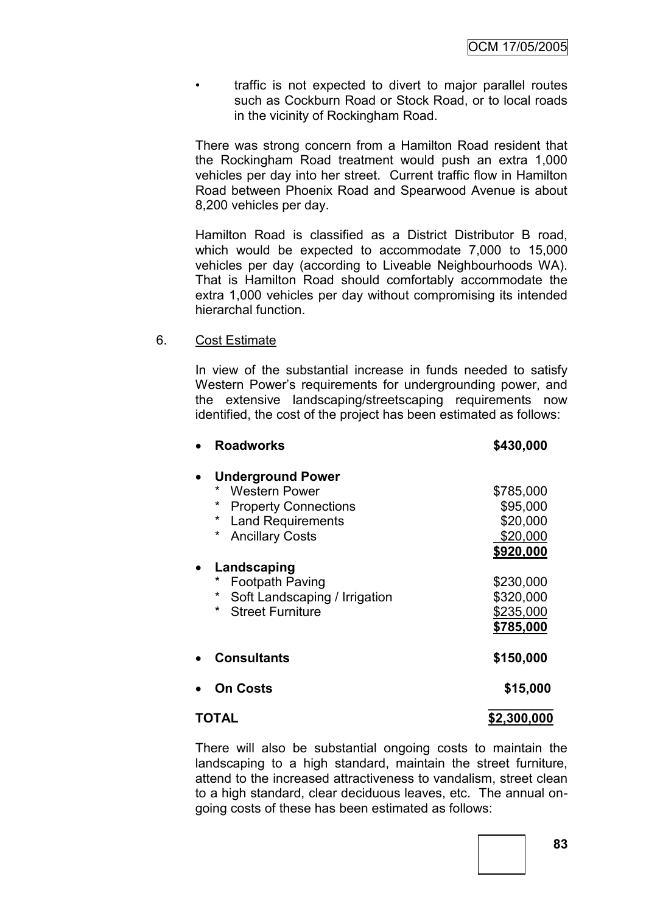• traffic is not expected to divert to major parallel routes such as Cockburn Road or Stock Road, or to local roads in the vicinity of Rockingham Road.

There was strong concern from a Hamilton Road resident that the Rockingham Road treatment would push an extra 1,000 vehicles per day into her street. Current traffic flow in Hamilton Road between Phoenix Road and Spearwood Avenue is about 8,200 vehicles per day.

Hamilton Road is classified as a District Distributor B road, which would be expected to accommodate 7,000 to 15,000 vehicles per day (according to Liveable Neighbourhoods WA). That is Hamilton Road should comfortably accommodate the extra 1,000 vehicles per day without compromising its intended hierarchal function.

### 6. Cost Estimate

In view of the substantial increase in funds needed to satisfy Western Power"s requirements for undergrounding power, and the extensive landscaping/streetscaping requirements now identified, the cost of the project has been estimated as follows:

| <b>Roadworks</b>                        | \$430,000   |
|-----------------------------------------|-------------|
| <b>Underground Power</b>                |             |
| $^\star$<br>Western Power               | \$785,000   |
| $^\star$<br><b>Property Connections</b> | \$95,000    |
| <b>Land Requirements</b><br>*           | \$20,000    |
| $\ast$<br><b>Ancillary Costs</b>        | \$20,000    |
|                                         | \$920,000   |
| Landscaping                             |             |
| $\star$<br><b>Footpath Paving</b>       | \$230,000   |
| *<br>Soft Landscaping / Irrigation      | \$320,000   |
| <b>Street Furniture</b><br>$^\star$     | \$235,000   |
|                                         | \$785,000   |
| <b>Consultants</b>                      | \$150,000   |
| On Costs                                | \$15,000    |
| TOTAL                                   | \$2,300,000 |

There will also be substantial ongoing costs to maintain the landscaping to a high standard, maintain the street furniture, attend to the increased attractiveness to vandalism, street clean to a high standard, clear deciduous leaves, etc. The annual ongoing costs of these has been estimated as follows: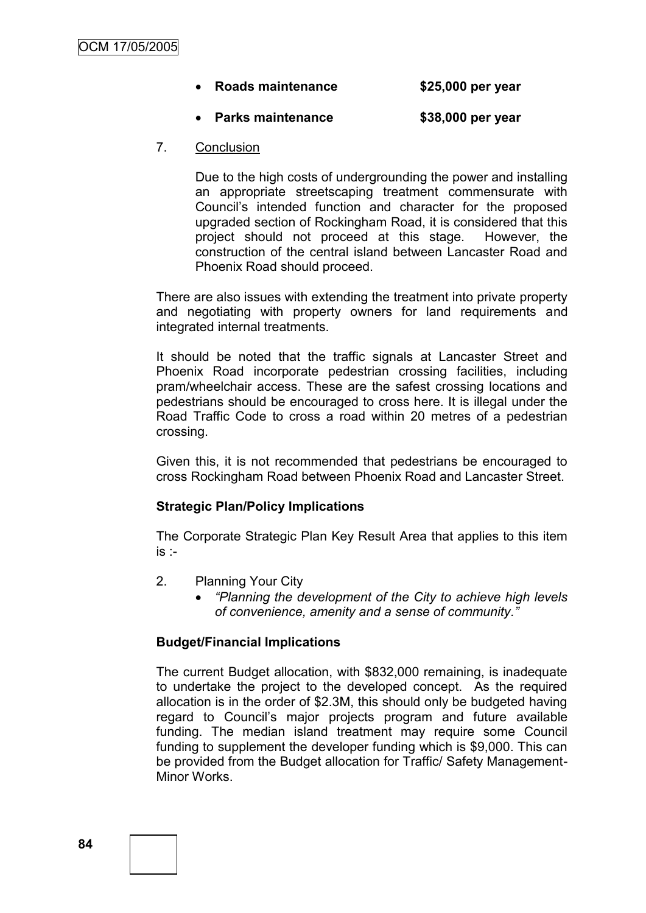## **Roads maintenance \$25,000 per year**

# **Parks maintenance \$38,000 per year**

### 7. Conclusion

Due to the high costs of undergrounding the power and installing an appropriate streetscaping treatment commensurate with Council"s intended function and character for the proposed upgraded section of Rockingham Road, it is considered that this project should not proceed at this stage. However, the construction of the central island between Lancaster Road and Phoenix Road should proceed.

There are also issues with extending the treatment into private property and negotiating with property owners for land requirements and integrated internal treatments.

It should be noted that the traffic signals at Lancaster Street and Phoenix Road incorporate pedestrian crossing facilities, including pram/wheelchair access. These are the safest crossing locations and pedestrians should be encouraged to cross here. It is illegal under the Road Traffic Code to cross a road within 20 metres of a pedestrian crossing.

Given this, it is not recommended that pedestrians be encouraged to cross Rockingham Road between Phoenix Road and Lancaster Street.

## **Strategic Plan/Policy Implications**

The Corporate Strategic Plan Key Result Area that applies to this item is :-

- 2. Planning Your City
	- *"Planning the development of the City to achieve high levels of convenience, amenity and a sense of community."*

# **Budget/Financial Implications**

The current Budget allocation, with \$832,000 remaining, is inadequate to undertake the project to the developed concept. As the required allocation is in the order of \$2.3M, this should only be budgeted having regard to Council"s major projects program and future available funding. The median island treatment may require some Council funding to supplement the developer funding which is \$9,000. This can be provided from the Budget allocation for Traffic/ Safety Management-Minor Works.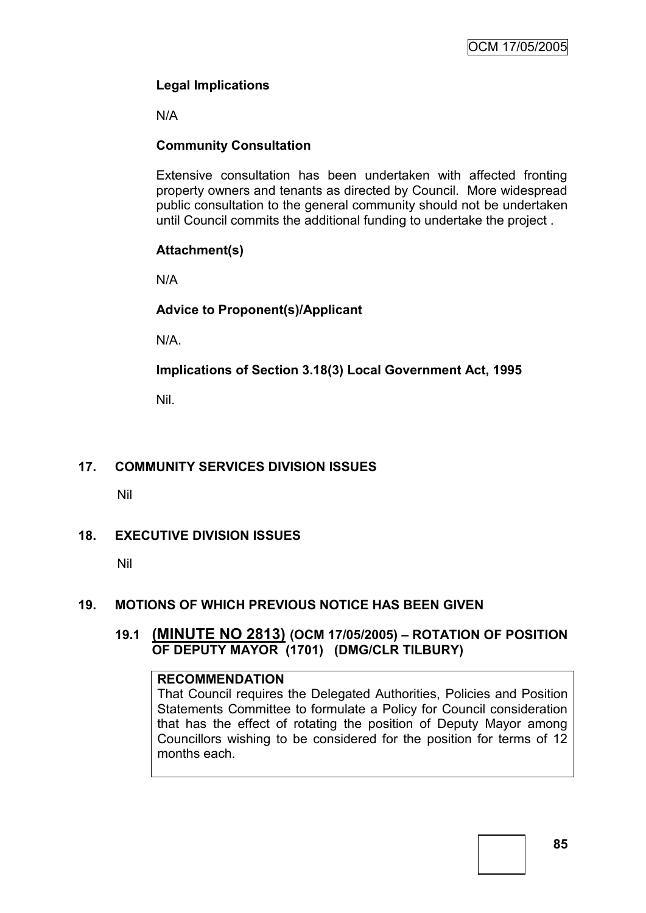# **Legal Implications**

N/A

# **Community Consultation**

Extensive consultation has been undertaken with affected fronting property owners and tenants as directed by Council. More widespread public consultation to the general community should not be undertaken until Council commits the additional funding to undertake the project .

# **Attachment(s)**

N/A

# **Advice to Proponent(s)/Applicant**

N/A.

**Implications of Section 3.18(3) Local Government Act, 1995**

Nil.

# **17. COMMUNITY SERVICES DIVISION ISSUES**

Nil

# **18. EXECUTIVE DIVISION ISSUES**

Nil

## **19. MOTIONS OF WHICH PREVIOUS NOTICE HAS BEEN GIVEN**

# **19.1 (MINUTE NO 2813) (OCM 17/05/2005) – ROTATION OF POSITION OF DEPUTY MAYOR (1701) (DMG/CLR TILBURY)**

## **RECOMMENDATION**

That Council requires the Delegated Authorities, Policies and Position Statements Committee to formulate a Policy for Council consideration that has the effect of rotating the position of Deputy Mayor among Councillors wishing to be considered for the position for terms of 12 months each.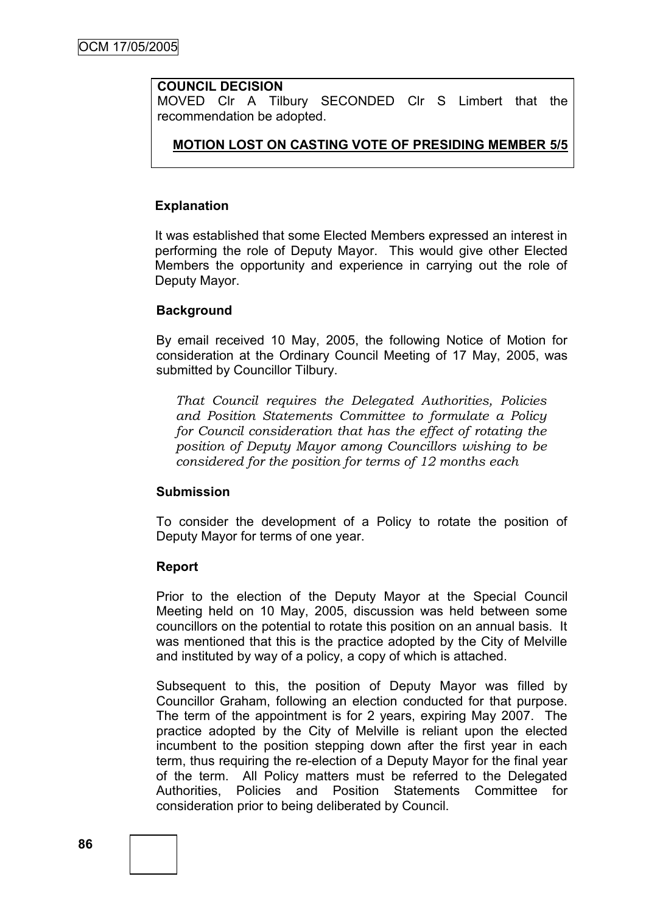### **COUNCIL DECISION**

MOVED Clr A Tilbury SECONDED Clr S Limbert that the recommendation be adopted.

## **MOTION LOST ON CASTING VOTE OF PRESIDING MEMBER 5/5**

#### **Explanation**

It was established that some Elected Members expressed an interest in performing the role of Deputy Mayor. This would give other Elected Members the opportunity and experience in carrying out the role of Deputy Mayor.

#### **Background**

By email received 10 May, 2005, the following Notice of Motion for consideration at the Ordinary Council Meeting of 17 May, 2005, was submitted by Councillor Tilbury.

*That Council requires the Delegated Authorities, Policies and Position Statements Committee to formulate a Policy for Council consideration that has the effect of rotating the position of Deputy Mayor among Councillors wishing to be considered for the position for terms of 12 months each*

#### **Submission**

To consider the development of a Policy to rotate the position of Deputy Mayor for terms of one year.

#### **Report**

Prior to the election of the Deputy Mayor at the Special Council Meeting held on 10 May, 2005, discussion was held between some councillors on the potential to rotate this position on an annual basis. It was mentioned that this is the practice adopted by the City of Melville and instituted by way of a policy, a copy of which is attached.

Subsequent to this, the position of Deputy Mayor was filled by Councillor Graham, following an election conducted for that purpose. The term of the appointment is for 2 years, expiring May 2007. The practice adopted by the City of Melville is reliant upon the elected incumbent to the position stepping down after the first year in each term, thus requiring the re-election of a Deputy Mayor for the final year of the term. All Policy matters must be referred to the Delegated Authorities, Policies and Position Statements Committee for consideration prior to being deliberated by Council.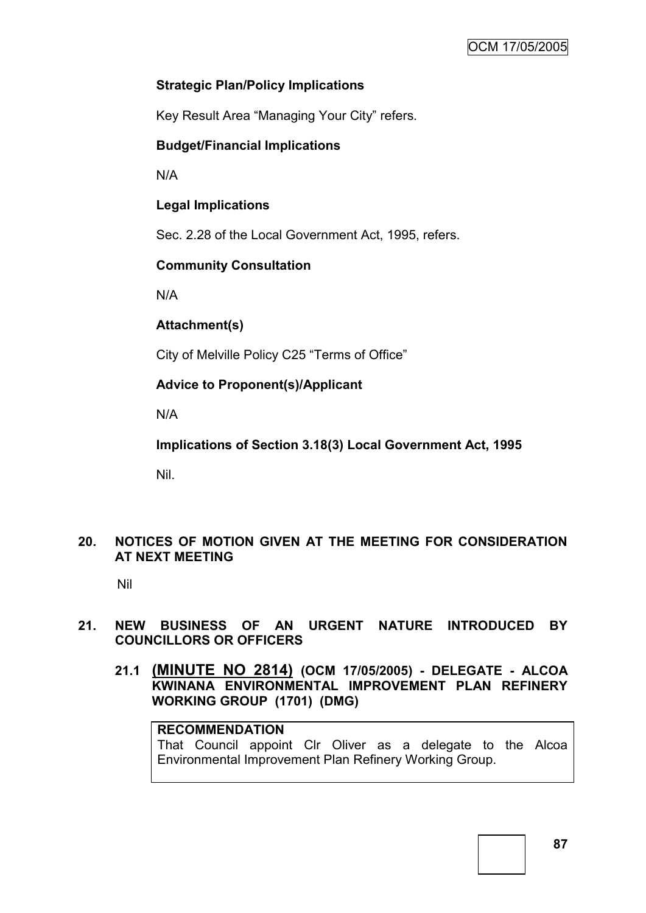# **Strategic Plan/Policy Implications**

Key Result Area "Managing Your City" refers.

## **Budget/Financial Implications**

N/A

# **Legal Implications**

Sec. 2.28 of the Local Government Act, 1995, refers.

# **Community Consultation**

N/A

**Attachment(s)**

City of Melville Policy C25 "Terms of Office"

**Advice to Proponent(s)/Applicant**

N/A

**Implications of Section 3.18(3) Local Government Act, 1995**

Nil.

# **20. NOTICES OF MOTION GIVEN AT THE MEETING FOR CONSIDERATION AT NEXT MEETING**

Nil

# **21. NEW BUSINESS OF AN URGENT NATURE INTRODUCED BY COUNCILLORS OR OFFICERS**

**21.1 (MINUTE NO 2814) (OCM 17/05/2005) - DELEGATE - ALCOA KWINANA ENVIRONMENTAL IMPROVEMENT PLAN REFINERY WORKING GROUP (1701) (DMG)**

# **RECOMMENDATION**

That Council appoint Clr Oliver as a delegate to the Alcoa Environmental Improvement Plan Refinery Working Group.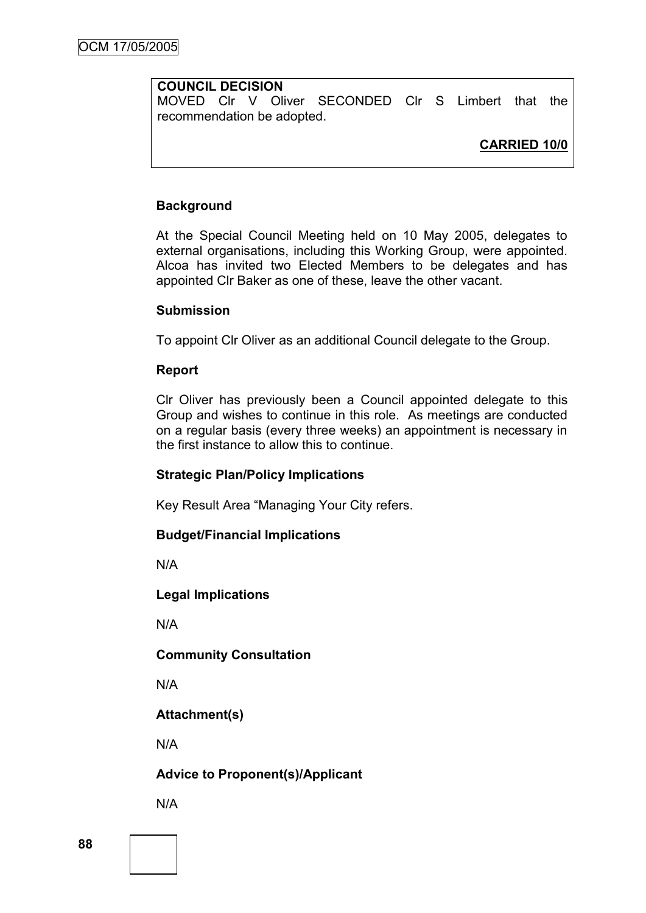# **COUNCIL DECISION**

MOVED Clr V Oliver SECONDED Clr S Limbert that the recommendation be adopted.

# **CARRIED 10/0**

## **Background**

At the Special Council Meeting held on 10 May 2005, delegates to external organisations, including this Working Group, were appointed. Alcoa has invited two Elected Members to be delegates and has appointed Clr Baker as one of these, leave the other vacant.

## **Submission**

To appoint Clr Oliver as an additional Council delegate to the Group.

## **Report**

Clr Oliver has previously been a Council appointed delegate to this Group and wishes to continue in this role. As meetings are conducted on a regular basis (every three weeks) an appointment is necessary in the first instance to allow this to continue.

## **Strategic Plan/Policy Implications**

Key Result Area "Managing Your City refers.

## **Budget/Financial Implications**

N/A

## **Legal Implications**

N/A

# **Community Consultation**

N/A

# **Attachment(s)**

N/A

# **Advice to Proponent(s)/Applicant**

N/A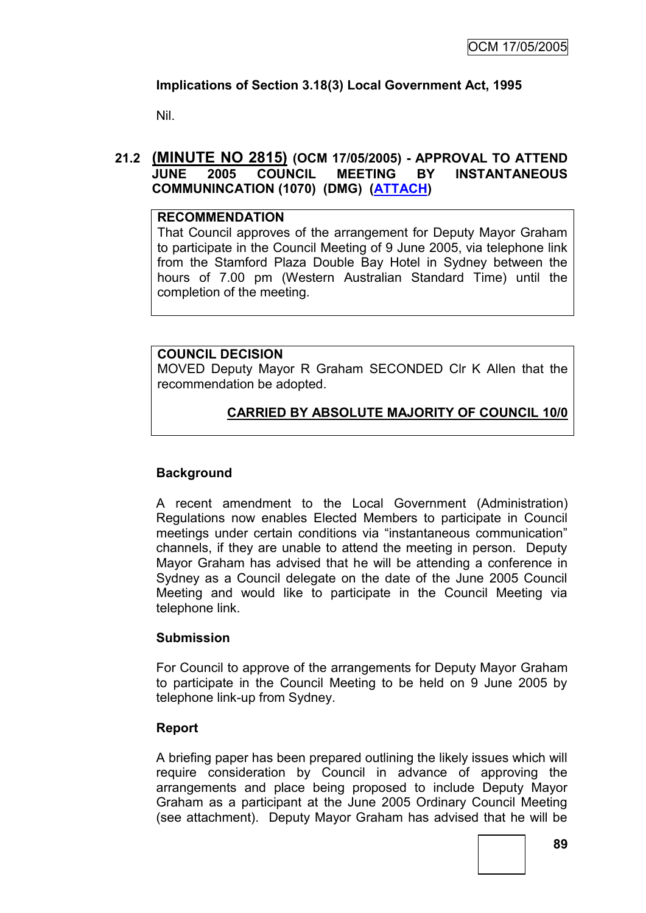# **Implications of Section 3.18(3) Local Government Act, 1995**

Nil.

# **21.2 (MINUTE NO 2815) (OCM 17/05/2005) - APPROVAL TO ATTEND JUNE 2005 COUNCIL MEETING BY INSTANTANEOUS COMMUNINCATION (1070) (DMG) [\(ATTACH\)](MIN_NO_2815.doc)**

# **RECOMMENDATION**

That Council approves of the arrangement for Deputy Mayor Graham to participate in the Council Meeting of 9 June 2005, via telephone link from the Stamford Plaza Double Bay Hotel in Sydney between the hours of 7.00 pm (Western Australian Standard Time) until the completion of the meeting.

# **COUNCIL DECISION**

MOVED Deputy Mayor R Graham SECONDED Clr K Allen that the recommendation be adopted.

# **CARRIED BY ABSOLUTE MAJORITY OF COUNCIL 10/0**

# **Background**

A recent amendment to the Local Government (Administration) Regulations now enables Elected Members to participate in Council meetings under certain conditions via "instantaneous communication" channels, if they are unable to attend the meeting in person. Deputy Mayor Graham has advised that he will be attending a conference in Sydney as a Council delegate on the date of the June 2005 Council Meeting and would like to participate in the Council Meeting via telephone link.

## **Submission**

For Council to approve of the arrangements for Deputy Mayor Graham to participate in the Council Meeting to be held on 9 June 2005 by telephone link-up from Sydney.

## **Report**

A briefing paper has been prepared outlining the likely issues which will require consideration by Council in advance of approving the arrangements and place being proposed to include Deputy Mayor Graham as a participant at the June 2005 Ordinary Council Meeting (see attachment). Deputy Mayor Graham has advised that he will be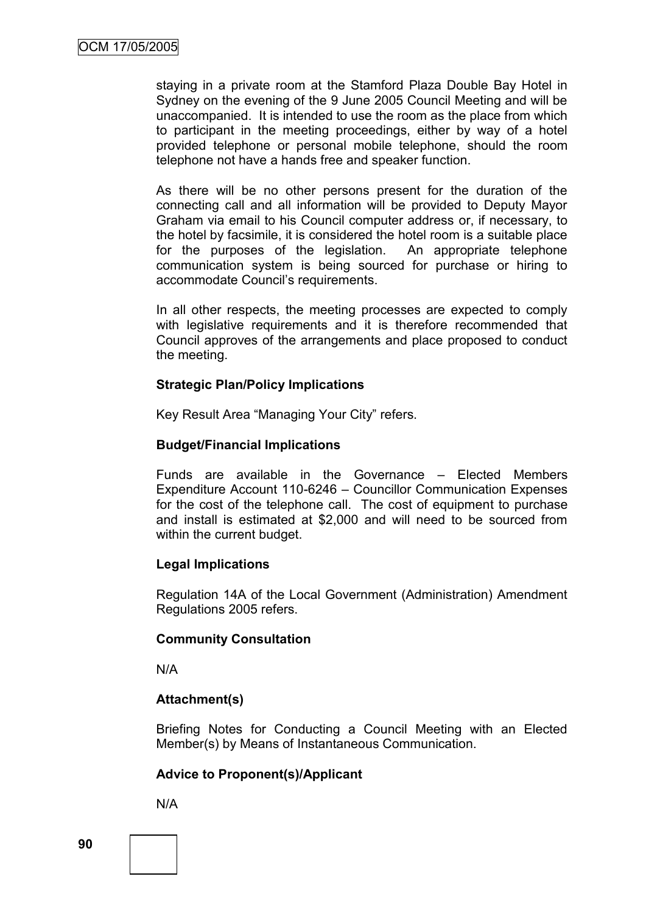staying in a private room at the Stamford Plaza Double Bay Hotel in Sydney on the evening of the 9 June 2005 Council Meeting and will be unaccompanied. It is intended to use the room as the place from which to participant in the meeting proceedings, either by way of a hotel provided telephone or personal mobile telephone, should the room telephone not have a hands free and speaker function.

As there will be no other persons present for the duration of the connecting call and all information will be provided to Deputy Mayor Graham via email to his Council computer address or, if necessary, to the hotel by facsimile, it is considered the hotel room is a suitable place for the purposes of the legislation. An appropriate telephone communication system is being sourced for purchase or hiring to accommodate Council"s requirements.

In all other respects, the meeting processes are expected to comply with legislative requirements and it is therefore recommended that Council approves of the arrangements and place proposed to conduct the meeting.

## **Strategic Plan/Policy Implications**

Key Result Area "Managing Your City" refers.

### **Budget/Financial Implications**

Funds are available in the Governance – Elected Members Expenditure Account 110-6246 – Councillor Communication Expenses for the cost of the telephone call. The cost of equipment to purchase and install is estimated at \$2,000 and will need to be sourced from within the current budget.

## **Legal Implications**

Regulation 14A of the Local Government (Administration) Amendment Regulations 2005 refers.

#### **Community Consultation**

N/A

## **Attachment(s)**

Briefing Notes for Conducting a Council Meeting with an Elected Member(s) by Means of Instantaneous Communication.

## **Advice to Proponent(s)/Applicant**

N/A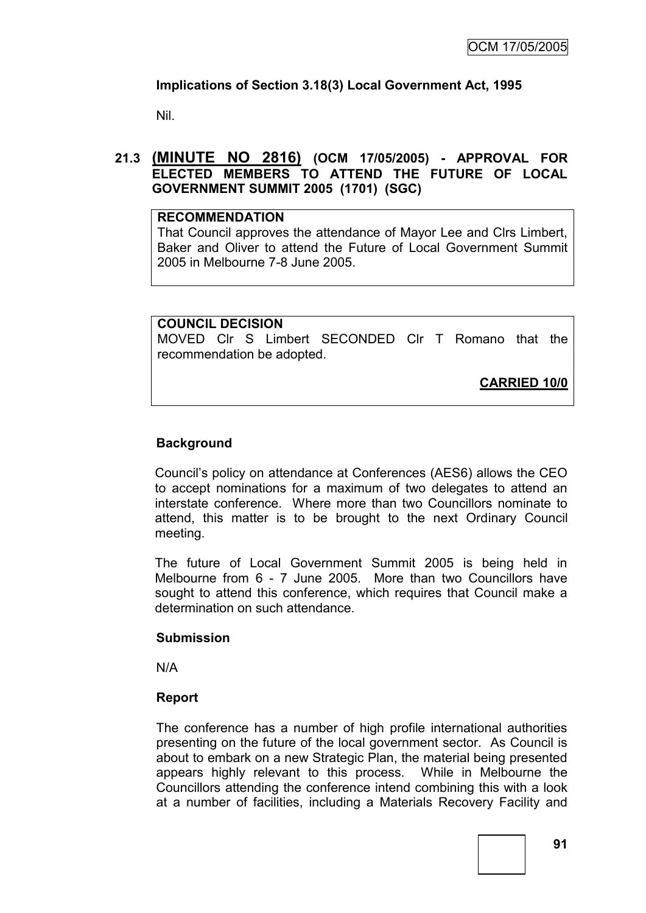# **Implications of Section 3.18(3) Local Government Act, 1995**

Nil.

## **21.3 (MINUTE NO 2816) (OCM 17/05/2005) - APPROVAL FOR ELECTED MEMBERS TO ATTEND THE FUTURE OF LOCAL GOVERNMENT SUMMIT 2005 (1701) (SGC)**

#### **RECOMMENDATION**

That Council approves the attendance of Mayor Lee and Clrs Limbert, Baker and Oliver to attend the Future of Local Government Summit 2005 in Melbourne 7-8 June 2005.

### **COUNCIL DECISION**

MOVED Clr S Limbert SECONDED Clr T Romano that the recommendation be adopted.

**CARRIED 10/0**

# **Background**

Council"s policy on attendance at Conferences (AES6) allows the CEO to accept nominations for a maximum of two delegates to attend an interstate conference. Where more than two Councillors nominate to attend, this matter is to be brought to the next Ordinary Council meeting.

The future of Local Government Summit 2005 is being held in Melbourne from 6 - 7 June 2005. More than two Councillors have sought to attend this conference, which requires that Council make a determination on such attendance.

## **Submission**

N/A

## **Report**

The conference has a number of high profile international authorities presenting on the future of the local government sector. As Council is about to embark on a new Strategic Plan, the material being presented appears highly relevant to this process. While in Melbourne the Councillors attending the conference intend combining this with a look at a number of facilities, including a Materials Recovery Facility and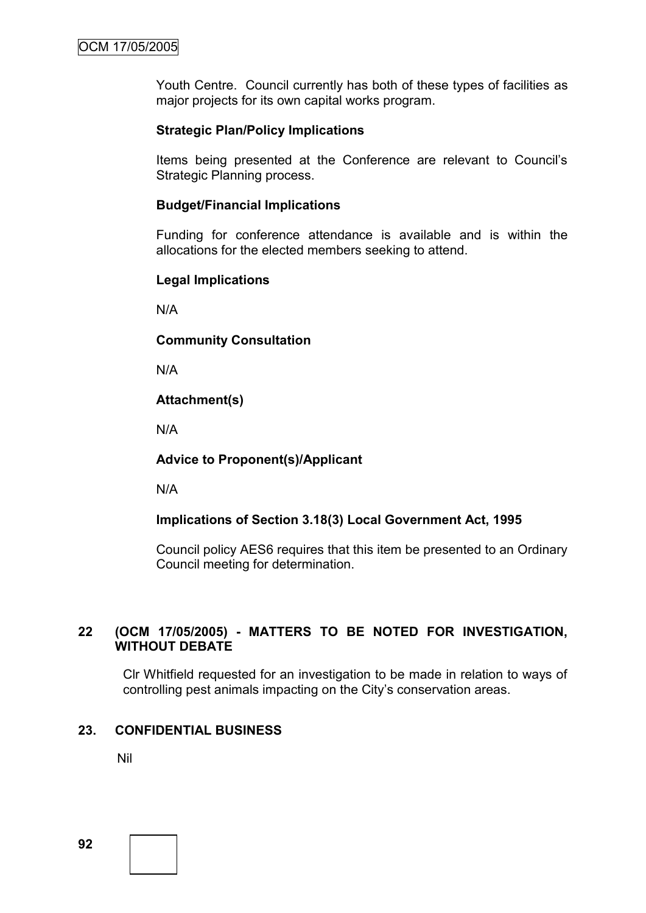Youth Centre. Council currently has both of these types of facilities as major projects for its own capital works program.

## **Strategic Plan/Policy Implications**

Items being presented at the Conference are relevant to Council"s Strategic Planning process.

## **Budget/Financial Implications**

Funding for conference attendance is available and is within the allocations for the elected members seeking to attend.

# **Legal Implications**

N/A

# **Community Consultation**

N/A

# **Attachment(s)**

N/A

## **Advice to Proponent(s)/Applicant**

N/A

# **Implications of Section 3.18(3) Local Government Act, 1995**

Council policy AES6 requires that this item be presented to an Ordinary Council meeting for determination.

# **22 (OCM 17/05/2005) - MATTERS TO BE NOTED FOR INVESTIGATION, WITHOUT DEBATE**

Clr Whitfield requested for an investigation to be made in relation to ways of controlling pest animals impacting on the City"s conservation areas.

# **23. CONFIDENTIAL BUSINESS**

Nil

**92**